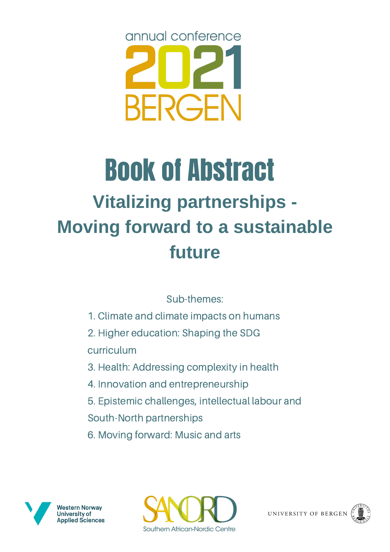

# **Vitalizing partnerships - Moving forward to a sustainable future** Book of Abstract

# Sub-themes:

- 1. Climate and climate impacts on humans
- 2. Higher education: Shaping the SDG curriculum
- 3. Health: Addressing complexity in health
- 4. Innovation and entrepreneurship
- 5. Epistemic challenges, intellectual labour and
- South-North partnerships
- 6. Moving forward: Music and arts







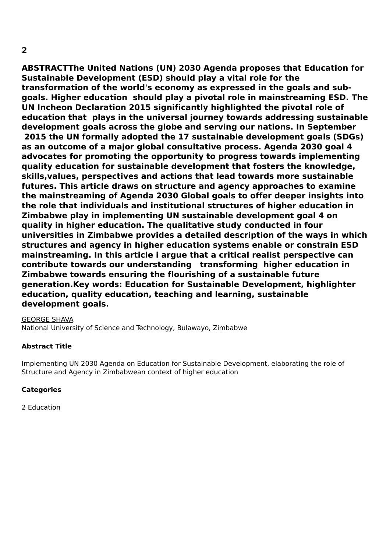**ABSTRACTThe United Nations (UN) 2030 Agenda proposes that Education for Sustainable Development (ESD) should play a vital role for the transformation of the world's economy as expressed in the goals and subgoals. Higher education should play a pivotal role in mainstreaming ESD. The UN Incheon Declaration 2015 significantly highlighted the pivotal role of education that plays in the universal journey towards addressing sustainable development goals across the globe and serving our nations. In September 2015 the UN formally adopted the 17 sustainable development goals (SDGs) as an outcome of a major global consultative process. Agenda 2030 goal 4 advocates for promoting the opportunity to progress towards implementing quality education for sustainable development that fosters the knowledge, skills,values, perspectives and actions that lead towards more sustainable futures. This article draws on structure and agency approaches to examine the mainstreaming of Agenda 2030 Global goals to offer deeper insights into the role that individuals and institutional structures of higher education in Zimbabwe play in implementing UN sustainable development goal 4 on quality in higher education. The qualitative study conducted in four universities in Zimbabwe provides a detailed description of the ways in which structures and agency in higher education systems enable or constrain ESD mainstreaming. In this article i argue that a critical realist perspective can contribute towards our understanding transforming higher education in Zimbabwe towards ensuring the flourishing of a sustainable future generation.Key words: Education for Sustainable Development, highlighter education, quality education, teaching and learning, sustainable development goals.**

#### GEORGE SHAVA

National University of Science and Technology, Bulawayo, Zimbabwe

#### **Abstract Title**

Implementing UN 2030 Agenda on Education for Sustainable Development, elaborating the role of Structure and Agency in Zimbabwean context of higher education

#### **Categories**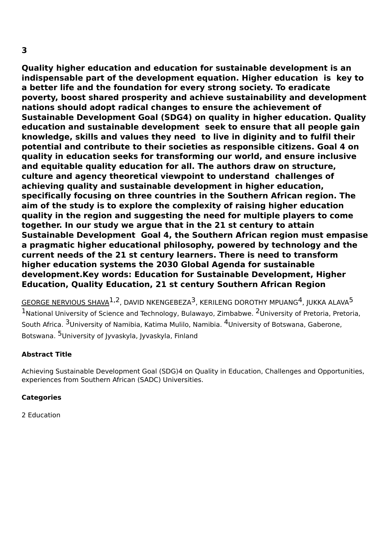**Quality higher education and education for sustainable development is an indispensable part of the development equation. Higher education is key to a better life and the foundation for every strong society. To eradicate poverty, boost shared prosperity and achieve sustainability and development nations should adopt radical changes to ensure the achievement of Sustainable Development Goal (SDG4) on quality in higher education. Quality education and sustainable development seek to ensure that all people gain knowledge, skills and values they need to live in diginity and to fulfil their potential and contribute to their societies as responsible citizens. Goal 4 on quality in education seeks for transforming our world, and ensure inclusive and equitable quality education for all. The authors draw on structure, culture and agency theoretical viewpoint to understand challenges of achieving quality and sustainable development in higher education, specifically focusing on three countries in the Southern African region. The aim of the study is to explore the complexity of raising higher education quality in the region and suggesting the need for multiple players to come together. In our study we argue that in the 21 st century to attain Sustainable Development Goal 4, the Southern African region must empasise a pragmatic higher educational philosophy, powered by technology and the current needs of the 21 st century learners. There is need to transform higher education systems the 2030 Global Agenda for sustainable development.Key words: Education for Sustainable Development, Higher Education, Quality Education, 21 st century Southern African Region**

 $\overline{\text{GEORGE}}$  <code>NERVIOUS</code> SHAVA $^{1,2}$ , DAVID <code>NKENGEBEZA $^3$ , KERILENG</code> DOROTHY <code>MPUANG $^4$ , JUKKA</code> ALAVA $^5$ 1National University of Science and Technology, Bulawayo, Zimbabwe. <sup>2</sup>University of Pretoria, Pretoria, South Africa. <sup>3</sup>University of Namibia, Katima Mulilo, Namibia. <sup>4</sup>University of Botswana, Gaberone, Botswana. <sup>5</sup>University of Jyvaskyla, Jyvaskyla, Finland

# **Abstract Title**

Achieving Sustainable Development Goal (SDG)4 on Quality in Education, Challenges and Opportunities, experiences from Southern African (SADC) Universities.

#### **Categories**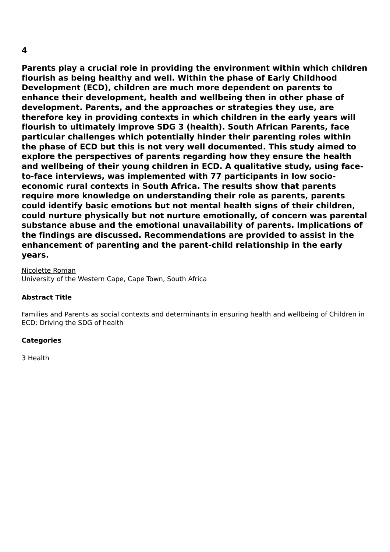**Parents play a crucial role in providing the environment within which children flourish as being healthy and well. Within the phase of Early Childhood Development (ECD), children are much more dependent on parents to enhance their development, health and wellbeing then in other phase of development. Parents, and the approaches or strategies they use, are therefore key in providing contexts in which children in the early years will flourish to ultimately improve SDG 3 (health). South African Parents, face particular challenges which potentially hinder their parenting roles within the phase of ECD but this is not very well documented. This study aimed to explore the perspectives of parents regarding how they ensure the health and wellbeing of their young children in ECD. A qualitative study, using faceto-face interviews, was implemented with 77 participants in low socioeconomic rural contexts in South Africa. The results show that parents require more knowledge on understanding their role as parents, parents could identify basic emotions but not mental health signs of their children, could nurture physically but not nurture emotionally, of concern was parental substance abuse and the emotional unavailability of parents. Implications of the findings are discussed. Recommendations are provided to assist in the enhancement of parenting and the parent-child relationship in the early years.**

Nicolette Roman University of the Western Cape, Cape Town, South Africa

#### **Abstract Title**

Families and Parents as social contexts and determinants in ensuring health and wellbeing of Children in ECD: Driving the SDG of health

#### **Categories**

3 Health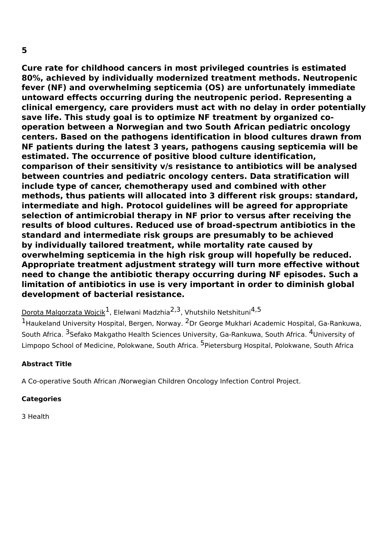**Cure rate for childhood cancers in most privileged countries is estimated 80%, achieved by individually modernized treatment methods. Neutropenic fever (NF) and overwhelming septicemia (OS) are unfortunately immediate untoward effects occurring during the neutropenic period. Representing a clinical emergency, care providers must act with no delay in order potentially save life. This study goal is to optimize NF treatment by organized cooperation between a Norwegian and two South African pediatric oncology centers. Based on the pathogens identification in blood cultures drawn from NF patients during the latest 3 years, pathogens causing septicemia will be estimated. The occurrence of positive blood culture identification, comparison of their sensitivity v/s resistance to antibiotics will be analysed between countries and pediatric oncology centers. Data stratification will include type of cancer, chemotherapy used and combined with other methods, thus patients will allocated into 3 different risk groups: standard, intermediate and high. Protocol guidelines will be agreed for appropriate selection of antimicrobial therapy in NF prior to versus after receiving the results of blood cultures. Reduced use of broad-spectrum antibiotics in the standard and intermediate risk groups are presumably to be achieved by individually tailored treatment, while mortality rate caused by overwhelming septicemia in the high risk group will hopefully be reduced. Appropriate treatment adjustment strategy will turn more effective without need to change the antibiotic therapy occurring during NF episodes. Such a limitation of antibiotics in use is very important in order to diminish global development of bacterial resistance.**

Dorota Malgorzata Wojcik<sup>1</sup>, Elelwani Madzhia<sup>2,3</sup>, Vhutshilo Netshituni<sup>4,5</sup>

<sup>1</sup>Haukeland University Hospital, Bergen, Norway. <sup>2</sup>Dr George Mukhari Academic Hospital, Ga-Rankuwa, South Africa. <sup>3</sup>Sefako Makgatho Health Sciences University, Ga-Rankuwa, South Africa. <sup>4</sup>University of Limpopo School of Medicine, Polokwane, South Africa. <sup>5</sup>Pietersburg Hospital, Polokwane, South Africa

#### **Abstract Title**

A Co-operative South African /Norwegian Children Oncology Infection Control Project.

#### **Categories**

3 Health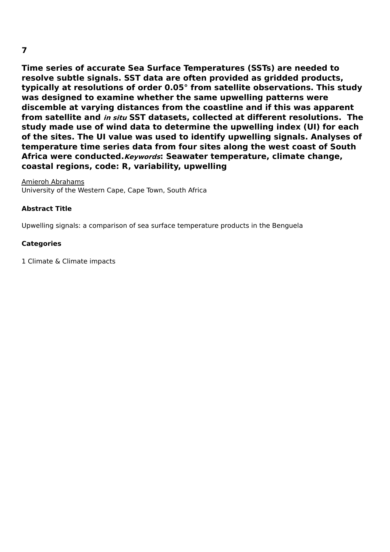**Time series of accurate Sea Surface Temperatures (SSTs) are needed to resolve subtle signals. SST data are often provided as gridded products, typically at resolutions of order 0.05° from satellite observations. This study was designed to examine whether the same upwelling patterns were discemble at varying distances from the coastline and if this was apparent from satellite and in situ SST datasets, collected at different resolutions. The study made use of wind data to determine the upwelling index (UI) for each of the sites. The UI value was used to identify upwelling signals. Analyses of temperature time series data from four sites along the west coast of South Africa were conducted.Keywords: Seawater temperature, climate change, coastal regions, code: R, variability, upwelling**

Amieroh Abrahams University of the Western Cape, Cape Town, South Africa

#### **Abstract Title**

Upwelling signals: a comparison of sea surface temperature products in the Benguela

#### **Categories**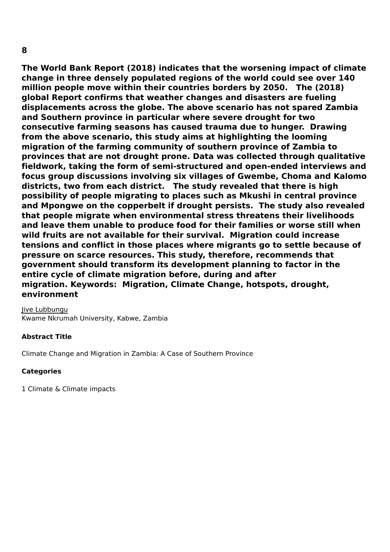**The World Bank Report (2018) indicates that the worsening impact of climate change in three densely populated regions of the world could see over 140 million people move within their countries borders by 2050. The (2018) global Report confirms that weather changes and disasters are fueling displacements across the globe. The above scenario has not spared Zambia and Southern province in particular where severe drought for two consecutive farming seasons has caused trauma due to hunger. Drawing from the above scenario, this study aims at highlighting the looming migration of the farming community of southern province of Zambia to provinces that are not drought prone. Data was collected through qualitative fieldwork, taking the form of semi-structured and open-ended interviews and focus group discussions involving six villages of Gwembe, Choma and Kalomo districts, two from each district. The study revealed that there is high possibility of people migrating to places such as Mkushi in central province and Mpongwe on the copperbelt if drought persists. The study also revealed that people migrate when environmental stress threatens their livelihoods and leave them unable to produce food for their families or worse still when wild fruits are not available for their survival. Migration could increase tensions and conflict in those places where migrants go to settle because of pressure on scarce resources. This study, therefore, recommends that government should transform its development planning to factor in the entire cycle of climate migration before, during and after migration. Keywords: Migration, Climate Change, hotspots, drought,**

**environment**

Jive Lubbungu Kwame Nkrumah University, Kabwe, Zambia

# **Abstract Title**

Climate Change and Migration in Zambia: A Case of Southern Province

# **Categories**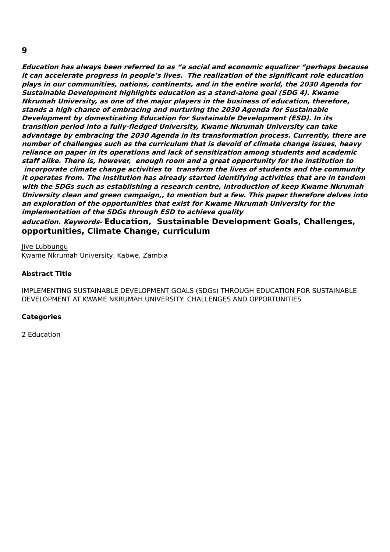**Education has always been referred to as "a social and economic equalizer "perhaps because it can accelerate progress in people's lives. The realization of the significant role education plays in our communities, nations, continents, and in the entire world, the 2030 Agenda for Sustainable Development highlights education as <sup>a</sup> stand-alone goal (SDG 4). Kwame Nkrumah University, as one of the major players in the business of education, therefore, stands <sup>a</sup> high chance of embracing and nurturing the 2030 Agenda for Sustainable Development by domesticating Education for Sustainable Development (ESD). In its transition period into <sup>a</sup> fully-fledged University, Kwame Nkrumah University can take advantage by embracing the 2030 Agenda in its transformation process. Currently, there are number of challenges such as the curriculum that is devoid of climate change issues, heavy reliance on paper in its operations and lack of sensitization among students and academic staff alike. There is, however, enough room and <sup>a</sup> great opportunity for the institution to incorporate climate change activities to transform the lives of students and the community it operates from. The institution has already started identifying activities that are in tandem with the SDGs such as establishing <sup>a</sup> research centre, introduction of keep Kwame Nkrumah University clean and green campaign,, to mention but <sup>a</sup> few. This paper therefore delves into an exploration of the opportunities that exist for Kwame Nkrumah University for the implementation of the SDGs through ESD to achieve quality**

**education. Keywords- Education, Sustainable Development Goals, Challenges, opportunities, Climate Change, curriculum**

Jive Lubbungu Kwame Nkrumah University, Kabwe, Zambia

#### **Abstract Title**

IMPLEMENTING SUSTAINABLE DEVELOPMENT GOALS (SDGs) THROUGH EDUCATION FOR SUSTAINABLE DEVELOPMENT AT KWAME NKRUMAH UNIVERSITY: CHALLENGES AND OPPORTUNITIES

#### **Categories**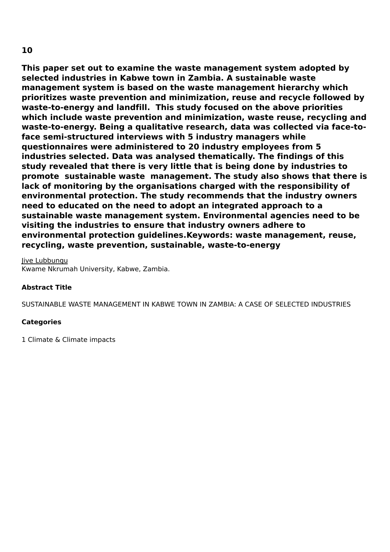**This paper set out to examine the waste management system adopted by selected industries in Kabwe town in Zambia. A sustainable waste management system is based on the waste management hierarchy which prioritizes waste prevention and minimization, reuse and recycle followed by waste-to-energy and landfill. This study focused on the above priorities which include waste prevention and minimization, waste reuse, recycling and waste-to-energy. Being a qualitative research, data was collected via face-toface semi-structured interviews with 5 industry managers while questionnaires were administered to 20 industry employees from 5 industries selected. Data was analysed thematically. The findings of this study revealed that there is very little that is being done by industries to promote sustainable waste management. The study also shows that there is lack of monitoring by the organisations charged with the responsibility of environmental protection. The study recommends that the industry owners need to educated on the need to adopt an integrated approach to a sustainable waste management system. Environmental agencies need to be visiting the industries to ensure that industry owners adhere to environmental protection guidelines.Keywords: waste management, reuse, recycling, waste prevention, sustainable, waste-to-energy**

Jive Lubbungu Kwame Nkrumah University, Kabwe, Zambia.

#### **Abstract Title**

SUSTAINABLE WASTE MANAGEMENT IN KABWE TOWN IN ZAMBIA: A CASE OF SELECTED INDUSTRIES

#### **Categories**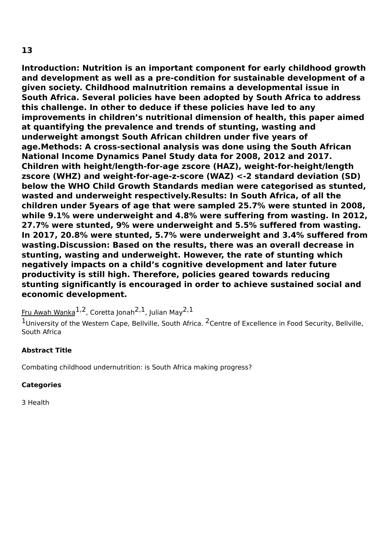**Introduction: Nutrition is an important component for early childhood growth and development as well as a pre-condition for sustainable development of a given society. Childhood malnutrition remains a developmental issue in South Africa. Several policies have been adopted by South Africa to address this challenge. In other to deduce if these policies have led to any improvements in children's nutritional dimension of health, this paper aimed at quantifying the prevalence and trends of stunting, wasting and underweight amongst South African children under five years of age.Methods: A cross-sectional analysis was done using the South African National Income Dynamics Panel Study data for 2008, 2012 and 2017. Children with height/length-for-age zscore (HAZ), weight-for-height/length zscore (WHZ) and weight-for-age-z-score (WAZ) <-2 standard deviation (SD) below the WHO Child Growth Standards median were categorised as stunted, wasted and underweight respectively.Results: In South Africa, of all the children under 5years of age that were sampled 25.7% were stunted in 2008, while 9.1% were underweight and 4.8% were suffering from wasting. In 2012, 27.7% were stunted, 9% were underweight and 5.5% suffered from wasting. In 2017, 20.8% were stunted, 5.7% were underweight and 3.4% suffered from wasting.Discussion: Based on the results, there was an overall decrease in stunting, wasting and underweight. However, the rate of stunting which negatively impacts on a child's cognitive development and later future productivity is still high. Therefore, policies geared towards reducing stunting significantly is encouraged in order to achieve sustained social and economic development.**

 $\tt {Fru Awah Wanka}^{1,2}$ , Coretta Jonah $^{2,1}$ , Julian May $^{2,1}$ 

 $1$ University of the Western Cape, Bellville, South Africa.  $2$ Centre of Excellence in Food Security, Bellville, South Africa

#### **Abstract Title**

Combating childhood undernutrition: is South Africa making progress?

#### **Categories**

3 Health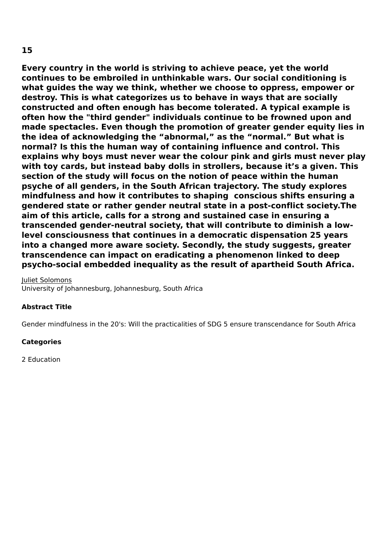**Every country in the world is striving to achieve peace, yet the world continues to be embroiled in unthinkable wars. Our social conditioning is what guides the way we think, whether we choose to oppress, empower or destroy. This is what categorizes us to behave in ways that are socially constructed and often enough has become tolerated. A typical example is often how the "third gender" individuals continue to be frowned upon and made spectacles. Even though the promotion of greater gender equity lies in the idea of acknowledging the "abnormal," as the "normal." But what is normal? Is this the human way of containing influence and control. This explains why boys must never wear the colour pink and girls must never play with toy cards, but instead baby dolls in strollers, because it's a given. This section of the study will focus on the notion of peace within the human psyche of all genders, in the South African trajectory. The study explores mindfulness and how it contributes to shaping conscious shifts ensuring a gendered state or rather gender neutral state in a post-conflict society.The aim of this article, calls for a strong and sustained case in ensuring a transcended gender-neutral society, that will contribute to diminish a lowlevel consciousness that continues in a democratic dispensation 25 years into a changed more aware society. Secondly, the study suggests, greater transcendence can impact on eradicating a phenomenon linked to deep psycho-social embedded inequality as the result of apartheid South Africa.**

Juliet Solomons University of Johannesburg, Johannesburg, South Africa

#### **Abstract Title**

Gender mindfulness in the 20's: Will the practicalities of SDG 5 ensure transcendance for South Africa

#### **Categories**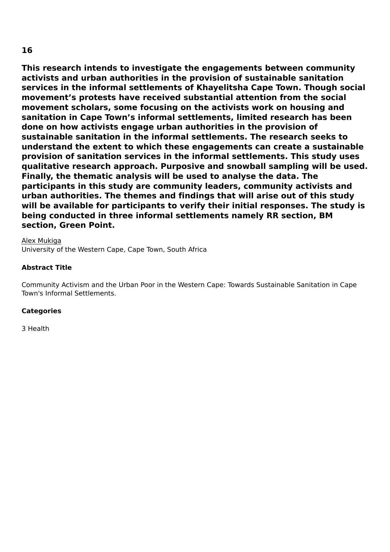**This research intends to investigate the engagements between community activists and urban authorities in the provision of sustainable sanitation services in the informal settlements of Khayelitsha Cape Town. Though social movement's protests have received substantial attention from the social movement scholars, some focusing on the activists work on housing and sanitation in Cape Town's informal settlements, limited research has been done on how activists engage urban authorities in the provision of sustainable sanitation in the informal settlements. The research seeks to understand the extent to which these engagements can create a sustainable provision of sanitation services in the informal settlements. This study uses qualitative research approach. Purposive and snowball sampling will be used. Finally, the thematic analysis will be used to analyse the data. The participants in this study are community leaders, community activists and urban authorities. The themes and findings that will arise out of this study will be available for participants to verify their initial responses. The study is being conducted in three informal settlements namely RR section, BM section, Green Point.**

Alex Mukiga University of the Western Cape, Cape Town, South Africa

#### **Abstract Title**

Community Activism and the Urban Poor in the Western Cape: Towards Sustainable Sanitation in Cape Town's Informal Settlements.

#### **Categories**

3 Health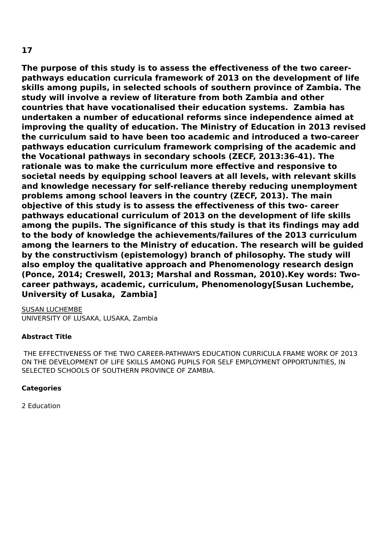**The purpose of this study is to assess the effectiveness of the two careerpathways education curricula framework of 2013 on the development of life skills among pupils, in selected schools of southern province of Zambia. The study will involve a review of literature from both Zambia and other countries that have vocationalised their education systems. Zambia has undertaken a number of educational reforms since independence aimed at improving the quality of education. The Ministry of Education in 2013 revised the curriculum said to have been too academic and introduced a two-career pathways education curriculum framework comprising of the academic and the Vocational pathways in secondary schools (ZECF, 2013:36-41). The rationale was to make the curriculum more effective and responsive to societal needs by equipping school leavers at all levels, with relevant skills and knowledge necessary for self-reliance thereby reducing unemployment problems among school leavers in the country (ZECF, 2013). The main objective of this study is to assess the effectiveness of this two- career pathways educational curriculum of 2013 on the development of life skills among the pupils. The significance of this study is that its findings may add to the body of knowledge the achievements/failures of the 2013 curriculum among the learners to the Ministry of education. The research will be guided by the constructivism (epistemology) branch of philosophy. The study will also employ the qualitative approach and Phenomenology research design (Ponce, 2014; Creswell, 2013; Marshal and Rossman, 2010).Key words: Twocareer pathways, academic, curriculum, Phenomenology[Susan Luchembe, University of Lusaka, Zambia]**

SUSAN LUCHEMBE UNIVERSITY OF LUSAKA, LUSAKA, Zambia

# **Abstract Title**

THE EFFECTIVENESS OF THE TWO CAREER-PATHWAYS EDUCATION CURRICULA FRAME WORK OF 2013 ON THE DEVELOPMENT OF LIFE SKILLS AMONG PUPILS FOR SELF EMPLOYMENT OPPORTUNITIES, IN SELECTED SCHOOLS OF SOUTHERN PROVINCE OF ZAMBIA.

#### **Categories**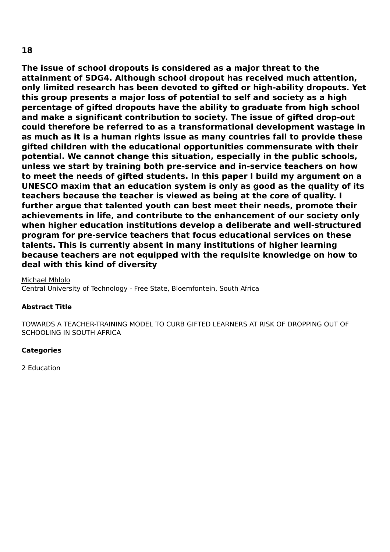**The issue of school dropouts is considered as a major threat to the attainment of SDG4. Although school dropout has received much attention, only limited research has been devoted to gifted or high-ability dropouts. Yet this group presents a major loss of potential to self and society as a high percentage of gifted dropouts have the ability to graduate from high school and make a significant contribution to society. The issue of gifted drop-out could therefore be referred to as a transformational development wastage in as much as it is a human rights issue as many countries fail to provide these gifted children with the educational opportunities commensurate with their potential. We cannot change this situation, especially in the public schools, unless we start by training both pre-service and in-service teachers on how to meet the needs of gifted students. In this paper I build my argument on a UNESCO maxim that an education system is only as good as the quality of its teachers because the teacher is viewed as being at the core of quality. I further argue that talented youth can best meet their needs, promote their achievements in life, and contribute to the enhancement of our society only when higher education institutions develop a deliberate and well-structured program for pre-service teachers that focus educational services on these talents. This is currently absent in many institutions of higher learning because teachers are not equipped with the requisite knowledge on how to deal with this kind of diversity**

#### Michael Mhlolo

Central University of Technology - Free State, Bloemfontein, South Africa

#### **Abstract Title**

TOWARDS A TEACHER-TRAINING MODEL TO CURB GIFTED LEARNERS AT RISK OF DROPPING OUT OF SCHOOLING IN SOUTH AFRICA

#### **Categories**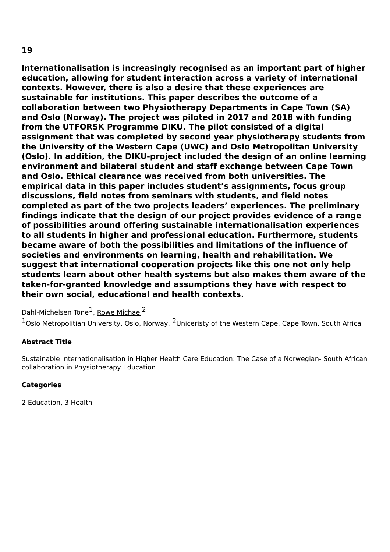**Internationalisation is increasingly recognised as an important part of higher education, allowing for student interaction across a variety of international contexts. However, there is also a desire that these experiences are sustainable for institutions. This paper describes the outcome of a collaboration between two Physiotherapy Departments in Cape Town (SA) and Oslo (Norway). The project was piloted in 2017 and 2018 with funding from the UTFORSK Programme DIKU. The pilot consisted of a digital assignment that was completed by second year physiotherapy students from the University of the Western Cape (UWC) and Oslo Metropolitan University (Oslo). In addition, the DIKU-project included the design of an online learning environment and bilateral student and staff exchange between Cape Town and Oslo. Ethical clearance was received from both universities. The empirical data in this paper includes student's assignments, focus group discussions, field notes from seminars with students, and field notes completed as part of the two projects leaders' experiences. The preliminary findings indicate that the design of our project provides evidence of a range of possibilities around offering sustainable internationalisation experiences to all students in higher and professional education. Furthermore, students became aware of both the possibilities and limitations of the influence of societies and environments on learning, health and rehabilitation. We suggest that international cooperation projects like this one not only help students learn about other health systems but also makes them aware of the taken-for-granted knowledge and assumptions they have with respect to their own social, educational and health contexts.**

Dahl-Michelsen Tone<sup>1</sup>, <u>Rowe Michael</u><sup>2</sup>

 $1$ Oslo Metropolitian University, Oslo, Norway.  $2$ Uniceristy of the Western Cape, Cape Town, South Africa

#### **Abstract Title**

Sustainable Internationalisation in Higher Health Care Education: The Case of a Norwegian- South African collaboration in Physiotherapy Education

#### **Categories**

2 Education, 3 Health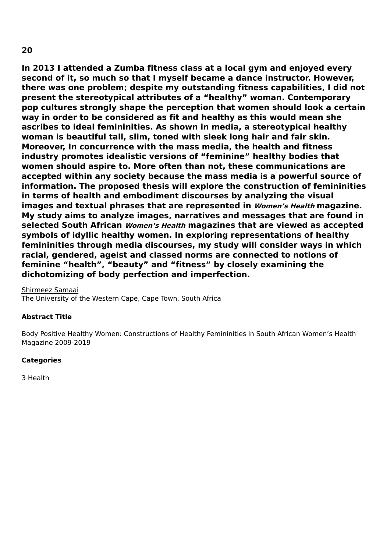**In 2013 I attended a Zumba fitness class at a local gym and enjoyed every second of it, so much so that I myself became a dance instructor. However, there was one problem; despite my outstanding fitness capabilities, I did not present the stereotypical attributes of a "healthy" woman. Contemporary pop cultures strongly shape the perception that women should look a certain way in order to be considered as fit and healthy as this would mean she ascribes to ideal femininities. As shown in media, a stereotypical healthy woman is beautiful tall, slim, toned with sleek long hair and fair skin. Moreover, In concurrence with the mass media, the health and fitness industry promotes idealistic versions of "feminine" healthy bodies that women should aspire to. More often than not, these communications are accepted within any society because the mass media is a powerful source of information. The proposed thesis will explore the construction of femininities in terms of health and embodiment discourses by analyzing the visual images and textual phrases that are represented in Women's Health magazine. My study aims to analyze images, narratives and messages that are found in selected South African Women's Health magazines that are viewed as accepted symbols of idyllic healthy women. In exploring representations of healthy femininities through media discourses, my study will consider ways in which racial, gendered, ageist and classed norms are connected to notions of**

Shirmeez Samaai

The University of the Western Cape, Cape Town, South Africa

**dichotomizing of body perfection and imperfection.**

#### **Abstract Title**

Body Positive Healthy Women: Constructions of Healthy Femininities in South African Women's Health Magazine 2009-2019

**feminine "health", "beauty" and "fitness" by closely examining the**

#### **Categories**

3 Health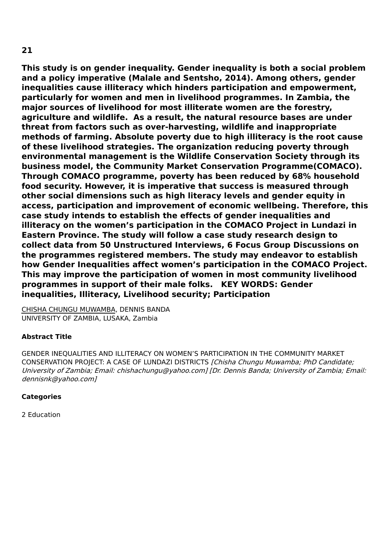**This study is on gender inequality. Gender inequality is both a social problem and a policy imperative (Malale and Sentsho, 2014). Among others, gender inequalities cause illiteracy which hinders participation and empowerment, particularly for women and men in livelihood programmes. In Zambia, the major sources of livelihood for most illiterate women are the forestry, agriculture and wildlife. As a result, the natural resource bases are under threat from factors such as over-harvesting, wildlife and inappropriate methods of farming. Absolute poverty due to high illiteracy is the root cause of these livelihood strategies. The organization reducing poverty through environmental management is the Wildlife Conservation Society through its business model, the Community Market Conservation Programme(COMACO). Through COMACO programme, poverty has been reduced by 68% household food security. However, it is imperative that success is measured through other social dimensions such as high literacy levels and gender equity in access, participation and improvement of economic wellbeing. Therefore, this case study intends to establish the effects of gender inequalities and illiteracy on the women's participation in the COMACO Project in Lundazi in Eastern Province. The study will follow a case study research design to collect data from 50 Unstructured Interviews, 6 Focus Group Discussions on the programmes registered members. The study may endeavor to establish how Gender Inequalities affect women's participation in the COMACO Project. This may improve the participation of women in most community livelihood programmes in support of their male folks. KEY WORDS: Gender inequalities, Illiteracy, Livelihood security; Participation**

CHISHA CHUNGU MUWAMBA, DENNIS BANDA UNIVERSITY OF ZAMBIA, LUSAKA, Zambia

# **Abstract Title**

GENDER INEQUALITIES AND ILLITERACY ON WOMEN'S PARTICIPATION IN THE COMMUNITY MARKET CONSERVATION PROJECT: A CASE OF LUNDAZI DISTRICTS [Chisha Chungu Muwamba; PhD Candidate; University of Zambia; Email: chishachungu@yahoo.com] [Dr. Dennis Banda; University of Zambia; Email: dennisnk@yahoo.com]

#### **Categories**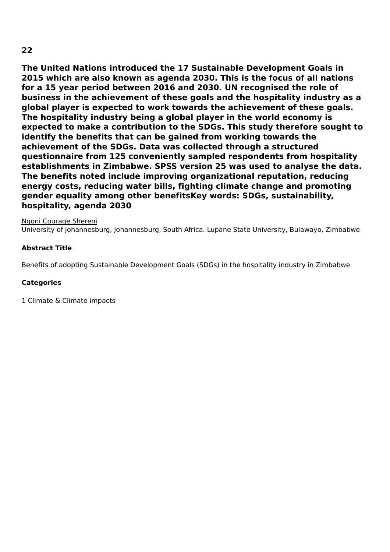**The United Nations introduced the 17 Sustainable Development Goals in 2015 which are also known as agenda 2030. This is the focus of all nations for a 15 year period between 2016 and 2030. UN recognised the role of business in the achievement of these goals and the hospitality industry as a global player is expected to work towards the achievement of these goals. The hospitality industry being a global player in the world economy is expected to make a contribution to the SDGs. This study therefore sought to identify the benefits that can be gained from working towards the achievement of the SDGs. Data was collected through a structured questionnaire from 125 conveniently sampled respondents from hospitality establishments in Zimbabwe. SPSS version 25 was used to analyse the data. The benefits noted include improving organizational reputation, reducing energy costs, reducing water bills, fighting climate change and promoting gender equality among other benefitsKey words: SDGs, sustainability, hospitality, agenda 2030**

Ngoni Courage Shereni

University of Johannesburg, Johannesburg, South Africa. Lupane State University, Bulawayo, Zimbabwe

# **Abstract Title**

Benefits of adopting Sustainable Development Goals (SDGs) in the hospitality industry in Zimbabwe

#### **Categories**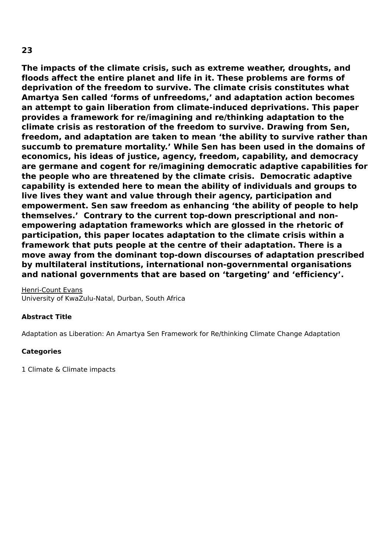**The impacts of the climate crisis, such as extreme weather, droughts, and floods affect the entire planet and life in it. These problems are forms of deprivation of the freedom to survive. The climate crisis constitutes what Amartya Sen called 'forms of unfreedoms,' and adaptation action becomes an attempt to gain liberation from climate-induced deprivations. This paper provides a framework for re/imagining and re/thinking adaptation to the climate crisis as restoration of the freedom to survive. Drawing from Sen, freedom, and adaptation are taken to mean 'the ability to survive rather than succumb to premature mortality.' While Sen has been used in the domains of economics, his ideas of justice, agency, freedom, capability, and democracy are germane and cogent for re/imagining democratic adaptive capabilities for the people who are threatened by the climate crisis. Democratic adaptive capability is extended here to mean the ability of individuals and groups to live lives they want and value through their agency, participation and empowerment. Sen saw freedom as enhancing 'the ability of people to help themselves.' Contrary to the current top-down prescriptional and nonempowering adaptation frameworks which are glossed in the rhetoric of participation, this paper locates adaptation to the climate crisis within a framework that puts people at the centre of their adaptation. There is a move away from the dominant top-down discourses of adaptation prescribed by multilateral institutions, international non-governmental organisations and national governments that are based on 'targeting' and 'efficiency'.**

Henri-Count Evans University of KwaZulu-Natal, Durban, South Africa

#### **Abstract Title**

Adaptation as Liberation: An Amartya Sen Framework for Re/thinking Climate Change Adaptation

#### **Categories**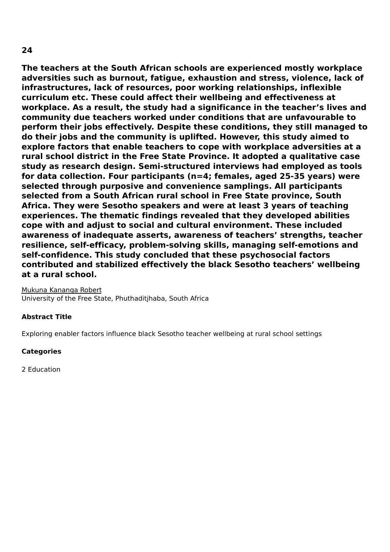**The teachers at the South African schools are experienced mostly workplace adversities such as burnout, fatigue, exhaustion and stress, violence, lack of infrastructures, lack of resources, poor working relationships, inflexible curriculum etc. These could affect their wellbeing and effectiveness at workplace. As a result, the study had a significance in the teacher's lives and community due teachers worked under conditions that are unfavourable to perform their jobs effectively. Despite these conditions, they still managed to do their jobs and the community is uplifted. However, this study aimed to explore factors that enable teachers to cope with workplace adversities at a rural school district in the Free State Province. It adopted a qualitative case study as research design. Semi-structured interviews had employed as tools for data collection. Four participants (n=4; females, aged 25-35 years) were selected through purposive and convenience samplings. All participants selected from a South African rural school in Free State province, South Africa. They were Sesotho speakers and were at least 3 years of teaching experiences. The thematic findings revealed that they developed abilities cope with and adjust to social and cultural environment. These included awareness of inadequate asserts, awareness of teachers' strengths, teacher resilience, self-efficacy, problem-solving skills, managing self-emotions and self-confidence. This study concluded that these psychosocial factors contributed and stabilized effectively the black Sesotho teachers' wellbeing at a rural school.**

Mukuna Kananga Robert University of the Free State, Phuthaditjhaba, South Africa

#### **Abstract Title**

Exploring enabler factors influence black Sesotho teacher wellbeing at rural school settings

#### **Categories**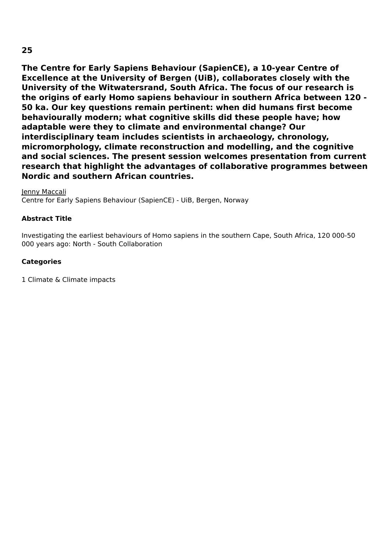**The Centre for Early Sapiens Behaviour (SapienCE), a 10-year Centre of Excellence at the University of Bergen (UiB), collaborates closely with the University of the Witwatersrand, South Africa. The focus of our research is the origins of early Homo sapiens behaviour in southern Africa between 120 - 50 ka. Our key questions remain pertinent: when did humans first become behaviourally modern; what cognitive skills did these people have; how adaptable were they to climate and environmental change? Our interdisciplinary team includes scientists in archaeology, chronology, micromorphology, climate reconstruction and modelling, and the cognitive and social sciences. The present session welcomes presentation from current research that highlight the advantages of collaborative programmes between Nordic and southern African countries.**

Jenny Maccali Centre for Early Sapiens Behaviour (SapienCE) - UiB, Bergen, Norway

# **Abstract Title**

Investigating the earliest behaviours of Homo sapiens in the southern Cape, South Africa, 120 000-50 000 years ago: North - South Collaboration

# **Categories**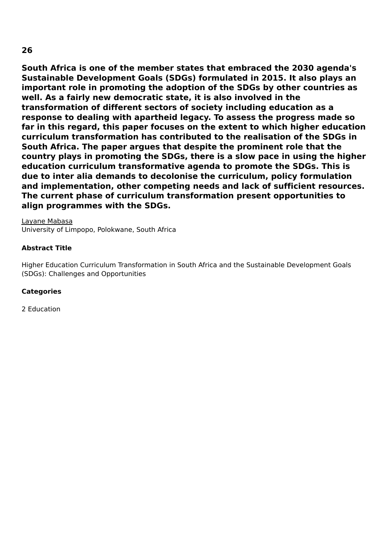**South Africa is one of the member states that embraced the 2030 agenda's Sustainable Development Goals (SDGs) formulated in 2015. It also plays an important role in promoting the adoption of the SDGs by other countries as well. As a fairly new democratic state, it is also involved in the transformation of different sectors of society including education as a response to dealing with apartheid legacy. To assess the progress made so far in this regard, this paper focuses on the extent to which higher education curriculum transformation has contributed to the realisation of the SDGs in South Africa. The paper argues that despite the prominent role that the country plays in promoting the SDGs, there is a slow pace in using the higher education curriculum transformative agenda to promote the SDGs. This is due to inter alia demands to decolonise the curriculum, policy formulation and implementation, other competing needs and lack of sufficient resources. The current phase of curriculum transformation present opportunities to align programmes with the SDGs.**

Layane Mabasa

University of Limpopo, Polokwane, South Africa

#### **Abstract Title**

Higher Education Curriculum Transformation in South Africa and the Sustainable Development Goals (SDGs): Challenges and Opportunities

#### **Categories**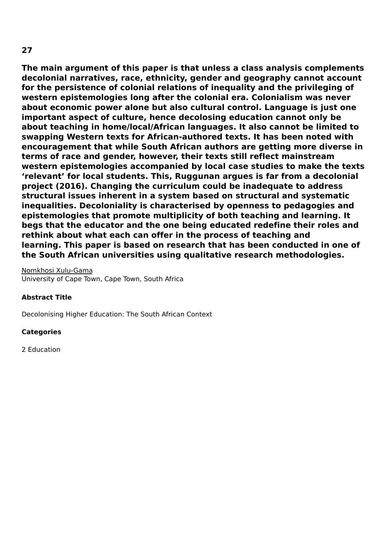**The main argument of this paper is that unless a class analysis complements decolonial narratives, race, ethnicity, gender and geography cannot account for the persistence of colonial relations of inequality and the privileging of western epistemologies long after the colonial era. Colonialism was never about economic power alone but also cultural control. Language is just one important aspect of culture, hence decolosing education cannot only be about teaching in home/local/African languages. It also cannot be limited to swapping Western texts for African-authored texts. It has been noted with encouragement that while South African authors are getting more diverse in terms of race and gender, however, their texts still reflect mainstream western epistemologies accompanied by local case studies to make the texts 'relevant' for local students. This, Ruggunan argues is far from a decolonial project (2016). Changing the curriculum could be inadequate to address structural issues inherent in a system based on structural and systematic inequalities. Decoloniality is characterised by openness to pedagogies and epistemologies that promote multiplicity of both teaching and learning. It begs that the educator and the one being educated redefine their roles and rethink about what each can offer in the process of teaching and learning. This paper is based on research that has been conducted in one of the South African universities using qualitative research methodologies.**

Nomkhosi Xulu-Gama University of Cape Town, Cape Town, South Africa

#### **Abstract Title**

Decolonising Higher Education: The South African Context

#### **Categories**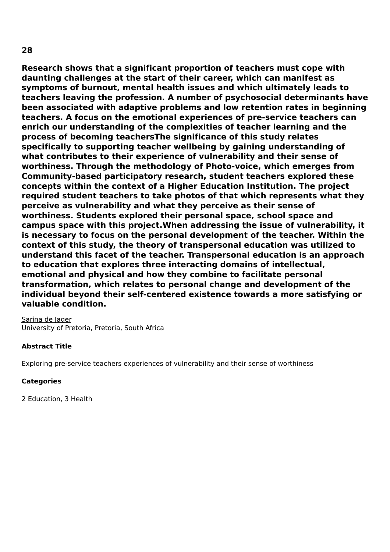**Research shows that a significant proportion of teachers must cope with daunting challenges at the start of their career, which can manifest as symptoms of burnout, mental health issues and which ultimately leads to teachers leaving the profession. A number of psychosocial determinants have been associated with adaptive problems and low retention rates in beginning teachers. A focus on the emotional experiences of pre-service teachers can enrich our understanding of the complexities of teacher learning and the process of becoming teachersThe significance of this study relates specifically to supporting teacher wellbeing by gaining understanding of what contributes to their experience of vulnerability and their sense of worthiness. Through the methodology of Photo-voice, which emerges from Community-based participatory research, student teachers explored these concepts within the context of a Higher Education Institution. The project required student teachers to take photos of that which represents what they perceive as vulnerability and what they perceive as their sense of worthiness. Students explored their personal space, school space and campus space with this project.When addressing the issue of vulnerability, it is necessary to focus on the personal development of the teacher. Within the context of this study, the theory of transpersonal education was utilized to understand this facet of the teacher. Transpersonal education is an approach to education that explores three interacting domains of intellectual, emotional and physical and how they combine to facilitate personal transformation, which relates to personal change and development of the individual beyond their self-centered existence towards a more satisfying or valuable condition.**

Sarina de Jager University of Pretoria, Pretoria, South Africa

#### **Abstract Title**

Exploring pre-service teachers experiences of vulnerability and their sense of worthiness

#### **Categories**

2 Education, 3 Health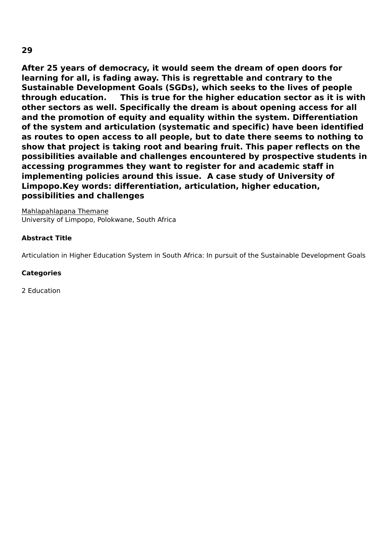**After 25 years of democracy, it would seem the dream of open doors for learning for all, is fading away. This is regrettable and contrary to the Sustainable Development Goals (SGDs), which seeks to the lives of people through education. This is true for the higher education sector as it is with other sectors as well. Specifically the dream is about opening access for all and the promotion of equity and equality within the system. Differentiation of the system and articulation (systematic and specific) have been identified as routes to open access to all people, but to date there seems to nothing to show that project is taking root and bearing fruit. This paper reflects on the possibilities available and challenges encountered by prospective students in accessing programmes they want to register for and academic staff in implementing policies around this issue. A case study of University of Limpopo.Key words: differentiation, articulation, higher education, possibilities and challenges**

Mahlapahlapana Themane University of Limpopo, Polokwane, South Africa

#### **Abstract Title**

Articulation in Higher Education System in South Africa: In pursuit of the Sustainable Development Goals

#### **Categories**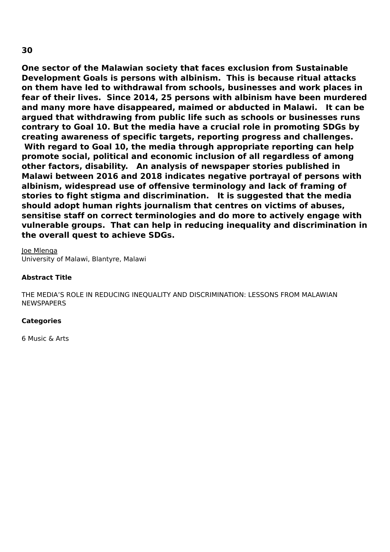**One sector of the Malawian society that faces exclusion from Sustainable Development Goals is persons with albinism. This is because ritual attacks on them have led to withdrawal from schools, businesses and work places in fear of their lives. Since 2014, 25 persons with albinism have been murdered and many more have disappeared, maimed or abducted in Malawi. It can be argued that withdrawing from public life such as schools or businesses runs contrary to Goal 10. But the media have a crucial role in promoting SDGs by creating awareness of specific targets, reporting progress and challenges. With regard to Goal 10, the media through appropriate reporting can help promote social, political and economic inclusion of all regardless of among other factors, disability. An analysis of newspaper stories published in Malawi between 2016 and 2018 indicates negative portrayal of persons with albinism, widespread use of offensive terminology and lack of framing of stories to fight stigma and discrimination. It is suggested that the media should adopt human rights journalism that centres on victims of abuses, sensitise staff on correct terminologies and do more to actively engage with vulnerable groups. That can help in reducing inequality and discrimination in the overall quest to achieve SDGs.**

Joe Mlenga University of Malawi, Blantyre, Malawi

#### **Abstract Title**

THE MEDIA'S ROLE IN REDUCING INEQUALITY AND DISCRIMINATION: LESSONS FROM MALAWIAN NEWSPAPERS

#### **Categories**

6 Music & Arts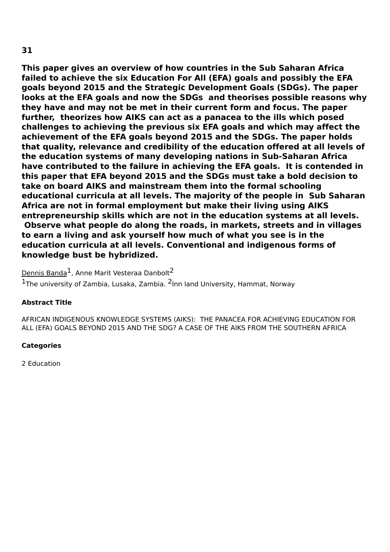# **This paper gives an overview of how countries in the Sub Saharan Africa failed to achieve the six Education For All (EFA) goals and possibly the EFA goals beyond 2015 and the Strategic Development Goals (SDGs). The paper looks at the EFA goals and now the SDGs and theorises possible reasons why they have and may not be met in their current form and focus. The paper further, theorizes how AIKS can act as a panacea to the ills which posed challenges to achieving the previous six EFA goals and which may affect the achievement of the EFA goals beyond 2015 and the SDGs. The paper holds that quality, relevance and credibility of the education offered at all levels of the education systems of many developing nations in Sub-Saharan Africa have contributed to the failure in achieving the EFA goals. It is contended in this paper that EFA beyond 2015 and the SDGs must take a bold decision to take on board AIKS and mainstream them into the formal schooling educational curricula at all levels. The majority of the people in Sub Saharan Africa are not in formal employment but make their living using AIKS entrepreneurship skills which are not in the education systems at all levels. Observe what people do along the roads, in markets, streets and in villages to earn a living and ask yourself how much of what you see is in the education curricula at all levels. Conventional and indigenous forms of knowledge bust be hybridized.**

Dennis Banda<sup>1</sup>, Anne Marit Vesteraa Danbolt<sup>2</sup>  $1$ The university of Zambia, Lusaka, Zambia.  $^2$ Inn land University, Hammat, Norway

#### **Abstract Title**

AFRICAN INDIGENOUS KNOWLEDGE SYSTEMS (AIKS): THE PANACEA FOR ACHIEVING EDUCATION FOR ALL (EFA) GOALS BEYOND 2015 AND THE SDG? A CASE OF THE AIKS FROM THE SOUTHERN AFRICA

#### **Categories**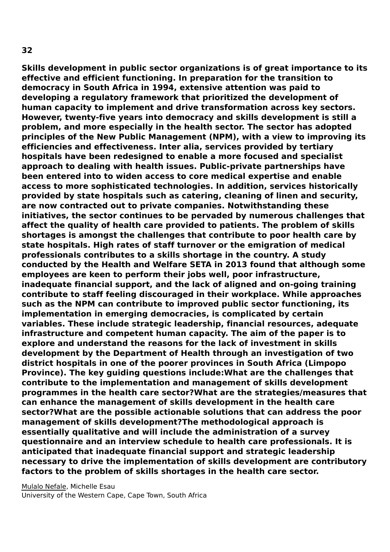**Skills development in public sector organizations is of great importance to its effective and efficient functioning. In preparation for the transition to democracy in South Africa in 1994, extensive attention was paid to developing a regulatory framework that prioritized the development of human capacity to implement and drive transformation across key sectors. However, twenty-five years into democracy and skills development is still a problem, and more especially in the health sector. The sector has adopted principles of the New Public Management (NPM), with a view to improving its efficiencies and effectiveness. Inter alia, services provided by tertiary hospitals have been redesigned to enable a more focused and specialist approach to dealing with health issues. Public-private partnerships have been entered into to widen access to core medical expertise and enable access to more sophisticated technologies. In addition, services historically provided by state hospitals such as catering, cleaning of linen and security, are now contracted out to private companies. Notwithstanding these initiatives, the sector continues to be pervaded by numerous challenges that affect the quality of health care provided to patients. The problem of skills shortages is amongst the challenges that contribute to poor health care by state hospitals. High rates of staff turnover or the emigration of medical professionals contributes to a skills shortage in the country. A study conducted by the Health and Welfare SETA in 2013 found that although some employees are keen to perform their jobs well, poor infrastructure, inadequate financial support, and the lack of aligned and on-going training contribute to staff feeling discouraged in their workplace. While approaches such as the NPM can contribute to improved public sector functioning, its implementation in emerging democracies, is complicated by certain variables. These include strategic leadership, financial resources, adequate infrastructure and competent human capacity. The aim of the paper is to explore and understand the reasons for the lack of investment in skills development by the Department of Health through an investigation of two district hospitals in one of the poorer provinces in South Africa (Limpopo Province). The key guiding questions include:What are the challenges that contribute to the implementation and management of skills development programmes in the health care sector?What are the strategies/measures that can enhance the management of skills development in the health care sector?What are the possible actionable solutions that can address the poor management of skills development?The methodological approach is essentially qualitative and will include the administration of a survey questionnaire and an interview schedule to health care professionals. It is anticipated that inadequate financial support and strategic leadership necessary to drive the implementation of skills development are contributory factors to the problem of skills shortages in the health care sector.**

Mulalo Nefale, Michelle Esau University of the Western Cape, Cape Town, South Africa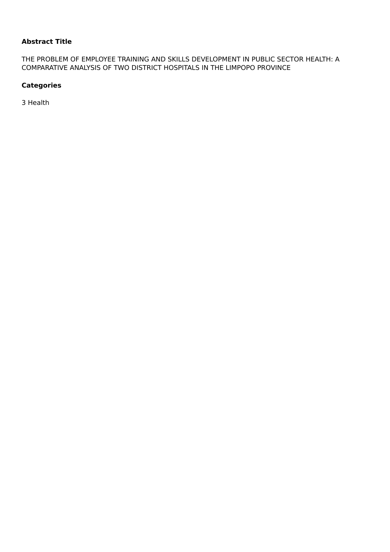# **Abstract Title**

THE PROBLEM OF EMPLOYEE TRAINING AND SKILLS DEVELOPMENT IN PUBLIC SECTOR HEALTH: A COMPARATIVE ANALYSIS OF TWO DISTRICT HOSPITALS IN THE LIMPOPO PROVINCE

#### **Categories**

3 Health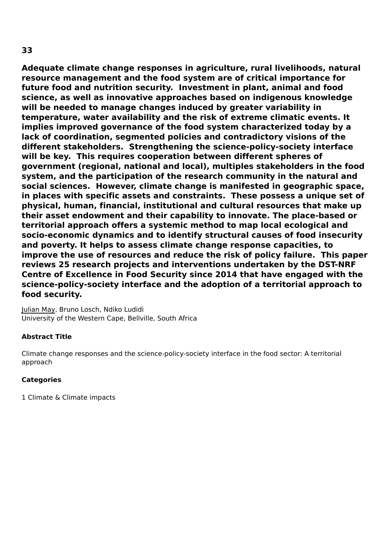**Adequate climate change responses in agriculture, rural livelihoods, natural resource management and the food system are of critical importance for future food and nutrition security. Investment in plant, animal and food science, as well as innovative approaches based on indigenous knowledge will be needed to manage changes induced by greater variability in temperature, water availability and the risk of extreme climatic events. It implies improved governance of the food system characterized today by a lack of coordination, segmented policies and contradictory visions of the different stakeholders. Strengthening the science-policy-society interface will be key. This requires cooperation between different spheres of government (regional, national and local), multiples stakeholders in the food system, and the participation of the research community in the natural and social sciences. However, climate change is manifested in geographic space, in places with specific assets and constraints. These possess a unique set of physical, human, financial, institutional and cultural resources that make up their asset endowment and their capability to innovate. The place-based or territorial approach offers a systemic method to map local ecological and socio-economic dynamics and to identify structural causes of food insecurity and poverty. It helps to assess climate change response capacities, to improve the use of resources and reduce the risk of policy failure. This paper reviews 25 research projects and interventions undertaken by the DST-NRF Centre of Excellence in Food Security since 2014 that have engaged with the science-policy-society interface and the adoption of a territorial approach to food security.**

Julian May, Bruno Losch, Ndiko Ludidi University of the Western Cape, Bellville, South Africa

# **Abstract Title**

Climate change responses and the science-policy-society interface in the food sector: A territorial approach

#### **Categories**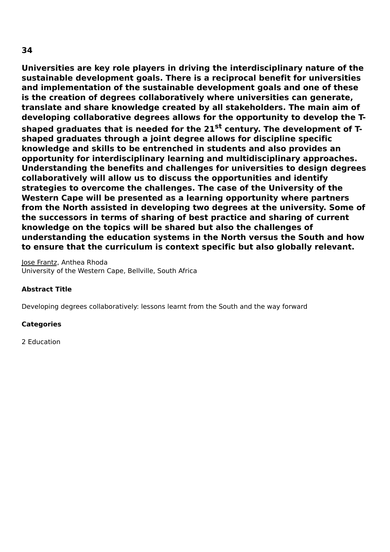**Universities are key role players in driving the interdisciplinary nature of the sustainable development goals. There is a reciprocal benefit for universities and implementation of the sustainable development goals and one of these is the creation of degrees collaboratively where universities can generate, translate and share knowledge created by all stakeholders. The main aim of developing collaborative degrees allows for the opportunity to develop the Tshaped graduates that is needed for the 21 st century. The development of Tshaped graduates through a joint degree allows for discipline specific knowledge and skills to be entrenched in students and also provides an opportunity for interdisciplinary learning and multidisciplinary approaches. Understanding the benefits and challenges for universities to design degrees collaboratively will allow us to discuss the opportunities and identify strategies to overcome the challenges. The case of the University of the Western Cape will be presented as a learning opportunity where partners from the North assisted in developing two degrees at the university. Some of**

**the successors in terms of sharing of best practice and sharing of current knowledge on the topics will be shared but also the challenges of understanding the education systems in the North versus the South and how to ensure that the curriculum is context specific but also globally relevant.**

Jose Frantz, Anthea Rhoda University of the Western Cape, Bellville, South Africa

#### **Abstract Title**

Developing degrees collaboratively: lessons learnt from the South and the way forward

#### **Categories**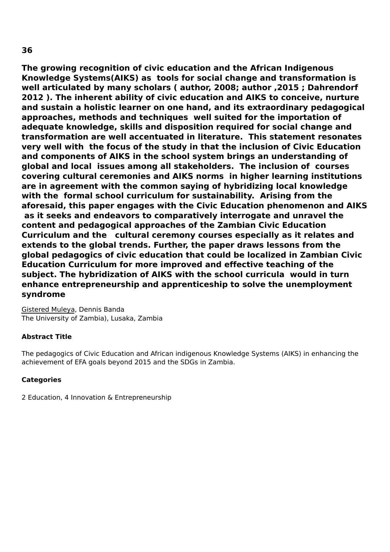**The growing recognition of civic education and the African Indigenous Knowledge Systems(AIKS) as tools for social change and transformation is well articulated by many scholars ( author, 2008; author ,2015 ; Dahrendorf 2012 ). The inherent ability of civic education and AIKS to conceive, nurture and sustain a holistic learner on one hand, and its extraordinary pedagogical approaches, methods and techniques well suited for the importation of adequate knowledge, skills and disposition required for social change and transformation are well accentuated in literature. This statement resonates very well with the focus of the study in that the inclusion of Civic Education and components of AIKS in the school system brings an understanding of global and local issues among all stakeholders. The inclusion of courses covering cultural ceremonies and AIKS norms in higher learning institutions are in agreement with the common saying of hybridizing local knowledge with the formal school curriculum for sustainability. Arising from the aforesaid, this paper engages with the Civic Education phenomenon and AIKS as it seeks and endeavors to comparatively interrogate and unravel the content and pedagogical approaches of the Zambian Civic Education Curriculum and the cultural ceremony courses especially as it relates and extends to the global trends. Further, the paper draws lessons from the global pedagogics of civic education that could be localized in Zambian Civic Education Curriculum for more improved and effective teaching of the subject. The hybridization of AIKS with the school curricula would in turn enhance entrepreneurship and apprenticeship to solve the unemployment syndrome**

Gistered Muleya, Dennis Banda The University of Zambia), Lusaka, Zambia

# **Abstract Title**

The pedagogics of Civic Education and African indigenous Knowledge Systems (AIKS) in enhancing the achievement of EFA goals beyond 2015 and the SDGs in Zambia.

#### **Categories**

2 Education, 4 Innovation & Entrepreneurship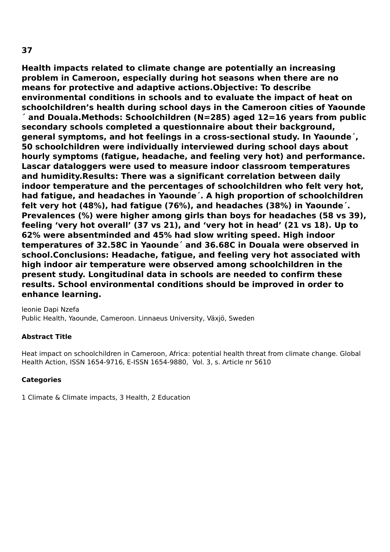**Health impacts related to climate change are potentially an increasing problem in Cameroon, especially during hot seasons when there are no means for protective and adaptive actions.Objective: To describe environmental conditions in schools and to evaluate the impact of heat on schoolchildren's health during school days in the Cameroon cities of Yaounde**

**´ and Douala.Methods: Schoolchildren (N=285) aged 12=16 years from public secondary schools completed a questionnaire about their background, general symptoms, and hot feelings in a cross-sectional study. In Yaounde´, 50 schoolchildren were individually interviewed during school days about hourly symptoms (fatigue, headache, and feeling very hot) and performance. Lascar dataloggers were used to measure indoor classroom temperatures and humidity.Results: There was a significant correlation between daily indoor temperature and the percentages of schoolchildren who felt very hot, had fatigue, and headaches in Yaounde´. A high proportion of schoolchildren felt very hot (48%), had fatigue (76%), and headaches (38%) in Yaounde´. Prevalences (%) were higher among girls than boys for headaches (58 vs 39), feeling 'very hot overall' (37 vs 21), and 'very hot in head' (21 vs 18). Up to 62% were absentminded and 45% had slow writing speed. High indoor temperatures of 32.58C in Yaounde´ and 36.68C in Douala were observed in school.Conclusions: Headache, fatigue, and feeling very hot associated with high indoor air temperature were observed among schoolchildren in the present study. Longitudinal data in schools are needed to confirm these results. School environmental conditions should be improved in order to enhance learning.**

leonie Dapi Nzefa Public Health, Yaounde, Cameroon. Linnaeus University, Växjö, Sweden

#### **Abstract Title**

Heat impact on schoolchildren in Cameroon, Africa: potential health threat from climate change. Global Health Action, ISSN 1654-9716, E-ISSN 1654-9880, Vol. 3, s. Article nr 5610

#### **Categories**

1 Climate & Climate impacts, 3 Health, 2 Education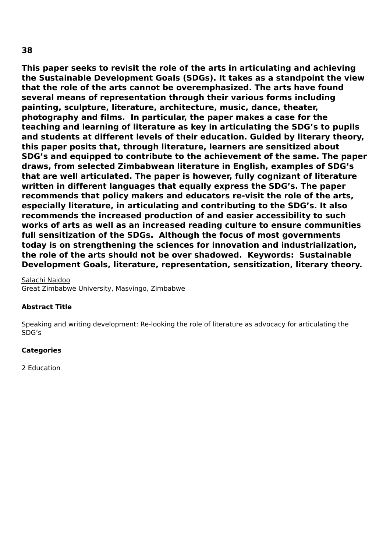**This paper seeks to revisit the role of the arts in articulating and achieving the Sustainable Development Goals (SDGs). It takes as a standpoint the view that the role of the arts cannot be overemphasized. The arts have found several means of representation through their various forms including painting, sculpture, literature, architecture, music, dance, theater, photography and films. In particular, the paper makes a case for the teaching and learning of literature as key in articulating the SDG's to pupils and students at different levels of their education. Guided by literary theory, this paper posits that, through literature, learners are sensitized about SDG's and equipped to contribute to the achievement of the same. The paper draws, from selected Zimbabwean literature in English, examples of SDG's that are well articulated. The paper is however, fully cognizant of literature written in different languages that equally express the SDG's. The paper recommends that policy makers and educators re-visit the role of the arts, especially literature, in articulating and contributing to the SDG's. It also recommends the increased production of and easier accessibility to such works of arts as well as an increased reading culture to ensure communities full sensitization of the SDGs. Although the focus of most governments today is on strengthening the sciences for innovation and industrialization, the role of the arts should not be over shadowed. Keywords: Sustainable Development Goals, literature, representation, sensitization, literary theory.**

#### Salachi Naidoo Great Zimbabwe University, Masvingo, Zimbabwe

# **Abstract Title**

Speaking and writing development: Re-looking the role of literature as advocacy for articulating the SDG's

#### **Categories**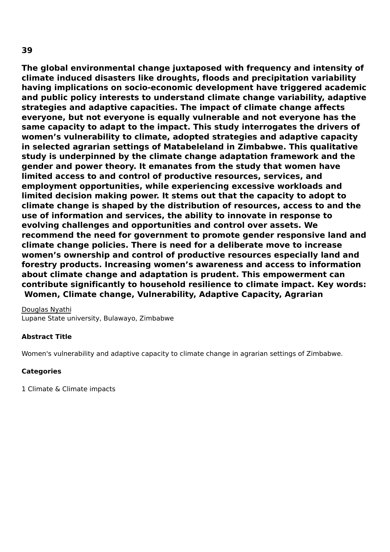**The global environmental change juxtaposed with frequency and intensity of climate induced disasters like droughts, floods and precipitation variability having implications on socio-economic development have triggered academic and public policy interests to understand climate change variability, adaptive strategies and adaptive capacities. The impact of climate change affects everyone, but not everyone is equally vulnerable and not everyone has the same capacity to adapt to the impact. This study interrogates the drivers of women's vulnerability to climate, adopted strategies and adaptive capacity in selected agrarian settings of Matabeleland in Zimbabwe. This qualitative study is underpinned by the climate change adaptation framework and the gender and power theory. It emanates from the study that women have limited access to and control of productive resources, services, and employment opportunities, while experiencing excessive workloads and limited decision making power. It stems out that the capacity to adopt to climate change is shaped by the distribution of resources, access to and the use of information and services, the ability to innovate in response to evolving challenges and opportunities and control over assets. We recommend the need for government to promote gender responsive land and climate change policies. There is need for a deliberate move to increase women's ownership and control of productive resources especially land and forestry products. Increasing women's awareness and access to information about climate change and adaptation is prudent. This empowerment can contribute significantly to household resilience to climate impact. Key words: Women, Climate change, Vulnerability, Adaptive Capacity, Agrarian**

Douglas Nyathi Lupane State university, Bulawayo, Zimbabwe

#### **Abstract Title**

Women's vulnerability and adaptive capacity to climate change in agrarian settings of Zimbabwe.

#### **Categories**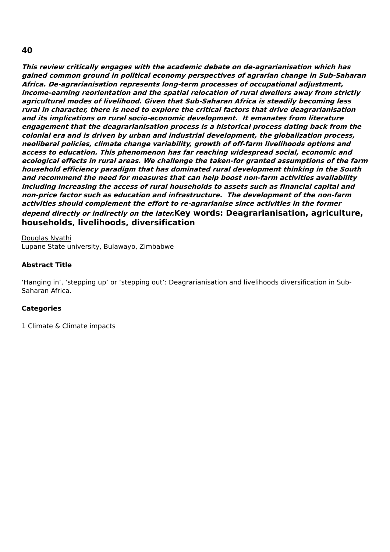**This review critically engages with the academic debate on de-agrarianisation which has gained common ground in political economy perspectives of agrarian change in Sub-Saharan Africa. De-agrarianisation represents long-term processes of occupational adjustment, income-earning reorientation and the spatial relocation of rural dwellers away from strictly agricultural modes of livelihood. Given that Sub-Saharan Africa is steadily becoming less rural in character, there is need to explore the critical factors that drive deagrarianisation and its implications on rural socio-economic development. It emanates from literature engagement that the deagrarianisation process is <sup>a</sup> historical process dating back from the colonial era and is driven by urban and industrial development, the globalization process, neoliberal policies, climate change variability, growth of off-farm livelihoods options and access to education. This phenomenon has far reaching widespread social, economic and ecological effects in rural areas. We challenge the taken-for granted assumptions of the farm household efficiency paradigm that has dominated rural development thinking in the South and recommend the need for measures that can help boost non-farm activities availability including increasing the access of rural households to assets such as financial capital and non-price factor such as education and infrastructure. The development of the non-farm activities should complement the effort to re-agrarianise since activities in the former depend directly or indirectly on the later.Key words: Deagrarianisation, agriculture, households, livelihoods, diversification**

Douglas Nyathi Lupane State university, Bulawayo, Zimbabwe

#### **Abstract Title**

'Hanging in', 'stepping up' or 'stepping out': Deagrarianisation and livelihoods diversification in Sub-Saharan Africa.

#### **Categories**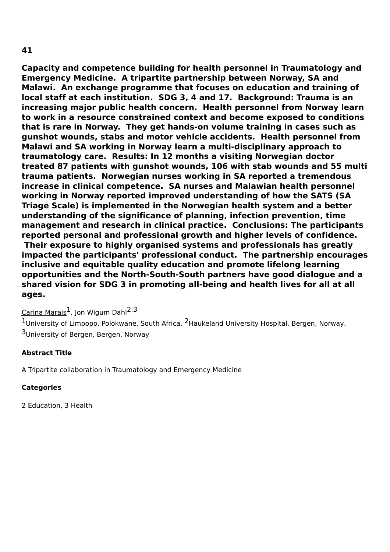**Capacity and competence building for health personnel in Traumatology and Emergency Medicine. A tripartite partnership between Norway, SA and Malawi. An exchange programme that focuses on education and training of local staff at each institution. SDG 3, 4 and 17. Background: Trauma is an increasing major public health concern. Health personnel from Norway learn to work in a resource constrained context and become exposed to conditions that is rare in Norway. They get hands-on volume training in cases such as gunshot wounds, stabs and motor vehicle accidents. Health personnel from Malawi and SA working in Norway learn a multi-disciplinary approach to traumatology care. Results: In 12 months a visiting Norwegian doctor treated 87 patients with gunshot wounds, 106 with stab wounds and 55 multi trauma patients. Norwegian nurses working in SA reported a tremendous increase in clinical competence. SA nurses and Malawian health personnel working in Norway reported improved understanding of how the SATS (SA Triage Scale) is implemented in the Norwegian health system and a better understanding of the significance of planning, infection prevention, time management and research in clinical practice. Conclusions: The participants reported personal and professional growth and higher levels of confidence. Their exposure to highly organised systems and professionals has greatly impacted the participants' professional conduct. The partnership encourages inclusive and equitable quality education and promote lifelong learning opportunities and the North-South-South partners have good dialogue and a shared vision for SDG 3 in promoting all-being and health lives for all at all ages.**

<u>Carina Marais</u><sup>1</sup>, Jon Wigum Dahl<sup>2,3</sup>

 $1$ University of Limpopo, Polokwane, South Africa. <sup>2</sup>Haukeland University Hospital, Bergen, Norway. <sup>3</sup>University of Bergen, Bergen, Norway

## **Abstract Title**

A Tripartite collaboration in Traumatology and Emergency Medicine

# **Categories**

2 Education, 3 Health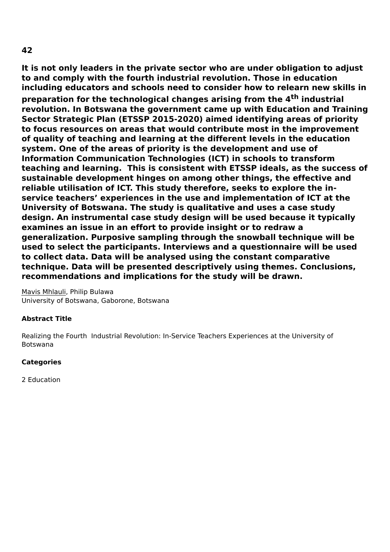**It is not only leaders in the private sector who are under obligation to adjust to and comply with the fourth industrial revolution. Those in education including educators and schools need to consider how to relearn new skills in preparation for the technological changes arising from the 4 th industrial revolution. In Botswana the government came up with Education and Training Sector Strategic Plan (ETSSP 2015-2020) aimed identifying areas of priority to focus resources on areas that would contribute most in the improvement of quality of teaching and learning at the different levels in the education system. One of the areas of priority is the development and use of Information Communication Technologies (ICT) in schools to transform teaching and learning. This is consistent with ETSSP ideals, as the success of sustainable development hinges on among other things, the effective and reliable utilisation of ICT. This study therefore, seeks to explore the inservice teachers' experiences in the use and implementation of ICT at the University of Botswana. The study is qualitative and uses a case study design. An instrumental case study design will be used because it typically examines an issue in an effort to provide insight or to redraw a generalization. Purposive sampling through the snowball technique will be used to select the participants. Interviews and a questionnaire will be used to collect data. Data will be analysed using the constant comparative technique. Data will be presented descriptively using themes. Conclusions, recommendations and implications for the study will be drawn.**

Mavis Mhlauli, Philip Bulawa University of Botswana, Gaborone, Botswana

## **Abstract Title**

Realizing the Fourth Industrial Revolution: In-Service Teachers Experiences at the University of Botswana

## **Categories**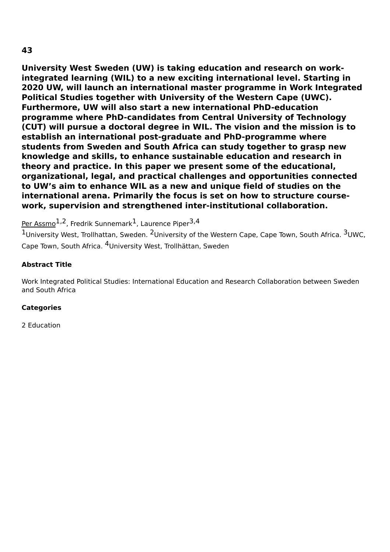**University West Sweden (UW) is taking education and research on workintegrated learning (WIL) to a new exciting international level. Starting in 2020 UW, will launch an international master programme in Work Integrated Political Studies together with University of the Western Cape (UWC). Furthermore, UW will also start a new international PhD-education programme where PhD-candidates from Central University of Technology (CUT) will pursue a doctoral degree in WIL. The vision and the mission is to establish an international post-graduate and PhD-programme where students from Sweden and South Africa can study together to grasp new knowledge and skills, to enhance sustainable education and research in theory and practice. In this paper we present some of the educational, organizational, legal, and practical challenges and opportunities connected to UW's aim to enhance WIL as a new and unique field of studies on the international arena. Primarily the focus is set on how to structure coursework, supervision and strengthened inter-institutional collaboration.**

<u>Per Assmo</u><sup>1,2</sup>, Fredrik Sunnemark<sup>1</sup>, Laurence Piper<sup>3,4</sup>

1University West, Trollhattan, Sweden. <sup>2</sup>University of the Western Cape, Cape Town, South Africa. <sup>3</sup>UWC, Cape Town, South Africa. <sup>4</sup>University West, Trollhättan, Sweden

## **Abstract Title**

Work Integrated Political Studies: International Education and Research Collaboration between Sweden and South Africa

## **Categories**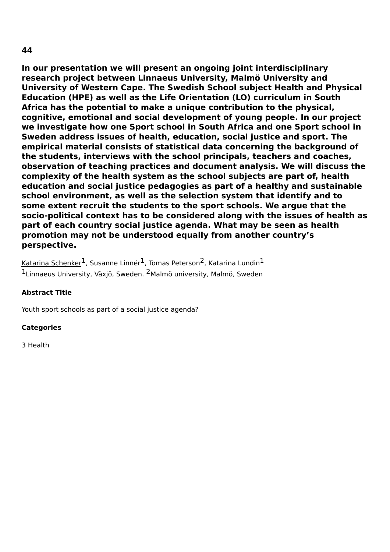**In our presentation we will present an ongoing joint interdisciplinary research project between Linnaeus University, Malmö University and University of Western Cape. The Swedish School subject Health and Physical Education (HPE) as well as the Life Orientation (LO) curriculum in South Africa has the potential to make a unique contribution to the physical, cognitive, emotional and social development of young people. In our project we investigate how one Sport school in South Africa and one Sport school in Sweden address issues of health, education, social justice and sport. The empirical material consists of statistical data concerning the background of the students, interviews with the school principals, teachers and coaches, observation of teaching practices and document analysis. We will discuss the complexity of the health system as the school subjects are part of, health education and social justice pedagogies as part of a healthy and sustainable school environment, as well as the selection system that identify and to some extent recruit the students to the sport schools. We argue that the socio-political context has to be considered along with the issues of health as part of each country social justice agenda. What may be seen as health promotion may not be understood equally from another country's**

**perspective.**

<u>Katarina Schenker</u><sup>1</sup>, Susanne Linnér<sup>1</sup>, Tomas Peterson<sup>2</sup>, Katarina Lundin<sup>1</sup> <sup>1</sup>Linnaeus University, Växjö, Sweden. <sup>2</sup>Malmö university, Malmö, Sweden

## **Abstract Title**

Youth sport schools as part of a social justice agenda?

#### **Categories**

3 Health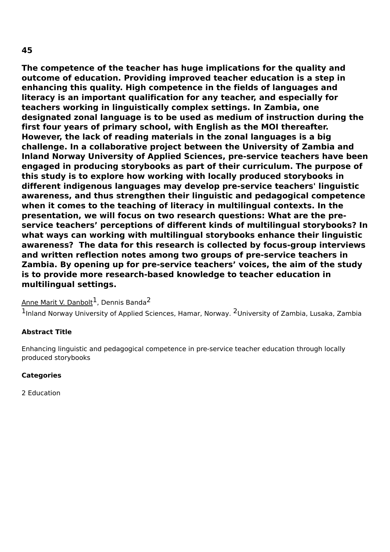**The competence of the teacher has huge implications for the quality and outcome of education. Providing improved teacher education is a step in enhancing this quality. High competence in the fields of languages and literacy is an important qualification for any teacher, and especially for teachers working in linguistically complex settings. In Zambia, one designated zonal language is to be used as medium of instruction during the first four years of primary school, with English as the MOI thereafter. However, the lack of reading materials in the zonal languages is a big challenge. In a collaborative project between the University of Zambia and Inland Norway University of Applied Sciences, pre-service teachers have been engaged in producing storybooks as part of their curriculum. The purpose of this study is to explore how working with locally produced storybooks in different indigenous languages may develop pre-service teachers' linguistic awareness, and thus strengthen their linguistic and pedagogical competence when it comes to the teaching of literacy in multilingual contexts. In the presentation, we will focus on two research questions: What are the preservice teachers' perceptions of different kinds of multilingual storybooks? In what ways can working with multilingual storybooks enhance their linguistic awareness? The data for this research is collected by focus-group interviews and written reflection notes among two groups of pre-service teachers in Zambia. By opening up for pre-service teachers' voices, the aim of the study is to provide more research-based knowledge to teacher education in multilingual settings.**

# Anne Marit V. Danbolt<sup>1</sup>, Dennis Banda<sup>2</sup>

<sup>1</sup>Inland Norway University of Applied Sciences, Hamar, Norway. <sup>2</sup>University of Zambia, Lusaka, Zambia

## **Abstract Title**

Enhancing linguistic and pedagogical competence in pre-service teacher education through locally produced storybooks

#### **Categories**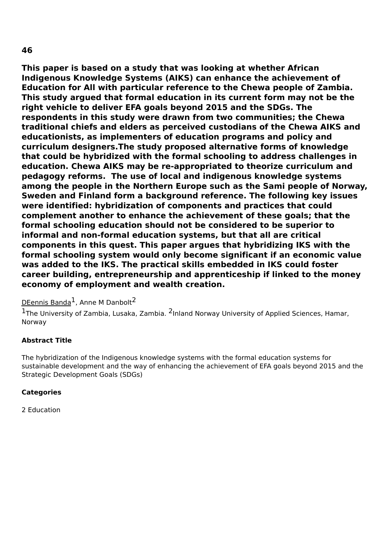**This paper is based on a study that was looking at whether African Indigenous Knowledge Systems (AIKS) can enhance the achievement of Education for All with particular reference to the Chewa people of Zambia. This study argued that formal education in its current form may not be the right vehicle to deliver EFA goals beyond 2015 and the SDGs. The respondents in this study were drawn from two communities; the Chewa traditional chiefs and elders as perceived custodians of the Chewa AIKS and educationists, as implementers of education programs and policy and curriculum designers.The study proposed alternative forms of knowledge that could be hybridized with the formal schooling to address challenges in education. Chewa AIKS may be re-appropriated to theorize curriculum and pedagogy reforms. The use of local and indigenous knowledge systems among the people in the Northern Europe such as the Sami people of Norway, Sweden and Finland form a background reference. The following key issues were identified: hybridization of components and practices that could complement another to enhance the achievement of these goals; that the formal schooling education should not be considered to be superior to informal and non-formal education systems, but that all are critical components in this quest. This paper argues that hybridizing IKS with the formal schooling system would only become significant if an economic value was added to the IKS. The practical skills embedded in IKS could foster career building, entrepreneurship and apprenticeship if linked to the money economy of employment and wealth creation.**

## DEennis Banda<sup>1</sup>, Anne M Danbolt<sup>2</sup>

<sup>1</sup>The University of Zambia, Lusaka, Zambia. <sup>2</sup>Inland Norway University of Applied Sciences, Hamar, Norway

## **Abstract Title**

The hybridization of the Indigenous knowledge systems with the formal education systems for sustainable development and the way of enhancing the achievement of EFA goals beyond 2015 and the Strategic Development Goals (SDGs)

#### **Categories**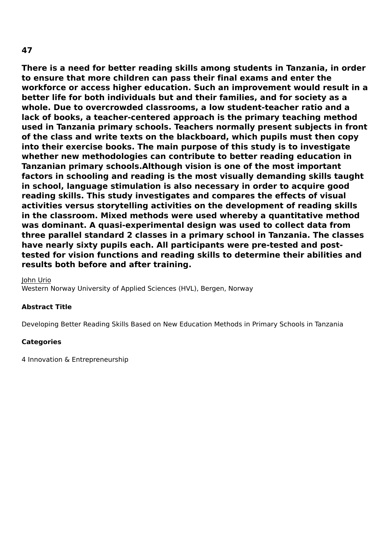**There is a need for better reading skills among students in Tanzania, in order to ensure that more children can pass their final exams and enter the workforce or access higher education. Such an improvement would result in a better life for both individuals but and their families, and for society as a whole. Due to overcrowded classrooms, a low student-teacher ratio and a lack of books, a teacher-centered approach is the primary teaching method used in Tanzania primary schools. Teachers normally present subjects in front of the class and write texts on the blackboard, which pupils must then copy into their exercise books. The main purpose of this study is to investigate whether new methodologies can contribute to better reading education in Tanzanian primary schools.Although vision is one of the most important factors in schooling and reading is the most visually demanding skills taught in school, language stimulation is also necessary in order to acquire good reading skills. This study investigates and compares the effects of visual activities versus storytelling activities on the development of reading skills in the classroom. Mixed methods were used whereby a quantitative method was dominant. A quasi-experimental design was used to collect data from three parallel standard 2 classes in a primary school in Tanzania. The classes have nearly sixty pupils each. All participants were pre-tested and posttested for vision functions and reading skills to determine their abilities and results both before and after training.**

John Urio

Western Norway University of Applied Sciences (HVL), Bergen, Norway

#### **Abstract Title**

Developing Better Reading Skills Based on New Education Methods in Primary Schools in Tanzania

#### **Categories**

4 Innovation & Entrepreneurship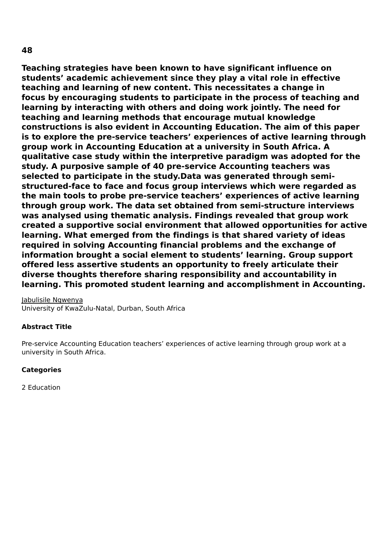**Teaching strategies have been known to have significant influence on students' academic achievement since they play a vital role in effective teaching and learning of new content. This necessitates a change in focus by encouraging students to participate in the process of teaching and learning by interacting with others and doing work jointly. The need for teaching and learning methods that encourage mutual knowledge constructions is also evident in Accounting Education. The aim of this paper is to explore the pre-service teachers' experiences of active learning through group work in Accounting Education at a university in South Africa. A qualitative case study within the interpretive paradigm was adopted for the study. A purposive sample of 40 pre-service Accounting teachers was selected to participate in the study.Data was generated through semistructured-face to face and focus group interviews which were regarded as the main tools to probe pre-service teachers' experiences of active learning through group work. The data set obtained from semi-structure interviews was analysed using thematic analysis. Findings revealed that group work created a supportive social environment that allowed opportunities for active learning. What emerged from the findings is that shared variety of ideas required in solving Accounting financial problems and the exchange of information brought a social element to students' learning. Group support offered less assertive students an opportunity to freely articulate their diverse thoughts therefore sharing responsibility and accountability in learning. This promoted student learning and accomplishment in Accounting.**

Jabulisile Ngwenya University of KwaZulu-Natal, Durban, South Africa

## **Abstract Title**

Pre-service Accounting Education teachers' experiences of active learning through group work at a university in South Africa.

## **Categories**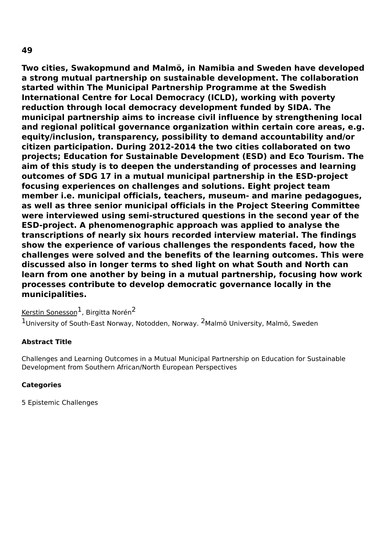**Two cities, Swakopmund and Malmö, in Namibia and Sweden have developed a strong mutual partnership on sustainable development. The collaboration started within The Municipal Partnership Programme at the Swedish International Centre for Local Democracy (ICLD), working with poverty reduction through local democracy development funded by SIDA. The municipal partnership aims to increase civil influence by strengthening local and regional political governance organization within certain core areas, e.g. equity/inclusion, transparency, possibility to demand accountability and/or citizen participation. During 2012-2014 the two cities collaborated on two projects; Education for Sustainable Development (ESD) and Eco Tourism. The aim of this study is to deepen the understanding of processes and learning outcomes of SDG 17 in a mutual municipal partnership in the ESD-project focusing experiences on challenges and solutions. Eight project team member i.e. municipal officials, teachers, museum- and marine pedagogues, as well as three senior municipal officials in the Project Steering Committee were interviewed using semi-structured questions in the second year of the ESD-project. A phenomenographic approach was applied to analyse the transcriptions of nearly six hours recorded interview material. The findings show the experience of various challenges the respondents faced, how the challenges were solved and the benefits of the learning outcomes. This were discussed also in longer terms to shed light on what South and North can learn from one another by being in a mutual partnership, focusing how work processes contribute to develop democratic governance locally in the municipalities.**

Kerstin Sonesson<sup>1</sup>, Birgitta Norén<sup>2</sup>

 $1$ University of South-East Norway, Notodden, Norway. <sup>2</sup>Malmö University, Malmö, Sweden

## **Abstract Title**

Challenges and Learning Outcomes in a Mutual Municipal Partnership on Education for Sustainable Development from Southern African/North European Perspectives

## **Categories**

5 Epistemic Challenges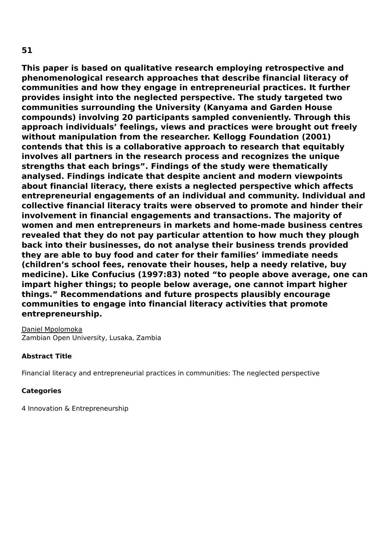**This paper is based on qualitative research employing retrospective and phenomenological research approaches that describe financial literacy of communities and how they engage in entrepreneurial practices. It further provides insight into the neglected perspective. The study targeted two communities surrounding the University (Kanyama and Garden House compounds) involving 20 participants sampled conveniently. Through this approach individuals' feelings, views and practices were brought out freely without manipulation from the researcher. Kellogg Foundation (2001) contends that this is a collaborative approach to research that equitably**

**involves all partners in the research process and recognizes the unique strengths that each brings". Findings of the study were thematically analysed. Findings indicate that despite ancient and modern viewpoints about financial literacy, there exists a neglected perspective which affects entrepreneurial engagements of an individual and community. Individual and collective financial literacy traits were observed to promote and hinder their involvement in financial engagements and transactions. The majority of women and men entrepreneurs in markets and home-made business centres revealed that they do not pay particular attention to how much they plough back into their businesses, do not analyse their business trends provided they are able to buy food and cater for their families' immediate needs (children's school fees, renovate their houses, help a needy relative, buy medicine). Like Confucius (1997:83) noted "to people above average, one can impart higher things; to people below average, one cannot impart higher things." Recommendations and future prospects plausibly encourage communities to engage into financial literacy activities that promote entrepreneurship.**

Daniel Mpolomoka Zambian Open University, Lusaka, Zambia

## **Abstract Title**

Financial literacy and entrepreneurial practices in communities: The neglected perspective

## **Categories**

4 Innovation & Entrepreneurship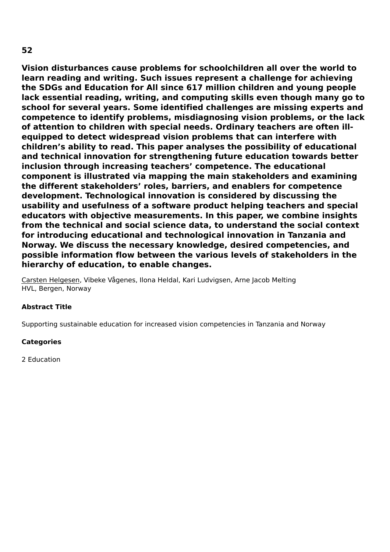**Vision disturbances cause problems for schoolchildren all over the world to learn reading and writing. Such issues represent a challenge for achieving the SDGs and Education for All since 617 million children and young people lack essential reading, writing, and computing skills even though many go to school for several years. Some identified challenges are missing experts and competence to identify problems, misdiagnosing vision problems, or the lack of attention to children with special needs. Ordinary teachers are often illequipped to detect widespread vision problems that can interfere with children's ability to read. This paper analyses the possibility of educational and technical innovation for strengthening future education towards better inclusion through increasing teachers' competence. The educational component is illustrated via mapping the main stakeholders and examining the different stakeholders' roles, barriers, and enablers for competence development. Technological innovation is considered by discussing the usability and usefulness of a software product helping teachers and special educators with objective measurements. In this paper, we combine insights from the technical and social science data, to understand the social context for introducing educational and technological innovation in Tanzania and Norway. We discuss the necessary knowledge, desired competencies, and possible information flow between the various levels of stakeholders in the hierarchy of education, to enable changes.**

Carsten Helgesen, Vibeke Vågenes, Ilona Heldal, Kari Ludvigsen, Arne Jacob Melting HVL, Bergen, Norway

#### **Abstract Title**

Supporting sustainable education for increased vision competencies in Tanzania and Norway

#### **Categories**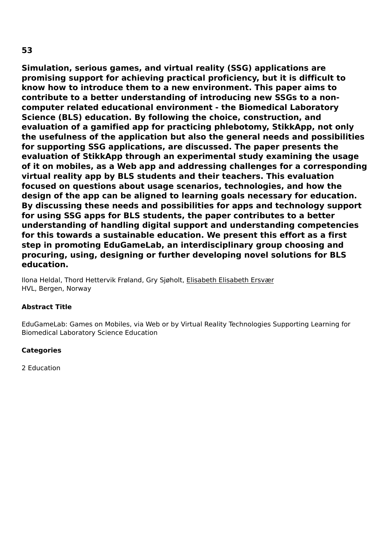**Simulation, serious games, and virtual reality (SSG) applications are promising support for achieving practical proficiency, but it is difficult to know how to introduce them to a new environment. This paper aims to contribute to a better understanding of introducing new SSGs to a noncomputer related educational environment - the Biomedical Laboratory Science (BLS) education. By following the choice, construction, and evaluation of a gamified app for practicing phlebotomy, StikkApp, not only the usefulness of the application but also the general needs and possibilities for supporting SSG applications, are discussed. The paper presents the evaluation of StikkApp through an experimental study examining the usage of it on mobiles, as a Web app and addressing challenges for a corresponding virtual reality app by BLS students and their teachers. This evaluation focused on questions about usage scenarios, technologies, and how the design of the app can be aligned to learning goals necessary for education. By discussing these needs and possibilities for apps and technology support for using SSG apps for BLS students, the paper contributes to a better understanding of handling digital support and understanding competencies for this towards a sustainable education. We present this effort as a first step in promoting EduGameLab, an interdisciplinary group choosing and procuring, using, designing or further developing novel solutions for BLS education.**

Ilona Heldal, Thord Hettervik Frøland, Gry Sjøholt, Elisabeth Elisabeth Ersvær HVL, Bergen, Norway

## **Abstract Title**

EduGameLab: Games on Mobiles, via Web or by Virtual Reality Technologies Supporting Learning for Biomedical Laboratory Science Education

## **Categories**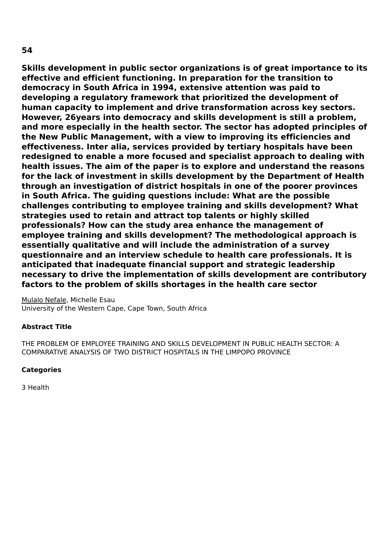**Skills development in public sector organizations is of great importance to its effective and efficient functioning. In preparation for the transition to democracy in South Africa in 1994, extensive attention was paid to developing a regulatory framework that prioritized the development of human capacity to implement and drive transformation across key sectors. However, 26years into democracy and skills development is still a problem, and more especially in the health sector. The sector has adopted principles of the New Public Management, with a view to improving its efficiencies and effectiveness. Inter alia, services provided by tertiary hospitals have been redesigned to enable a more focused and specialist approach to dealing with health issues. The aim of the paper is to explore and understand the reasons for the lack of investment in skills development by the Department of Health through an investigation of district hospitals in one of the poorer provinces in South Africa. The guiding questions include: What are the possible challenges contributing to employee training and skills development? What strategies used to retain and attract top talents or highly skilled professionals? How can the study area enhance the management of employee training and skills development? The methodological approach is essentially qualitative and will include the administration of a survey questionnaire and an interview schedule to health care professionals. It is anticipated that inadequate financial support and strategic leadership necessary to drive the implementation of skills development are contributory factors to the problem of skills shortages in the health care sector**

Mulalo Nefale, Michelle Esau University of the Western Cape, Cape Town, South Africa

## **Abstract Title**

THE PROBLEM OF EMPLOYEE TRAINING AND SKILLS DEVELOPMENT IN PUBLIC HEALTH SECTOR: A COMPARATIVE ANALYSIS OF TWO DISTRICT HOSPITALS IN THE LIMPOPO PROVINCE

## **Categories**

3 Health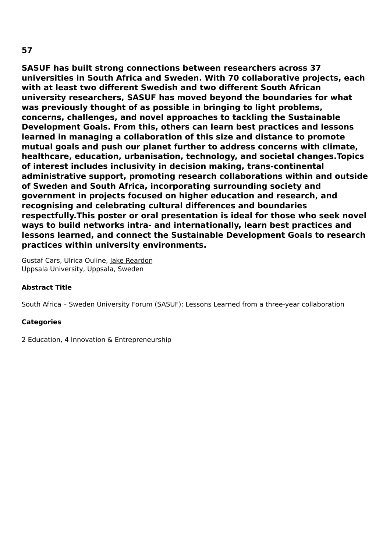**SASUF has built strong connections between researchers across 37 universities in South Africa and Sweden. With 70 collaborative projects, each with at least two different Swedish and two different South African university researchers, SASUF has moved beyond the boundaries for what was previously thought of as possible in bringing to light problems, concerns, challenges, and novel approaches to tackling the Sustainable Development Goals. From this, others can learn best practices and lessons learned in managing a collaboration of this size and distance to promote mutual goals and push our planet further to address concerns with climate, healthcare, education, urbanisation, technology, and societal changes.Topics of interest includes inclusivity in decision making, trans-continental administrative support, promoting research collaborations within and outside of Sweden and South Africa, incorporating surrounding society and government in projects focused on higher education and research, and recognising and celebrating cultural differences and boundaries respectfully.This poster or oral presentation is ideal for those who seek novel ways to build networks intra- and internationally, learn best practices and lessons learned, and connect the Sustainable Development Goals to research practices within university environments.**

Gustaf Cars, Ulrica Ouline, Jake Reardon Uppsala University, Uppsala, Sweden

## **Abstract Title**

South Africa – Sweden University Forum (SASUF): Lessons Learned from a three-year collaboration

## **Categories**

2 Education, 4 Innovation & Entrepreneurship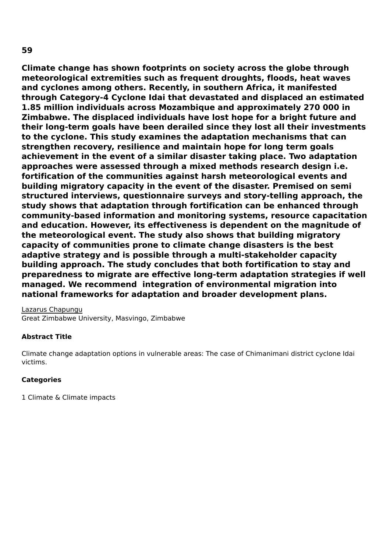**59**

**Climate change has shown footprints on society across the globe through meteorological extremities such as frequent droughts, floods, heat waves and cyclones among others. Recently, in southern Africa, it manifested through Category-4 Cyclone Idai that devastated and displaced an estimated 1.85 million individuals across Mozambique and approximately 270 000 in Zimbabwe. The displaced individuals have lost hope for a bright future and their long-term goals have been derailed since they lost all their investments to the cyclone. This study examines the adaptation mechanisms that can strengthen recovery, resilience and maintain hope for long term goals achievement in the event of a similar disaster taking place. Two adaptation approaches were assessed through a mixed methods research design i.e. fortification of the communities against harsh meteorological events and building migratory capacity in the event of the disaster. Premised on semi structured interviews, questionnaire surveys and story-telling approach, the study shows that adaptation through fortification can be enhanced through community-based information and monitoring systems, resource capacitation and education. However, its effectiveness is dependent on the magnitude of the meteorological event. The study also shows that building migratory capacity of communities prone to climate change disasters is the best adaptive strategy and is possible through a multi-stakeholder capacity building approach. The study concludes that both fortification to stay and preparedness to migrate are effective long-term adaptation strategies if well managed. We recommend integration of environmental migration into national frameworks for adaptation and broader development plans.**

Lazarus Chapungu Great Zimbabwe University, Masvingo, Zimbabwe

## **Abstract Title**

Climate change adaptation options in vulnerable areas: The case of Chimanimani district cyclone Idai victims.

## **Categories**

1 Climate & Climate impacts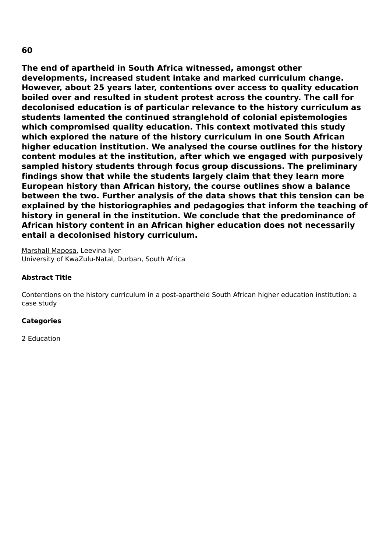**The end of apartheid in South Africa witnessed, amongst other developments, increased student intake and marked curriculum change. However, about 25 years later, contentions over access to quality education boiled over and resulted in student protest across the country. The call for decolonised education is of particular relevance to the history curriculum as students lamented the continued stranglehold of colonial epistemologies which compromised quality education. This context motivated this study which explored the nature of the history curriculum in one South African higher education institution. We analysed the course outlines for the history content modules at the institution, after which we engaged with purposively sampled history students through focus group discussions. The preliminary findings show that while the students largely claim that they learn more European history than African history, the course outlines show a balance between the two. Further analysis of the data shows that this tension can be explained by the historiographies and pedagogies that inform the teaching of history in general in the institution. We conclude that the predominance of African history content in an African higher education does not necessarily entail a decolonised history curriculum.**

Marshall Maposa, Leevina Iyer University of KwaZulu-Natal, Durban, South Africa

## **Abstract Title**

Contentions on the history curriculum in a post-apartheid South African higher education institution: a case study

## **Categories**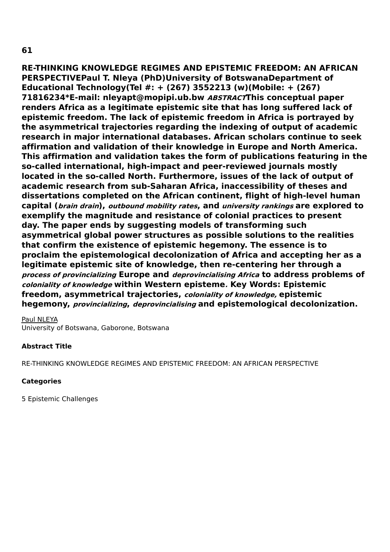**RE-THINKING KNOWLEDGE REGIMES AND EPISTEMIC FREEDOM: AN AFRICAN PERSPECTIVEPaul T. Nleya (PhD)University of BotswanaDepartment of Educational Technology(Tel #: + (267) 3552213 (w)(Mobile: + (267) 71816234\*E-mail: nleyapt@mopipi.ub.bw ABSTRACTThis conceptual paper renders Africa as a legitimate epistemic site that has long suffered lack of epistemic freedom. The lack of epistemic freedom in Africa is portrayed by the asymmetrical trajectories regarding the indexing of output of academic research in major international databases. African scholars continue to seek affirmation and validation of their knowledge in Europe and North America. This affirmation and validation takes the form of publications featuring in the so-called international, high-impact and peer-reviewed journals mostly located in the so-called North. Furthermore, issues of the lack of output of academic research from sub-Saharan Africa, inaccessibility of theses and dissertations completed on the African continent, flight of high-level human capital (brain drain), outbound mobility rates, and university rankings are explored to exemplify the magnitude and resistance of colonial practices to present day. The paper ends by suggesting models of transforming such asymmetrical global power structures as possible solutions to the realities that confirm the existence of epistemic hegemony. The essence is to proclaim the epistemological decolonization of Africa and accepting her as a legitimate epistemic site of knowledge, then re-centering her through a process of provincializing Europe and deprovincialising Africa to address problems of coloniality of knowledge within Western episteme. Key Words: Epistemic freedom, asymmetrical trajectories, coloniality of knowledge, epistemic hegemony, provincializing, deprovincialising and epistemological decolonization.**

Paul NLEYA

University of Botswana, Gaborone, Botswana

## **Abstract Title**

RE-THINKING KNOWLEDGE REGIMES AND EPISTEMIC FREEDOM: AN AFRICAN PERSPECTIVE

## **Categories**

5 Epistemic Challenges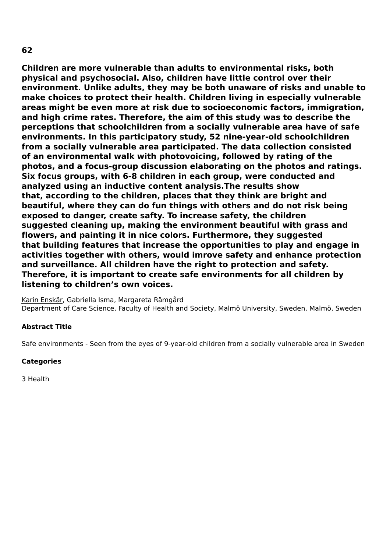**Children are more vulnerable than adults to environmental risks, both physical and psychosocial. Also, children have little control over their environment. Unlike adults, they may be both unaware of risks and unable to make choices to protect their health. Children living in especially vulnerable areas might be even more at risk due to socioeconomic factors, immigration, and high crime rates. Therefore, the aim of this study was to describe the perceptions that schoolchildren from a socially vulnerable area have of safe environments. In this participatory study, 52 nine-year-old schoolchildren from a socially vulnerable area participated. The data collection consisted of an environmental walk with photovoicing, followed by rating of the photos, and a focus-group discussion elaborating on the photos and ratings. Six focus groups, with 6-8 children in each group, were conducted and analyzed using an inductive content analysis.The results show that, according to the children, places that they think are bright and beautiful, where they can do fun things with others and do not risk being exposed to danger, create safty. To increase safety, the children suggested cleaning up, making the environment beautiful with grass and flowers, and painting it in nice colors. Furthermore, they suggested that building features that increase the opportunities to play and engage in activities together with others, would imrove safety and enhance protection and surveillance. All children have the right to protection and safety. Therefore, it is important to create safe environments for all children by listening to children's own voices.**

Karin Enskär, Gabriella Isma, Margareta Rämgård Department of Care Science, Faculty of Health and Society, Malmö University, Sweden, Malmö, Sweden

## **Abstract Title**

Safe environments - Seen from the eyes of 9-year-old children from a socially vulnerable area in Sweden

#### **Categories**

3 Health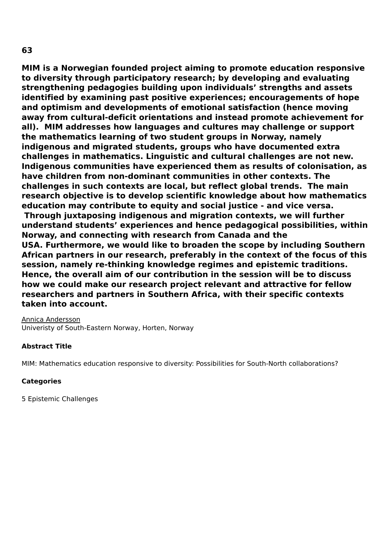**MIM is a Norwegian founded project aiming to promote education responsive to diversity through participatory research; by developing and evaluating strengthening pedagogies building upon individuals' strengths and assets identified by examining past positive experiences; encouragements of hope and optimism and developments of emotional satisfaction (hence moving away from cultural-deficit orientations and instead promote achievement for all). MIM addresses how languages and cultures may challenge or support the mathematics learning of two student groups in Norway, namely indigenous and migrated students, groups who have documented extra challenges in mathematics. Linguistic and cultural challenges are not new. Indigenous communities have experienced them as results of colonisation, as have children from non-dominant communities in other contexts. The challenges in such contexts are local, but reflect global trends. The main research objective is to develop scientific knowledge about how mathematics education may contribute to equity and social justice - and vice versa. Through juxtaposing indigenous and migration contexts, we will further understand students' experiences and hence pedagogical possibilities, within Norway, and connecting with research from Canada and the USA. Furthermore, we would like to broaden the scope by including Southern African partners in our research, preferably in the context of the focus of this session, namely re-thinking knowledge regimes and epistemic traditions. Hence, the overall aim of our contribution in the session will be to discuss how we could make our research project relevant and attractive for fellow researchers and partners in Southern Africa, with their specific contexts taken into account.**

Annica Andersson Univeristy of South-Eastern Norway, Horten, Norway

## **Abstract Title**

MIM: Mathematics education responsive to diversity: Possibilities for South-North collaborations?

## **Categories**

5 Epistemic Challenges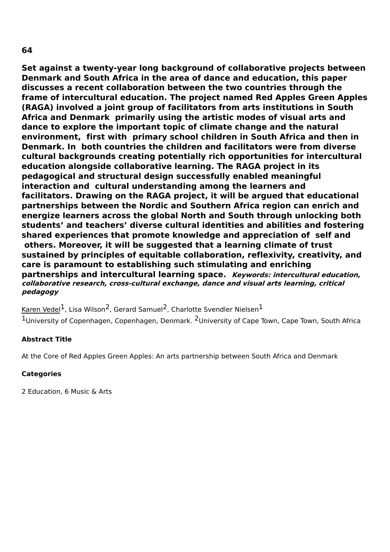**Set against a twenty-year long background of collaborative projects between Denmark and South Africa in the area of dance and education, this paper discusses a recent collaboration between the two countries through the frame of intercultural education. The project named Red Apples Green Apples (RAGA) involved a joint group of facilitators from arts institutions in South Africa and Denmark primarily using the artistic modes of visual arts and dance to explore the important topic of climate change and the natural environment, first with primary school children in South Africa and then in Denmark. In both countries the children and facilitators were from diverse cultural backgrounds creating potentially rich opportunities for intercultural education alongside collaborative learning. The RAGA project in its pedagogical and structural design successfully enabled meaningful interaction and cultural understanding among the learners and facilitators. Drawing on the RAGA project, it will be argued that educational partnerships between the Nordic and Southern Africa region can enrich and energize learners across the global North and South through unlocking both students' and teachers' diverse cultural identities and abilities and fostering shared experiences that promote knowledge and appreciation of self and others. Moreover, it will be suggested that a learning climate of trust sustained by principles of equitable collaboration, reflexivity, creativity, and care is paramount to establishing such stimulating and enriching partnerships and intercultural learning space. Keywords: intercultural education, collaborative research, cross-cultural exchange, dance and visual arts learning, critical pedagogy**

<u>Karen Vedel</u><sup>1</sup>, Lisa Wilson<sup>2</sup>, Gerard Samuel<sup>2</sup>, Charlotte Svendler Nielsen<sup>1</sup> 1University of Copenhagen, Copenhagen, Denmark. <sup>2</sup>University of Cape Town, Cape Town, South Africa

## **Abstract Title**

At the Core of Red Apples Green Apples: An arts partnership between South Africa and Denmark

## **Categories**

2 Education, 6 Music & Arts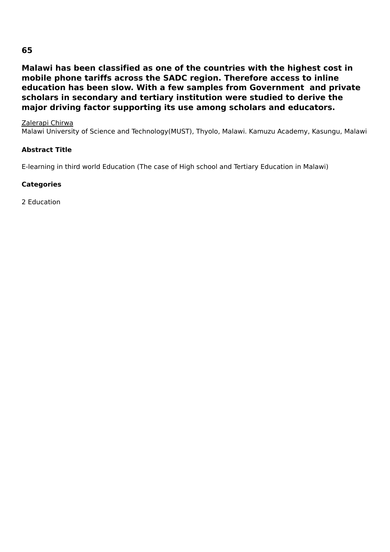# **65**

**Malawi has been classified as one of the countries with the highest cost in mobile phone tariffs across the SADC region. Therefore access to inline education has been slow. With a few samples from Government and private scholars in secondary and tertiary institution were studied to derive the major driving factor supporting its use among scholars and educators.**

Zalerapi Chirwa

Malawi University of Science and Technology(MUST), Thyolo, Malawi. Kamuzu Academy, Kasungu, Malawi

#### **Abstract Title**

E-learning in third world Education (The case of High school and Tertiary Education in Malawi)

### **Categories**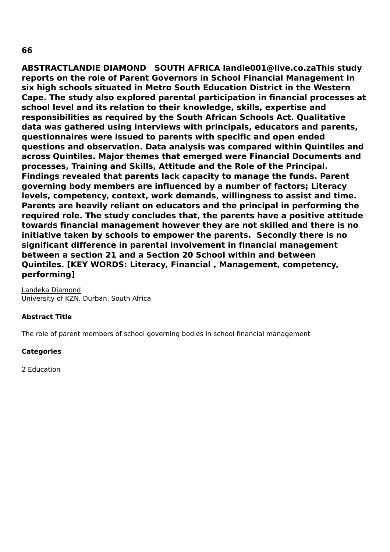**ABSTRACTLANDIE DIAMOND SOUTH AFRICA landie001@live.co.zaThis study reports on the role of Parent Governors in School Financial Management in six high schools situated in Metro South Education District in the Western Cape. The study also explored parental participation in financial processes at school level and its relation to their knowledge, skills, expertise and responsibilities as required by the South African Schools Act. Qualitative data was gathered using interviews with principals, educators and parents, questionnaires were issued to parents with specific and open ended questions and observation. Data analysis was compared within Quintiles and across Quintiles. Major themes that emerged were Financial Documents and processes, Training and Skills, Attitude and the Role of the Principal. Findings revealed that parents lack capacity to manage the funds. Parent governing body members are influenced by a number of factors; Literacy levels, competency, context, work demands, willingness to assist and time. Parents are heavily reliant on educators and the principal in performing the required role. The study concludes that, the parents have a positive attitude towards financial management however they are not skilled and there is no initiative taken by schools to empower the parents. Secondly there is no significant difference in parental involvement in financial management between a section 21 and a Section 20 School within and between Quintiles. [KEY WORDS: Literacy, Financial , Management, competency, performing]**

Landeka Diamond University of KZN, Durban, South Africa

## **Abstract Title**

The role of parent members of school governing bodies in school financial management

#### **Categories**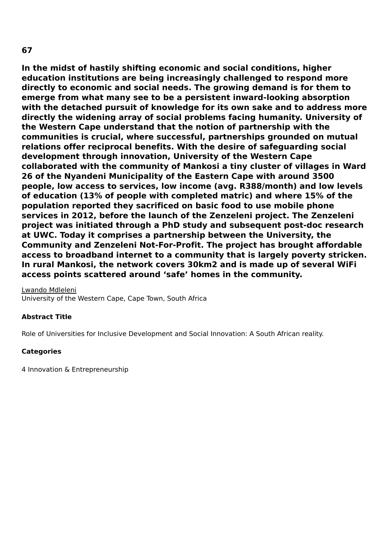# **In the midst of hastily shifting economic and social conditions, higher education institutions are being increasingly challenged to respond more directly to economic and social needs. The growing demand is for them to emerge from what many see to be a persistent inward-looking absorption with the detached pursuit of knowledge for its own sake and to address more directly the widening array of social problems facing humanity. University of the Western Cape understand that the notion of partnership with the communities is crucial, where successful, partnerships grounded on mutual relations offer reciprocal benefits. With the desire of safeguarding social development through innovation, University of the Western Cape collaborated with the community of Mankosi a tiny cluster of villages in Ward 26 of the Nyandeni Municipality of the Eastern Cape with around 3500 people, low access to services, low income (avg. R388/month) and low levels of education (13% of people with completed matric) and where 15% of the population reported they sacrificed on basic food to use mobile phone services in 2012, before the launch of the Zenzeleni project. The Zenzeleni project was initiated through a PhD study and subsequent post-doc research at UWC. Today it comprises a partnership between the University, the Community and Zenzeleni Not-For-Profit. The project has brought affordable access to broadband internet to a community that is largely poverty stricken. In rural Mankosi, the network covers 30km2 and is made up of several WiFi**

**access points scattered around 'safe' homes in the community.**

Lwando Mdleleni University of the Western Cape, Cape Town, South Africa

## **Abstract Title**

Role of Universities for Inclusive Development and Social Innovation: A South African reality.

## **Categories**

4 Innovation & Entrepreneurship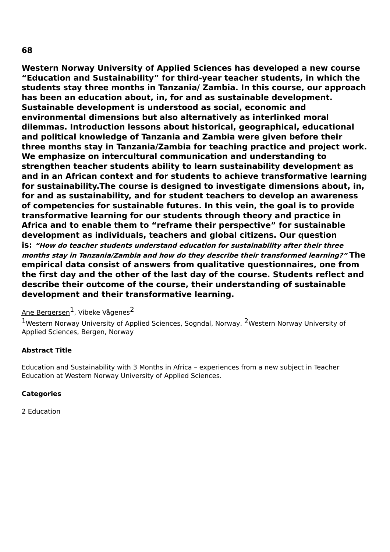**Western Norway University of Applied Sciences has developed a new course "Education and Sustainability" for third-year teacher students, in which the students stay three months in Tanzania/ Zambia. In this course, our approach has been an education about, in, for and as sustainable development. Sustainable development is understood as social, economic and environmental dimensions but also alternatively as interlinked moral dilemmas. Introduction lessons about historical, geographical, educational and political knowledge of Tanzania and Zambia were given before their three months stay in Tanzania/Zambia for teaching practice and project work. We emphasize on intercultural communication and understanding to strengthen teacher students ability to learn sustainability development as and in an African context and for students to achieve transformative learning for sustainability.The course is designed to investigate dimensions about, in, for and as sustainability, and for student teachers to develop an awareness of competencies for sustainable futures. In this vein, the goal is to provide transformative learning for our students through theory and practice in Africa and to enable them to "reframe their perspective" for sustainable development as individuals, teachers and global citizens. Our question is: "How do teacher students understand education for sustainability after their three months stay in Tanzania/Zambia and how do they describe their transformed learning?" The empirical data consist of answers from qualitative questionnaires, one from the first day and the other of the last day of the course. Students reflect and describe their outcome of the course, their understanding of sustainable development and their transformative learning.**

# <u>Ane Bergersen</u><sup>1</sup>, Vibeke Vågenes<sup>2</sup>

<sup>1</sup>Western Norway University of Applied Sciences, Sogndal, Norway. <sup>2</sup>Western Norway University of Applied Sciences, Bergen, Norway

## **Abstract Title**

Education and Sustainability with 3 Months in Africa – experiences from a new subject in Teacher Education at Western Norway University of Applied Sciences.

## **Categories**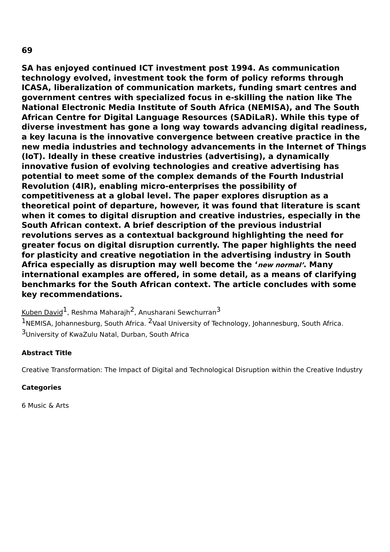**SA has enjoyed continued ICT investment post 1994. As communication technology evolved, investment took the form of policy reforms through ICASA, liberalization of communication markets, funding smart centres and government centres with specialized focus in e-skilling the nation like The National Electronic Media Institute of South Africa (NEMISA), and The South African Centre for Digital Language Resources (SADiLaR). While this type of diverse investment has gone a long way towards advancing digital readiness, a key lacuna is the innovative convergence between creative practice in the new media industries and technology advancements in the Internet of Things (IoT). Ideally in these creative industries (advertising), a dynamically innovative fusion of evolving technologies and creative advertising has**

**potential to meet some of the complex demands of the Fourth Industrial Revolution (4IR), enabling micro-enterprises the possibility of competitiveness at a global level. The paper explores disruption as a theoretical point of departure, however, it was found that literature is scant when it comes to digital disruption and creative industries, especially in the South African context. A brief description of the previous industrial revolutions serves as a contextual background highlighting the need for greater focus on digital disruption currently. The paper highlights the need for plasticity and creative negotiation in the advertising industry in South Africa especially as disruption may well become the 'new normal'. Many international examples are offered, in some detail, as a means of clarifying benchmarks for the South African context. The article concludes with some key recommendations.**

Kuben David<sup>1</sup>, Reshma Maharajh<sup>2</sup>, Anusharani Sewchurran<sup>3</sup>

 $1$ NEMISA, Johannesburg, South Africa. <sup>2</sup>Vaal University of Technology, Johannesburg, South Africa. <sup>3</sup>University of KwaZulu Natal, Durban, South Africa

# **Abstract Title**

Creative Transformation: The Impact of Digital and Technological Disruption within the Creative Industry

# **Categories**

6 Music & Arts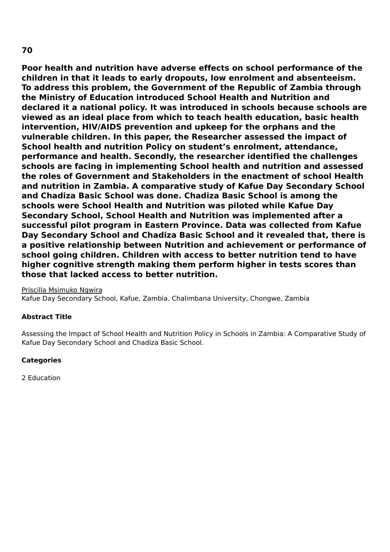**Poor health and nutrition have adverse effects on school performance of the children in that it leads to early dropouts, low enrolment and absenteeism. To address this problem, the Government of the Republic of Zambia through the Ministry of Education introduced School Health and Nutrition and declared it a national policy. It was introduced in schools because schools are viewed as an ideal place from which to teach health education, basic health intervention, HIV/AIDS prevention and upkeep for the orphans and the vulnerable children. In this paper, the Researcher assessed the impact of School health and nutrition Policy on student's enrolment, attendance, performance and health. Secondly, the researcher identified the challenges schools are facing in implementing School health and nutrition and assessed the roles of Government and Stakeholders in the enactment of school Health and nutrition in Zambia. A comparative study of Kafue Day Secondary School and Chadiza Basic School was done. Chadiza Basic School is among the schools were School Health and Nutrition was piloted while Kafue Day Secondary School, School Health and Nutrition was implemented after a successful pilot program in Eastern Province. Data was collected from Kafue Day Secondary School and Chadiza Basic School and it revealed that, there is a positive relationship between Nutrition and achievement or performance of school going children. Children with access to better nutrition tend to have higher cognitive strength making them perform higher in tests scores than those that lacked access to better nutrition.**

Priscilla Msimuko Ngwira

Kafue Day Secondary School, Kafue, Zambia. Chalimbana University, Chongwe, Zambia

## **Abstract Title**

Assessing the Impact of School Health and Nutrition Policy in Schools in Zambia: A Comparative Study of Kafue Day Secondary School and Chadiza Basic School.

#### **Categories**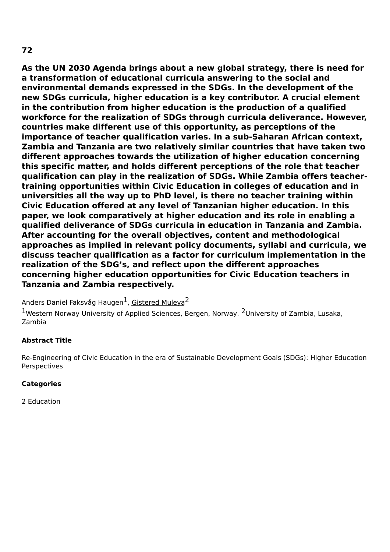**As the UN 2030 Agenda brings about a new global strategy, there is need for a transformation of educational curricula answering to the social and environmental demands expressed in the SDGs. In the development of the new SDGs curricula, higher education is a key contributor. A crucial element in the contribution from higher education is the production of a qualified workforce for the realization of SDGs through curricula deliverance. However, countries make different use of this opportunity, as perceptions of the importance of teacher qualification varies. In a sub-Saharan African context, Zambia and Tanzania are two relatively similar countries that have taken two different approaches towards the utilization of higher education concerning this specific matter, and holds different perceptions of the role that teacher qualification can play in the realization of SDGs. While Zambia offers teachertraining opportunities within Civic Education in colleges of education and in universities all the way up to PhD level, is there no teacher training within Civic Education offered at any level of Tanzanian higher education. In this paper, we look comparatively at higher education and its role in enabling a qualified deliverance of SDGs curricula in education in Tanzania and Zambia. After accounting for the overall objectives, content and methodological approaches as implied in relevant policy documents, syllabi and curricula, we discuss teacher qualification as a factor for curriculum implementation in the realization of the SDG's, and reflect upon the different approaches concerning higher education opportunities for Civic Education teachers in Tanzania and Zambia respectively.**

Anders Daniel Faksvåg Haugen<sup>1</sup>, <u>Gistered Muleya</u><sup>2</sup>

1Western Norway University of Applied Sciences, Bergen, Norway. <sup>2</sup>University of Zambia, Lusaka, Zambia

## **Abstract Title**

Re-Engineering of Civic Education in the era of Sustainable Development Goals (SDGs): Higher Education Perspectives

## **Categories**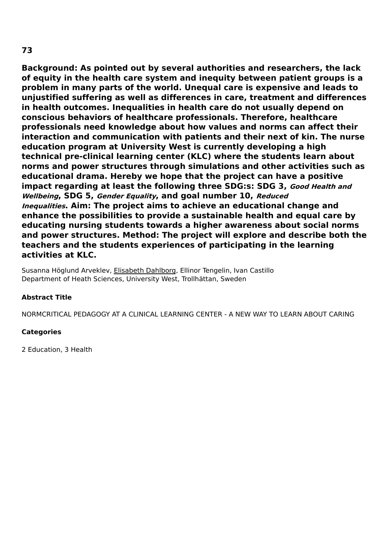**Background: As pointed out by several authorities and researchers, the lack of equity in the health care system and inequity between patient groups is a problem in many parts of the world. Unequal care is expensive and leads to unjustified suffering as well as differences in care, treatment and differences in health outcomes. Inequalities in health care do not usually depend on conscious behaviors of healthcare professionals. Therefore, healthcare professionals need knowledge about how values and norms can affect their interaction and communication with patients and their next of kin. The nurse education program at University West is currently developing a high technical pre-clinical learning center (KLC) where the students learn about norms and power structures through simulations and other activities such as educational drama. Hereby we hope that the project can have a positive impact regarding at least the following three SDG:s: SDG 3, Good Health and Wellbeing, SDG 5, Gender Equality, and goal number 10, Reduced Inequalities. Aim: The project aims to achieve an educational change and enhance the possibilities to provide a sustainable health and equal care by educating nursing students towards a higher awareness about social norms and power structures. Method: The project will explore and describe both the teachers and the students experiences of participating in the learning activities at KLC.**

Susanna Höglund Arveklev, Elisabeth Dahlborg, Ellinor Tengelin, Ivan Castillo Department of Heath Sciences, University West, Trollhättan, Sweden

## **Abstract Title**

NORMCRITICAL PEDAGOGY AT A CLINICAL LEARNING CENTER - A NEW WAY TO LEARN ABOUT CARING

## **Categories**

2 Education, 3 Health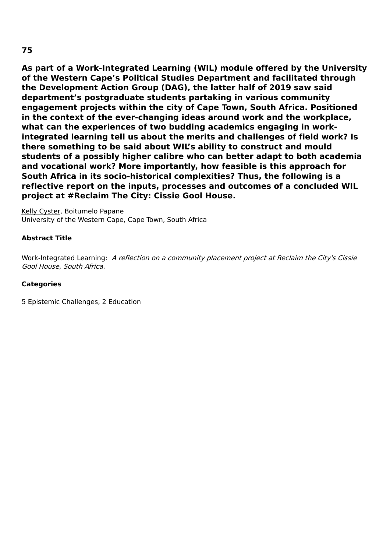**As part of a Work-Integrated Learning (WIL) module offered by the University of the Western Cape's Political Studies Department and facilitated through the Development Action Group (DAG), the latter half of 2019 saw said department's postgraduate students partaking in various community engagement projects within the city of Cape Town, South Africa. Positioned in the context of the ever-changing ideas around work and the workplace, what can the experiences of two budding academics engaging in workintegrated learning tell us about the merits and challenges of field work? Is there something to be said about WIL's ability to construct and mould students of a possibly higher calibre who can better adapt to both academia and vocational work? More importantly, how feasible is this approach for South Africa in its socio-historical complexities? Thus, the following is a reflective report on the inputs, processes and outcomes of a concluded WIL project at #Reclaim The City: Cissie Gool House.**

Kelly Cyster, Boitumelo Papane University of the Western Cape, Cape Town, South Africa

## **Abstract Title**

Work-Integrated Learning: A reflection on a community placement project at Reclaim the City's Cissie Gool House, South Africa.

## **Categories**

5 Epistemic Challenges, 2 Education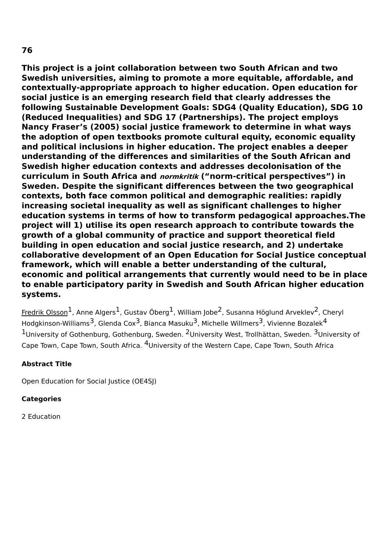**This project is a joint collaboration between two South African and two Swedish universities, aiming to promote a more equitable, affordable, and contextually-appropriate approach to higher education. Open education for social justice is an emerging research field that clearly addresses the following Sustainable Development Goals: SDG4 (Quality Education), SDG 10 (Reduced Inequalities) and SDG 17 (Partnerships). The project employs Nancy Fraser's (2005) social justice framework to determine in what ways the adoption of open textbooks promote cultural equity, economic equality and political inclusions in higher education. The project enables a deeper understanding of the differences and similarities of the South African and Swedish higher education contexts and addresses decolonisation of the curriculum in South Africa and normkritik ("norm-critical perspectives") in Sweden. Despite the significant differences between the two geographical contexts, both face common political and demographic realities: rapidly increasing societal inequality as well as significant challenges to higher education systems in terms of how to transform pedagogical approaches.The project will 1) utilise its open research approach to contribute towards the growth of a global community of practice and support theoretical field building in open education and social justice research, and 2) undertake collaborative development of an Open Education for Social Justice conceptual framework, which will enable a better understanding of the cultural,**

# **economic and political arrangements that currently would need to be in place to enable participatory parity in Swedish and South African higher education systems.**

<u>Fredrik Olsson</u><sup>1</sup>, Anne Algers<sup>1</sup>, Gustav Öberg<sup>1</sup>, William Jobe<sup>2</sup>, Susanna Höglund Arveklev<sup>2</sup>, Cheryl Hodgkinson-Williams<sup>3</sup>, Glenda Cox<sup>3</sup>, Bianca Masuku<sup>3</sup>, Michelle Willmers<sup>3</sup>, Vivienne Bozalek<sup>4</sup>  $1$ University of Gothenburg, Gothenburg, Sweden.  $^2$ University West, Trollhättan, Sweden.  $^3$ University of Cape Town, Cape Town, South Africa. <sup>4</sup>University of the Western Cape, Cape Town, South Africa

# **Abstract Title**

Open Education for Social Justice (OE4SJ)

# **Categories**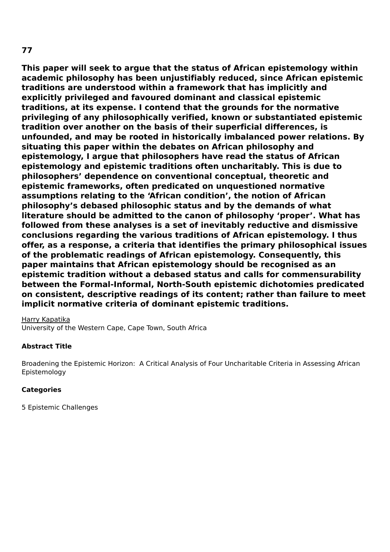# **77**

**This paper will seek to argue that the status of African epistemology within academic philosophy has been unjustifiably reduced, since African epistemic traditions are understood within a framework that has implicitly and explicitly privileged and favoured dominant and classical epistemic traditions, at its expense. I contend that the grounds for the normative privileging of any philosophically verified, known or substantiated epistemic tradition over another on the basis of their superficial differences, is unfounded, and may be rooted in historically imbalanced power relations. By situating this paper within the debates on African philosophy and epistemology, I argue that philosophers have read the status of African epistemology and epistemic traditions often uncharitably. This is due to philosophers' dependence on conventional conceptual, theoretic and epistemic frameworks, often predicated on unquestioned normative assumptions relating to the 'African condition', the notion of African philosophy's debased philosophic status and by the demands of what literature should be admitted to the canon of philosophy 'proper'. What has followed from these analyses is a set of inevitably reductive and dismissive conclusions regarding the various traditions of African epistemology. I thus offer, as a response, a criteria that identifies the primary philosophical issues of the problematic readings of African epistemology. Consequently, this paper maintains that African epistemology should be recognised as an epistemic tradition without a debased status and calls for commensurability between the Formal-Informal, North-South epistemic dichotomies predicated on consistent, descriptive readings of its content; rather than failure to meet implicit normative criteria of dominant epistemic traditions.**

Harry Kapatika

University of the Western Cape, Cape Town, South Africa

## **Abstract Title**

Broadening the Epistemic Horizon: A Critical Analysis of Four Uncharitable Criteria in Assessing African Epistemology

## **Categories**

5 Epistemic Challenges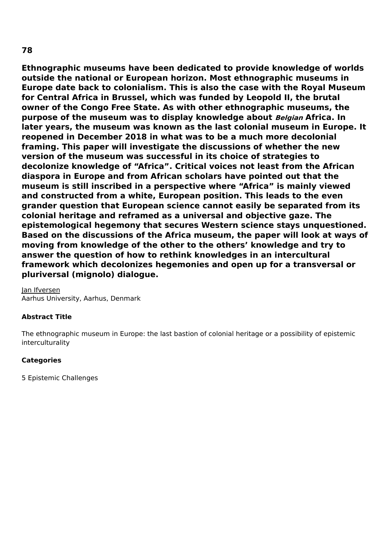**Ethnographic museums have been dedicated to provide knowledge of worlds outside the national or European horizon. Most ethnographic museums in Europe date back to colonialism. This is also the case with the Royal Museum for Central Africa in Brussel, which was funded by Leopold II, the brutal owner of the Congo Free State. As with other ethnographic museums, the purpose of the museum was to display knowledge about Belgian Africa. In later years, the museum was known as the last colonial museum in Europe. It reopened in December 2018 in what was to be a much more decolonial framing. This paper will investigate the discussions of whether the new version of the museum was successful in its choice of strategies to decolonize knowledge of "Africa". Critical voices not least from the African diaspora in Europe and from African scholars have pointed out that the museum is still inscribed in a perspective where "Africa" is mainly viewed and constructed from a white, European position. This leads to the even grander question that European science cannot easily be separated from its colonial heritage and reframed as a universal and objective gaze. The epistemological hegemony that secures Western science stays unquestioned. Based on the discussions of the Africa museum, the paper will look at ways of moving from knowledge of the other to the others' knowledge and try to answer the question of how to rethink knowledges in an intercultural framework which decolonizes hegemonies and open up for a transversal or pluriversal (mignolo) dialogue.**

Jan Ifversen Aarhus University, Aarhus, Denmark

## **Abstract Title**

The ethnographic museum in Europe: the last bastion of colonial heritage or a possibility of epistemic interculturality

#### **Categories**

5 Epistemic Challenges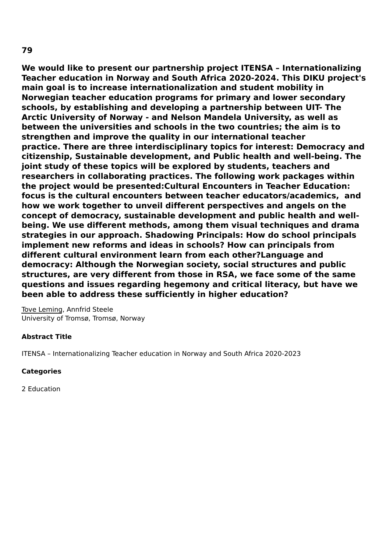**We would like to present our partnership project ITENSA – Internationalizing Teacher education in Norway and South Africa 2020-2024. This DIKU project's main goal is to increase internationalization and student mobility in Norwegian teacher education programs for primary and lower secondary schools, by establishing and developing a partnership between UIT- The Arctic University of Norway - and Nelson Mandela University, as well as between the universities and schools in the two countries; the aim is to strengthen and improve the quality in our international teacher practice. There are three interdisciplinary topics for interest: Democracy and citizenship, Sustainable development, and Public health and well-being. The joint study of these topics will be explored by students, teachers and researchers in collaborating practices. The following work packages within the project would be presented:Cultural Encounters in Teacher Education: focus is the cultural encounters between teacher educators/academics, and how we work together to unveil different perspectives and angels on the concept of democracy, sustainable development and public health and wellbeing. We use different methods, among them visual techniques and drama strategies in our approach. Shadowing Principals: How do school principals implement new reforms and ideas in schools? How can principals from different cultural environment learn from each other?Language and democracy: Although the Norwegian society, social structures and public structures, are very different from those in RSA, we face some of the same questions and issues regarding hegemony and critical literacy, but have we**

Tove Leming, Annfrid Steele University of Tromsø, Tromsø, Norway

## **Abstract Title**

ITENSA – Internationalizing Teacher education in Norway and South Africa 2020-2023

**been able to address these sufficiently in higher education?**

## **Categories**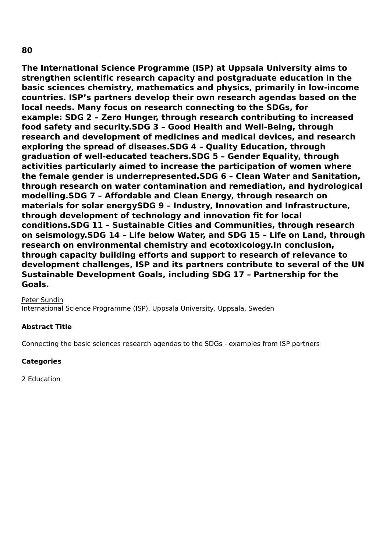**80**

**The International Science Programme (ISP) at Uppsala University aims to strengthen scientific research capacity and postgraduate education in the basic sciences chemistry, mathematics and physics, primarily in low-income countries. ISP's partners develop their own research agendas based on the local needs. Many focus on research connecting to the SDGs, for example: SDG 2 – Zero Hunger, through research contributing to increased food safety and security.SDG 3 – Good Health and Well-Being, through research and development of medicines and medical devices, and research exploring the spread of diseases.SDG 4 – Quality Education, through graduation of well-educated teachers.SDG 5 – Gender Equality, through activities particularly aimed to increase the participation of women where the female gender is underrepresented.SDG 6 – Clean Water and Sanitation, through research on water contamination and remediation, and hydrological modelling.SDG 7 – Affordable and Clean Energy, through research on materials for solar energySDG 9 – Industry, Innovation and Infrastructure, through development of technology and innovation fit for local conditions.SDG 11 – Sustainable Cities and Communities, through research on seismology.SDG 14 – Life below Water, and SDG 15 – Life on Land, through research on environmental chemistry and ecotoxicology.In conclusion, through capacity building efforts and support to research of relevance to development challenges, ISP and its partners contribute to several of the UN Sustainable Development Goals, including SDG 17 – Partnership for the Goals.**

Peter Sundin International Science Programme (ISP), Uppsala University, Uppsala, Sweden

## **Abstract Title**

Connecting the basic sciences research agendas to the SDGs - examples from ISP partners

## **Categories**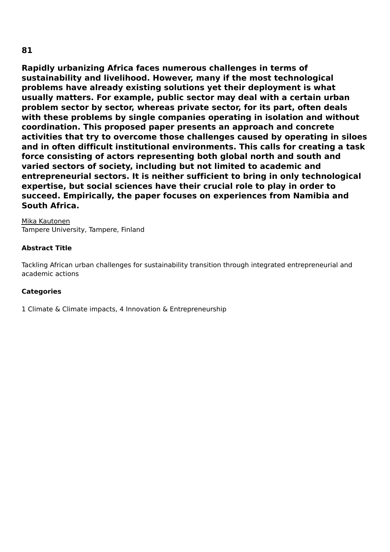**Rapidly urbanizing Africa faces numerous challenges in terms of sustainability and livelihood. However, many if the most technological problems have already existing solutions yet their deployment is what usually matters. For example, public sector may deal with a certain urban problem sector by sector, whereas private sector, for its part, often deals with these problems by single companies operating in isolation and without coordination. This proposed paper presents an approach and concrete activities that try to overcome those challenges caused by operating in siloes and in often difficult institutional environments. This calls for creating a task force consisting of actors representing both global north and south and varied sectors of society, including but not limited to academic and entrepreneurial sectors. It is neither sufficient to bring in only technological expertise, but social sciences have their crucial role to play in order to succeed. Empirically, the paper focuses on experiences from Namibia and South Africa.**

Mika Kautonen Tampere University, Tampere, Finland

## **Abstract Title**

Tackling African urban challenges for sustainability transition through integrated entrepreneurial and academic actions

## **Categories**

1 Climate & Climate impacts, 4 Innovation & Entrepreneurship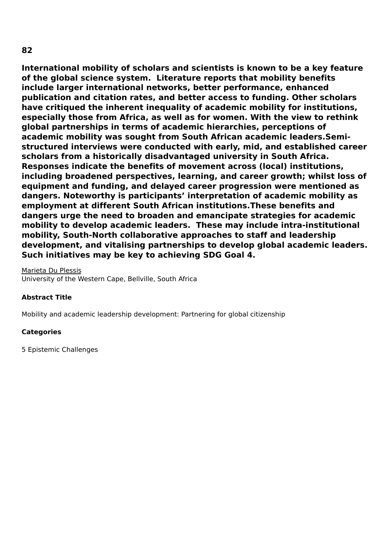# **International mobility of scholars and scientists is known to be a key feature of the global science system. Literature reports that mobility benefits include larger international networks, better performance, enhanced publication and citation rates, and better access to funding. Other scholars have critiqued the inherent inequality of academic mobility for institutions, especially those from Africa, as well as for women. With the view to rethink global partnerships in terms of academic hierarchies, perceptions of academic mobility was sought from South African academic leaders.Semistructured interviews were conducted with early, mid, and established career scholars from a historically disadvantaged university in South Africa. Responses indicate the benefits of movement across (local) institutions, including broadened perspectives, learning, and career growth; whilst loss of equipment and funding, and delayed career progression were mentioned as dangers. Noteworthy is participants' interpretation of academic mobility as employment at different South African institutions.These benefits and dangers urge the need to broaden and emancipate strategies for academic mobility to develop academic leaders. These may include intra-institutional mobility, South-North collaborative approaches to staff and leadership development, and vitalising partnerships to develop global academic leaders.**

**Such initiatives may be key to achieving SDG Goal 4.**

Marieta Du Plessis University of the Western Cape, Bellville, South Africa

## **Abstract Title**

Mobility and academic leadership development: Partnering for global citizenship

## **Categories**

5 Epistemic Challenges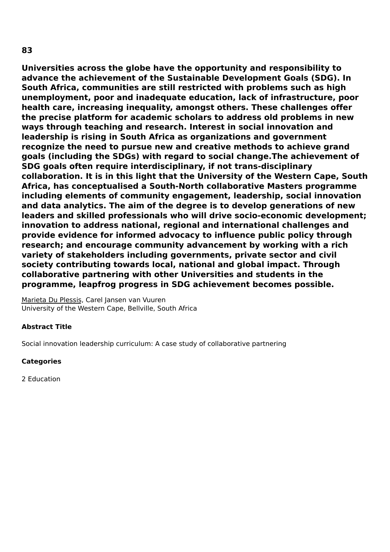**Universities across the globe have the opportunity and responsibility to advance the achievement of the Sustainable Development Goals (SDG). In South Africa, communities are still restricted with problems such as high unemployment, poor and inadequate education, lack of infrastructure, poor health care, increasing inequality, amongst others. These challenges offer the precise platform for academic scholars to address old problems in new ways through teaching and research. Interest in social innovation and leadership is rising in South Africa as organizations and government recognize the need to pursue new and creative methods to achieve grand goals (including the SDGs) with regard to social change.The achievement of SDG goals often require interdisciplinary, if not trans-disciplinary collaboration. It is in this light that the University of the Western Cape, South Africa, has conceptualised a South-North collaborative Masters programme including elements of community engagement, leadership, social innovation and data analytics. The aim of the degree is to develop generations of new leaders and skilled professionals who will drive socio-economic development; innovation to address national, regional and international challenges and provide evidence for informed advocacy to influence public policy through research; and encourage community advancement by working with a rich variety of stakeholders including governments, private sector and civil society contributing towards local, national and global impact. Through collaborative partnering with other Universities and students in the programme, leapfrog progress in SDG achievement becomes possible.**

Marieta Du Plessis, Carel Jansen van Vuuren University of the Western Cape, Bellville, South Africa

### **Abstract Title**

Social innovation leadership curriculum: A case study of collaborative partnering

### **Categories**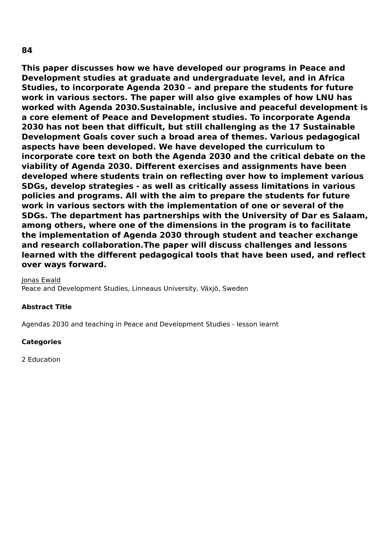**This paper discusses how we have developed our programs in Peace and Development studies at graduate and undergraduate level, and in Africa Studies, to incorporate Agenda 2030 – and prepare the students for future work in various sectors. The paper will also give examples of how LNU has worked with Agenda 2030.Sustainable, inclusive and peaceful development is a core element of Peace and Development studies. To incorporate Agenda 2030 has not been that difficult, but still challenging as the 17 Sustainable Development Goals cover such a broad area of themes. Various pedagogical aspects have been developed. We have developed the curriculum to incorporate core text on both the Agenda 2030 and the critical debate on the viability of Agenda 2030. Different exercises and assignments have been developed where students train on reflecting over how to implement various SDGs, develop strategies - as well as critically assess limitations in various policies and programs. All with the aim to prepare the students for future work in various sectors with the implementation of one or several of the SDGs. The department has partnerships with the University of Dar es Salaam, among others, where one of the dimensions in the program is to facilitate the implementation of Agenda 2030 through student and teacher exchange and research collaboration.The paper will discuss challenges and lessons learned with the different pedagogical tools that have been used, and reflect over ways forward.**

Jonas Ewald

Peace and Development Studies, Linneaus University, Växjö, Sweden

#### **Abstract Title**

Agendas 2030 and teaching in Peace and Development Studies - lesson learnt

#### **Categories**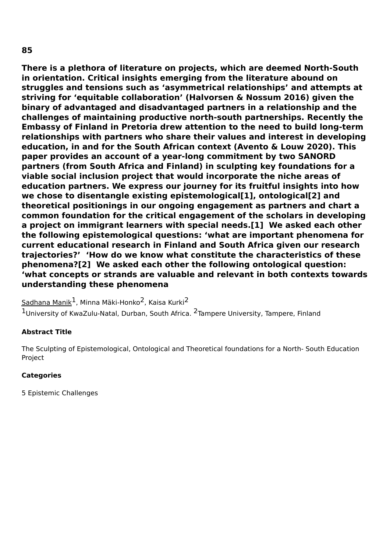**There is a plethora of literature on projects, which are deemed North-South in orientation. Critical insights emerging from the literature abound on struggles and tensions such as 'asymmetrical relationships' and attempts at striving for 'equitable collaboration' (Halvorsen & Nossum 2016) given the binary of advantaged and disadvantaged partners in a relationship and the challenges of maintaining productive north-south partnerships. Recently the Embassy of Finland in Pretoria drew attention to the need to build long-term relationships with partners who share their values and interest in developing education, in and for the South African context (Avento & Louw 2020). This paper provides an account of a year-long commitment by two SANORD partners (from South Africa and Finland) in sculpting key foundations for a viable social inclusion project that would incorporate the niche areas of education partners. We express our journey for its fruitful insights into how we chose to disentangle existing epistemological[1], ontological[2] and theoretical positionings in our ongoing engagement as partners and chart a common foundation for the critical engagement of the scholars in developing a project on immigrant learners with special needs.[1] We asked each other the following epistemological questions: 'what are important phenomena for current educational research in Finland and South Africa given our research trajectories?' 'How do we know what constitute the characteristics of these phenomena?[2] We asked each other the following ontological question: 'what concepts or strands are valuable and relevant in both contexts towards understanding these phenomena**

 ${\sf Sadhana~Manik}^{\pmb{1}}$ , Minna Mäki-Honko $^{\pmb{2}}$ , Kaisa Kurki $^{\pmb{2}}$ 

1University of KwaZulu-Natal, Durban, South Africa. <sup>2</sup>Tampere University, Tampere, Finland

### **Abstract Title**

The Sculpting of Epistemological, Ontological and Theoretical foundations for a North- South Education Project

### **Categories**

5 Epistemic Challenges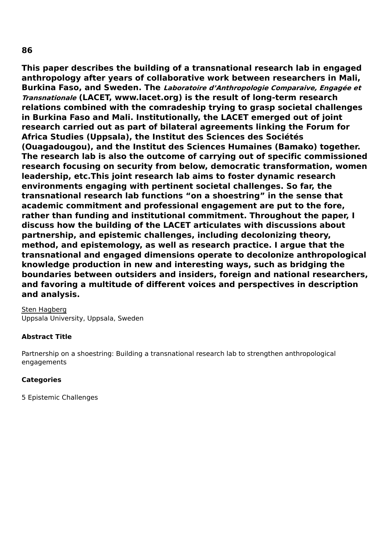**This paper describes the building of a transnational research lab in engaged anthropology after years of collaborative work between researchers in Mali, Burkina Faso, and Sweden. The Laboratoire d'Anthropologie Comparaive, Engagée et Transnationale (LACET, www.lacet.org) is the result of long-term research relations combined with the comradeship trying to grasp societal challenges in Burkina Faso and Mali. Institutionally, the LACET emerged out of joint research carried out as part of bilateral agreements linking the Forum for Africa Studies (Uppsala), the Institut des Sciences des Sociétés (Ouagadougou), and the Institut des Sciences Humaines (Bamako) together. The research lab is also the outcome of carrying out of specific commissioned research focusing on security from below, democratic transformation, women leadership, etc.This joint research lab aims to foster dynamic research environments engaging with pertinent societal challenges. So far, the transnational research lab functions "on a shoestring" in the sense that academic commitment and professional engagement are put to the fore, rather than funding and institutional commitment. Throughout the paper, I discuss how the building of the LACET articulates with discussions about partnership, and epistemic challenges, including decolonizing theory, method, and epistemology, as well as research practice. I argue that the transnational and engaged dimensions operate to decolonize anthropological knowledge production in new and interesting ways, such as bridging the boundaries between outsiders and insiders, foreign and national researchers, and favoring a multitude of different voices and perspectives in description and analysis.**

# Sten Hagberg

Uppsala University, Uppsala, Sweden

## **Abstract Title**

Partnership on a shoestring: Building a transnational research lab to strengthen anthropological engagements

## **Categories**

5 Epistemic Challenges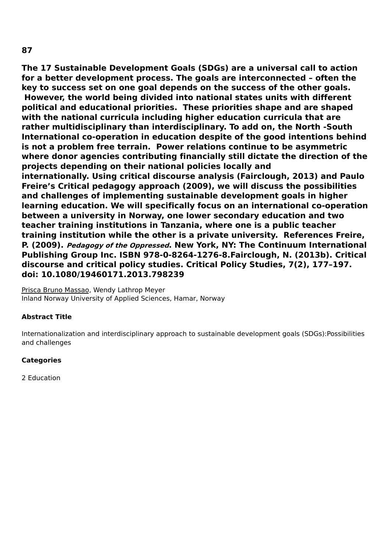**The 17 Sustainable Development Goals (SDGs) are a universal call to action for a better development process. The goals are interconnected – often the key to success set on one goal depends on the success of the other goals. However, the world being divided into national states units with different political and educational priorities. These priorities shape and are shaped with the national curricula including higher education curricula that are rather multidisciplinary than interdisciplinary. To add on, the North -South International co-operation in education despite of the good intentions behind is not a problem free terrain. Power relations continue to be asymmetric where donor agencies contributing financially still dictate the direction of the projects depending on their national policies locally and internationally. Using critical discourse analysis (Fairclough, 2013) and Paulo Freire's Critical pedagogy approach (2009), we will discuss the possibilities and challenges of implementing sustainable development goals in higher learning education. We will specifically focus on an international co-operation between a university in Norway, one lower secondary education and two teacher training institutions in Tanzania, where one is a public teacher training institution while the other is a private university. References Freire, P. (2009). Pedagogy of the Oppressed. New York, NY: The Continuum International Publishing Group Inc. ISBN 978-0-8264-1276-8.Fairclough, N. (2013b). Critical discourse and critical policy studies. Critical Policy Studies, 7(2), 177–197. doi: 10.1080/19460171.2013.798239**

Prisca Bruno Massao, Wendy Lathrop Meyer Inland Norway University of Applied Sciences, Hamar, Norway

### **Abstract Title**

Internationalization and interdisciplinary approach to sustainable development goals (SDGs):Possibilities and challenges

### **Categories**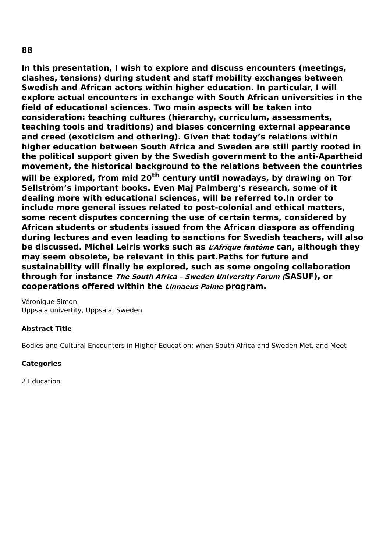**In this presentation, I wish to explore and discuss encounters (meetings, clashes, tensions) during student and staff mobility exchanges between Swedish and African actors within higher education. In particular, I will explore actual encounters in exchange with South African universities in the field of educational sciences. Two main aspects will be taken into consideration: teaching cultures (hierarchy, curriculum, assessments, teaching tools and traditions) and biases concerning external appearance and creed (exoticism and othering). Given that today's relations within higher education between South Africa and Sweden are still partly rooted in the political support given by the Swedish government to the anti-Apartheid movement, the historical background to the relations between the countries will be explored, from mid 20 th century until nowadays, by drawing on Tor Sellström's important books. Even Maj Palmberg's research, some of it dealing more with educational sciences, will be referred to.In order to include more general issues related to post-colonial and ethical matters, some recent disputes concerning the use of certain terms, considered by African students or students issued from the African diaspora as offending during lectures and even leading to sanctions for Swedish teachers, will also be discussed. Michel Leiris works such as L'Afrique fantôme can, although they may seem obsolete, be relevant in this part.Paths for future and sustainability will finally be explored, such as some ongoing collaboration through for instance The South Africa – Sweden University Forum (SASUF), or cooperations offered within the Linnaeus Palme program.**

Véronique Simon Uppsala univertity, Uppsala, Sweden

### **Abstract Title**

Bodies and Cultural Encounters in Higher Education: when South Africa and Sweden Met, and Meet

#### **Categories**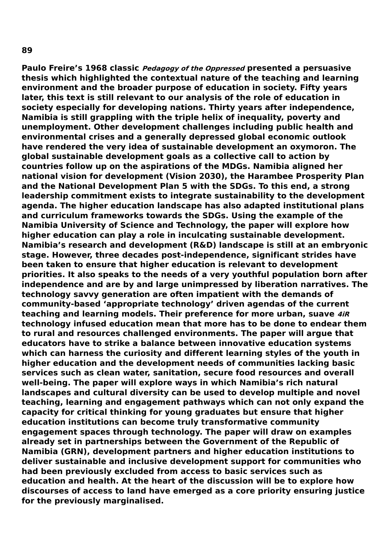**Paulo Freire's 1968 classic Pedagogy of the Oppressed presented a persuasive thesis which highlighted the contextual nature of the teaching and learning environment and the broader purpose of education in society. Fifty years later, this text is still relevant to our analysis of the role of education in society especially for developing nations. Thirty years after independence, Namibia is still grappling with the triple helix of inequality, poverty and unemployment. Other development challenges including public health and environmental crises and a generally depressed global economic outlook have rendered the very idea of sustainable development an oxymoron. The global sustainable development goals as a collective call to action by countries follow up on the aspirations of the MDGs. Namibia aligned her national vision for development (Vision 2030), the Harambee Prosperity Plan and the National Development Plan 5 with the SDGs. To this end, a strong leadership commitment exists to integrate sustainability to the development agenda. The higher education landscape has also adapted institutional plans and curriculum frameworks towards the SDGs. Using the example of the Namibia University of Science and Technology, the paper will explore how higher education can play a role in inculcating sustainable development. Namibia's research and development (R&D) landscape is still at an embryonic stage. However, three decades post-independence, significant strides have been taken to ensure that higher education is relevant to development priorities. It also speaks to the needs of a very youthful population born after independence and are by and large unimpressed by liberation narratives. The technology savvy generation are often impatient with the demands of community-based 'appropriate technology' driven agendas of the current teaching and learning models. Their preference for more urban, suave 4iR technology infused education mean that more has to be done to endear them to rural and resources challenged environments. The paper will argue that educators have to strike a balance between innovative education systems which can harness the curiosity and different learning styles of the youth in higher education and the development needs of communities lacking basic services such as clean water, sanitation, secure food resources and overall well-being. The paper will explore ways in which Namibia's rich natural landscapes and cultural diversity can be used to develop multiple and novel teaching, learning and engagement pathways which can not only expand the capacity for critical thinking for young graduates but ensure that higher education institutions can become truly transformative community engagement spaces through technology. The paper will draw on examples already set in partnerships between the Government of the Republic of Namibia (GRN), development partners and higher education institutions to deliver sustainable and inclusive development support for communities who had been previously excluded from access to basic services such as education and health. At the heart of the discussion will be to explore how discourses of access to land have emerged as a core priority ensuring justice for the previously marginalised.**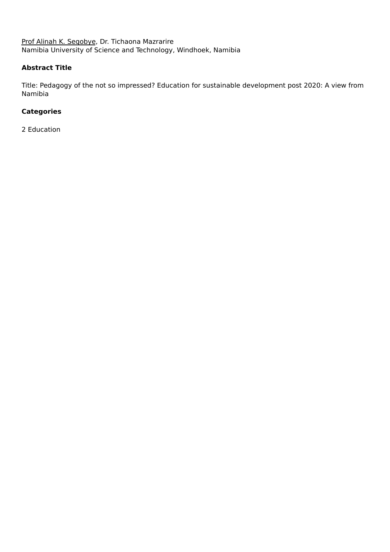Prof Alinah K. Segobye, Dr. Tichaona Mazrarire Namibia University of Science and Technology, Windhoek, Namibia

### **Abstract Title**

Title: Pedagogy of the not so impressed? Education for sustainable development post 2020: A view from Namibia

## **Categories**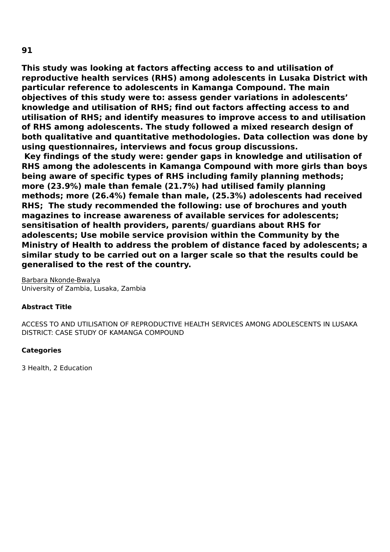**This study was looking at factors affecting access to and utilisation of reproductive health services (RHS) among adolescents in Lusaka District with particular reference to adolescents in Kamanga Compound. The main objectives of this study were to: assess gender variations in adolescents' knowledge and utilisation of RHS; find out factors affecting access to and utilisation of RHS; and identify measures to improve access to and utilisation of RHS among adolescents. The study followed a mixed research design of both qualitative and quantitative methodologies. Data collection was done by using questionnaires, interviews and focus group discussions.**

**Key findings of the study were: gender gaps in knowledge and utilisation of RHS among the adolescents in Kamanga Compound with more girls than boys being aware of specific types of RHS including family planning methods; more (23.9%) male than female (21.7%) had utilised family planning methods; more (26.4%) female than male, (25.3%) adolescents had received RHS; The study recommended the following: use of brochures and youth magazines to increase awareness of available services for adolescents; sensitisation of health providers, parents/ guardians about RHS for adolescents; Use mobile service provision within the Community by the Ministry of Health to address the problem of distance faced by adolescents; a similar study to be carried out on a larger scale so that the results could be generalised to the rest of the country.**

Barbara Nkonde-Bwalya University of Zambia, Lusaka, Zambia

### **Abstract Title**

ACCESS TO AND UTILISATION OF REPRODUCTIVE HEALTH SERVICES AMONG ADOLESCENTS IN LUSAKA DISTRICT: CASE STUDY OF KAMANGA COMPOUND

### **Categories**

3 Health, 2 Education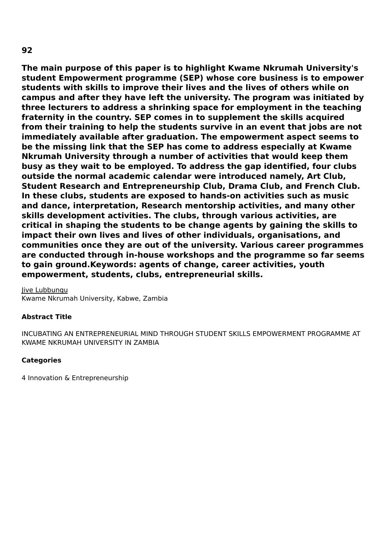**The main purpose of this paper is to highlight Kwame Nkrumah University's student Empowerment programme (SEP) whose core business is to empower students with skills to improve their lives and the lives of others while on campus and after they have left the university. The program was initiated by three lecturers to address a shrinking space for employment in the teaching fraternity in the country. SEP comes in to supplement the skills acquired from their training to help the students survive in an event that jobs are not immediately available after graduation. The empowerment aspect seems to be the missing link that the SEP has come to address especially at Kwame Nkrumah University through a number of activities that would keep them busy as they wait to be employed. To address the gap identified, four clubs outside the normal academic calendar were introduced namely, Art Club, Student Research and Entrepreneurship Club, Drama Club, and French Club. In these clubs, students are exposed to hands-on activities such as music and dance, interpretation, Research mentorship activities, and many other skills development activities. The clubs, through various activities, are critical in shaping the students to be change agents by gaining the skills to impact their own lives and lives of other individuals, organisations, and communities once they are out of the university. Various career programmes are conducted through in-house workshops and the programme so far seems to gain ground.Keywords: agents of change, career activities, youth empowerment, students, clubs, entrepreneurial skills.**

Jive Lubbungu Kwame Nkrumah University, Kabwe, Zambia

#### **Abstract Title**

INCUBATING AN ENTREPRENEURIAL MIND THROUGH STUDENT SKILLS EMPOWERMENT PROGRAMME AT KWAME NKRUMAH UNIVERSITY IN ZAMBIA

#### **Categories**

4 Innovation & Entrepreneurship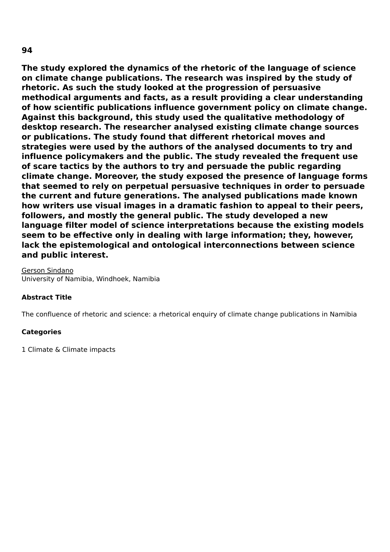**The study explored the dynamics of the rhetoric of the language of science on climate change publications. The research was inspired by the study of rhetoric. As such the study looked at the progression of persuasive methodical arguments and facts, as a result providing a clear understanding of how scientific publications influence government policy on climate change. Against this background, this study used the qualitative methodology of desktop research. The researcher analysed existing climate change sources or publications. The study found that different rhetorical moves and strategies were used by the authors of the analysed documents to try and influence policymakers and the public. The study revealed the frequent use of scare tactics by the authors to try and persuade the public regarding climate change. Moreover, the study exposed the presence of language forms that seemed to rely on perpetual persuasive techniques in order to persuade the current and future generations. The analysed publications made known how writers use visual images in a dramatic fashion to appeal to their peers, followers, and mostly the general public. The study developed a new language filter model of science interpretations because the existing models seem to be effective only in dealing with large information; they, however, lack the epistemological and ontological interconnections between science and public interest.**

Gerson Sindano University of Namibia, Windhoek, Namibia

### **Abstract Title**

The confluence of rhetoric and science: a rhetorical enquiry of climate change publications in Namibia

### **Categories**

1 Climate & Climate impacts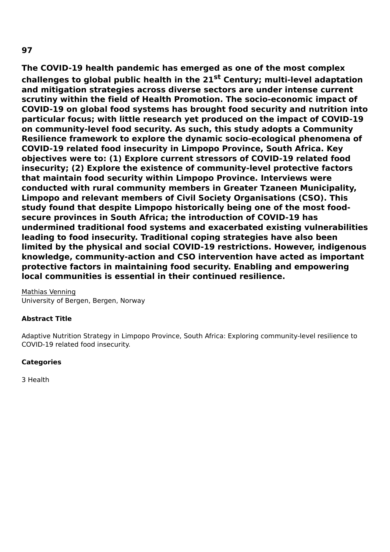**The COVID-19 health pandemic has emerged as one of the most complex challenges to global public health in the 21 st Century; multi-level adaptation and mitigation strategies across diverse sectors are under intense current scrutiny within the field of Health Promotion. The socio-economic impact of COVID-19 on global food systems has brought food security and nutrition into particular focus; with little research yet produced on the impact of COVID-19 on community-level food security. As such, this study adopts a Community Resilience framework to explore the dynamic socio-ecological phenomena of COVID-19 related food insecurity in Limpopo Province, South Africa. Key objectives were to: (1) Explore current stressors of COVID-19 related food insecurity; (2) Explore the existence of community-level protective factors that maintain food security within Limpopo Province. Interviews were conducted with rural community members in Greater Tzaneen Municipality, Limpopo and relevant members of Civil Society Organisations (CSO). This study found that despite Limpopo historically being one of the most foodsecure provinces in South Africa; the introduction of COVID-19 has undermined traditional food systems and exacerbated existing vulnerabilities leading to food insecurity. Traditional coping strategies have also been limited by the physical and social COVID-19 restrictions. However, indigenous knowledge, community-action and CSO intervention have acted as important protective factors in maintaining food security. Enabling and empowering local communities is essential in their continued resilience.**

Mathias Venning University of Bergen, Bergen, Norway

### **Abstract Title**

Adaptive Nutrition Strategy in Limpopo Province, South Africa: Exploring community-level resilience to COVID-19 related food insecurity.

### **Categories**

3 Health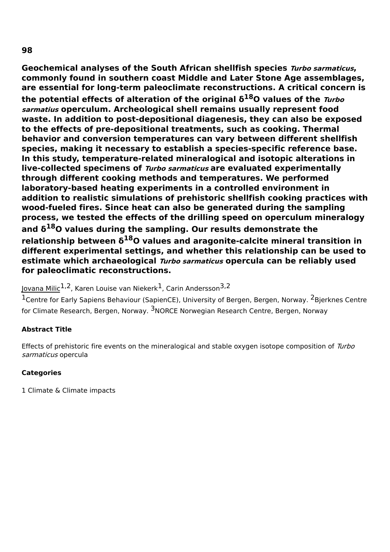**Geochemical analyses of the South African shellfish species Turbo sarmaticus, commonly found in southern coast Middle and Later Stone Age assemblages, are essential for long-term paleoclimate reconstructions. A critical concern is the potential effects of alteration of the original δ <sup>18</sup>O values of the Turbo sarmatius operculum. Archeological shell remains usually represent food waste. In addition to post-depositional diagenesis, they can also be exposed to the effects of pre-depositional treatments, such as cooking. Thermal behavior and conversion temperatures can vary between different shellfish species, making it necessary to establish a species-specific reference base. In this study, temperature-related mineralogical and isotopic alterations in live-collected specimens of Turbo sarmaticus are evaluated experimentally through different cooking methods and temperatures. We performed laboratory-based heating experiments in a controlled environment in addition to realistic simulations of prehistoric shellfish cooking practices with wood-fueled fires. Since heat can also be generated during the sampling process, we tested the effects of the drilling speed on operculum mineralogy and δ <sup>18</sup>O values during the sampling. Our results demonstrate the relationship between δ <sup>18</sup>O values and aragonite-calcite mineral transition in different experimental settings, and whether this relationship can be used to estimate which archaeological Turbo sarmaticus opercula can be reliably used for paleoclimatic reconstructions.**

<u>Jovana Milic</u><sup>1,2</sup>, Karen Louise van Niekerk<sup>1</sup>, Carin Andersson<sup>3,2</sup>

<sup>1</sup>Centre for Early Sapiens Behaviour (SapienCE), University of Bergen, Bergen, Norway. <sup>2</sup>Bjerknes Centre for Climate Research, Bergen, Norway. <sup>3</sup>NORCE Norwegian Research Centre, Bergen, Norway

## **Abstract Title**

Effects of prehistoric fire events on the mineralogical and stable oxygen isotope composition of Turbo sarmaticus opercula

### **Categories**

1 Climate & Climate impacts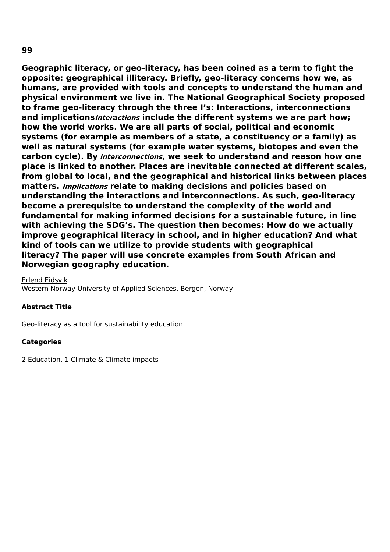**Geographic literacy, or geo-literacy, has been coined as a term to fight the opposite: geographical illiteracy. Briefly, geo-literacy concerns how we, as humans, are provided with tools and concepts to understand the human and physical environment we live in. The National Geographical Society proposed to frame geo-literacy through the three I's: Interactions, interconnections and implicationsInteractions include the different systems we are part how; how the world works. We are all parts of social, political and economic systems (for example as members of a state, a constituency or a family) as well as natural systems (for example water systems, biotopes and even the carbon cycle). By interconnections, we seek to understand and reason how one place is linked to another. Places are inevitable connected at different scales, from global to local, and the geographical and historical links between places matters. Implications relate to making decisions and policies based on understanding the interactions and interconnections. As such, geo-literacy become a prerequisite to understand the complexity of the world and fundamental for making informed decisions for a sustainable future, in line with achieving the SDG's. The question then becomes: How do we actually improve geographical literacy in school, and in higher education? And what kind of tools can we utilize to provide students with geographical literacy? The paper will use concrete examples from South African and**

### **Norwegian geography education.**

#### Erlend Eidsvik Western Norway University of Applied Sciences, Bergen, Norway

### **Abstract Title**

Geo-literacy as a tool for sustainability education

### **Categories**

2 Education, 1 Climate & Climate impacts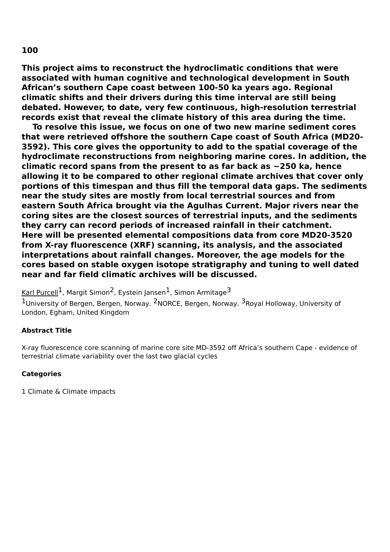**This project aims to reconstruct the hydroclimatic conditions that were associated with human cognitive and technological development in South African's southern Cape coast between 100-50 ka years ago. Regional climatic shifts and their drivers during this time interval are still being debated. However, to date, very few continuous, high-resolution terrestrial records exist that reveal the climate history of this area during the time.**

**To resolve this issue, we focus on one of two new marine sediment cores that were retrieved offshore the southern Cape coast of South Africa (MD20- 3592). This core gives the opportunity to add to the spatial coverage of the hydroclimate reconstructions from neighboring marine cores. In addition, the climatic record spans from the present to as far back as ~250 ka, hence allowing it to be compared to other regional climate archives that cover only portions of this timespan and thus fill the temporal data gaps. The sediments near the study sites are mostly from local terrestrial sources and from eastern South Africa brought via the Agulhas Current. Major rivers near the coring sites are the closest sources of terrestrial inputs, and the sediments they carry can record periods of increased rainfall in their catchment. Here will be presented elemental compositions data from core MD20-3520 from X-ray fluorescence (XRF) scanning, its analysis, and the associated interpretations about rainfall changes. Moreover, the age models for the cores based on stable oxygen isotope stratigraphy and tuning to well dated near and far field climatic archives will be discussed.**

<u>Karl Purcell</u> <sup>1</sup>, Margit Simon<sup>2</sup>, Eystein Jansen <sup>1</sup>, Simon Armitage  $^3$ 

<sup>1</sup>University of Bergen, Bergen, Norway. <sup>2</sup>NORCE, Bergen, Norway. <sup>3</sup>Royal Holloway, University of London, Egham, United Kingdom

### **Abstract Title**

X-ray fluorescence core scanning of marine core site MD-3592 off Africa's southern Cape - evidence of terrestrial climate variability over the last two glacial cycles

#### **Categories**

1 Climate & Climate impacts

## **100**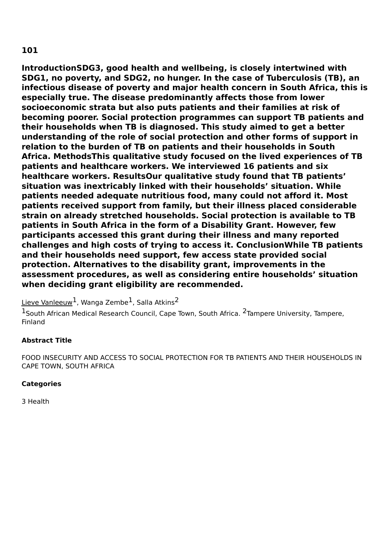**IntroductionSDG3, good health and wellbeing, is closely intertwined with SDG1, no poverty, and SDG2, no hunger. In the case of Tuberculosis (TB), an infectious disease of poverty and major health concern in South Africa, this is especially true. The disease predominantly affects those from lower socioeconomic strata but also puts patients and their families at risk of becoming poorer. Social protection programmes can support TB patients and their households when TB is diagnosed. This study aimed to get a better understanding of the role of social protection and other forms of support in relation to the burden of TB on patients and their households in South Africa. MethodsThis qualitative study focused on the lived experiences of TB patients and healthcare workers. We interviewed 16 patients and six healthcare workers. ResultsOur qualitative study found that TB patients' situation was inextricably linked with their households' situation. While patients needed adequate nutritious food, many could not afford it. Most patients received support from family, but their illness placed considerable strain on already stretched households. Social protection is available to TB patients in South Africa in the form of a Disability Grant. However, few participants accessed this grant during their illness and many reported challenges and high costs of trying to access it. ConclusionWhile TB patients and their households need support, few access state provided social protection. Alternatives to the disability grant, improvements in the assessment procedures, as well as considering entire households' situation when deciding grant eligibility are recommended.**

 $\:$ Lieve Vanleeuw $^1$ , Wanga Zembe $^1$ , Salla Atkins $^2$ 

<sup>1</sup>South African Medical Research Council, Cape Town, South Africa. <sup>2</sup>Tampere University, Tampere, Finland

## **Abstract Title**

FOOD INSECURITY AND ACCESS TO SOCIAL PROTECTION FOR TB PATIENTS AND THEIR HOUSEHOLDS IN CAPE TOWN, SOUTH AFRICA

### **Categories**

3 Health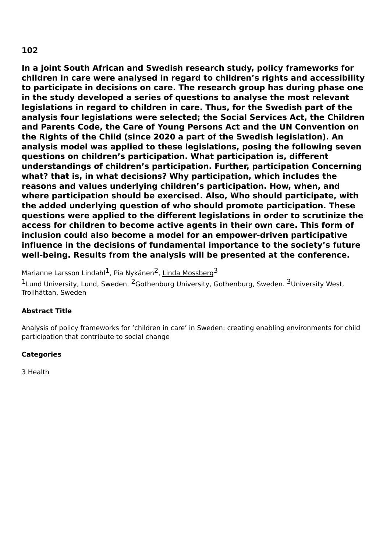**In a joint South African and Swedish research study, policy frameworks for children in care were analysed in regard to children's rights and accessibility to participate in decisions on care. The research group has during phase one in the study developed a series of questions to analyse the most relevant legislations in regard to children in care. Thus, for the Swedish part of the analysis four legislations were selected; the Social Services Act, the Children and Parents Code, the Care of Young Persons Act and the UN Convention on the Rights of the Child (since 2020 a part of the Swedish legislation). An analysis model was applied to these legislations, posing the following seven questions on children's participation. What participation is, different understandings of children's participation. Further, participation Concerning what? that is, in what decisions? Why participation, which includes the reasons and values underlying children's participation. How, when, and where participation should be exercised. Also, Who should participate, with the added underlying question of who should promote participation. These questions were applied to the different legislations in order to scrutinize the access for children to become active agents in their own care. This form of inclusion could also become a model for an empower-driven participative influence in the decisions of fundamental importance to the society's future well-being. Results from the analysis will be presented at the conference.**

Marianne Larsson Lindahl<sup>1</sup>, Pia Nykänen<sup>2</sup>, <u>Linda Mossberg</u><sup>3</sup>

<sup>1</sup>Lund University, Lund, Sweden. <sup>2</sup>Gothenburg University, Gothenburg, Sweden. <sup>3</sup>University West, Trollhättan, Sweden

## **Abstract Title**

Analysis of policy frameworks for 'children in care' in Sweden: creating enabling environments for child participation that contribute to social change

## **Categories**

3 Health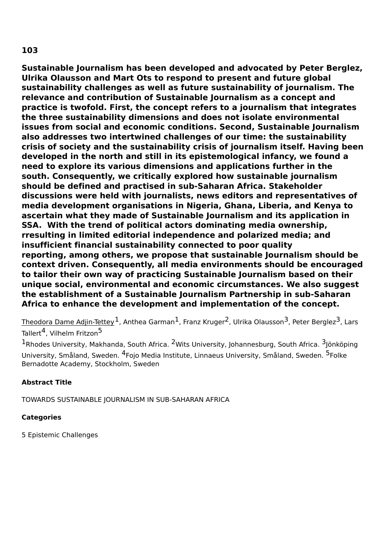**Sustainable Journalism has been developed and advocated by Peter Berglez, Ulrika Olausson and Mart Ots to respond to present and future global sustainability challenges as well as future sustainability of journalism. The relevance and contribution of Sustainable Journalism as a concept and practice is twofold. First, the concept refers to a journalism that integrates the three sustainability dimensions and does not isolate environmental issues from social and economic conditions. Second, Sustainable Journalism also addresses two intertwined challenges of our time: the sustainability crisis of society and the sustainability crisis of journalism itself. Having been developed in the north and still in its epistemological infancy, we found a need to explore its various dimensions and applications further in the south. Consequently, we critically explored how sustainable journalism should be defined and practised in sub-Saharan Africa. Stakeholder discussions were held with journalists, news editors and representatives of media development organisations in Nigeria, Ghana, Liberia, and Kenya to ascertain what they made of Sustainable Journalism and its application in SSA. With the trend of political actors dominating media ownership, rresulting in limited editorial independence and polarized media; and insufficient financial sustainability connected to poor quality reporting, among others, we propose that sustainable Journalism should be context driven. Consequently, all media environments should be encouraged to tailor their own way of practicing Sustainable Journalism based on their unique social, environmental and economic circumstances. We also suggest the establishment of a Sustainable Journalism Partnership in sub-Saharan Africa to enhance the development and implementation of the concept.**

Theodora Dame Adjin-Tettey  $^1$ , Anthea Garman $^1$ , Franz Kruger $^2$ , Ulrika Olausson $^3$ , Peter Berglez $^3$ , Lars Tallert<sup>4</sup>, Vilhelm Fritzon<sup>5</sup>

<sup>1</sup>Rhodes University, Makhanda, South Africa. <sup>2</sup>Wits University, Johannesburg, South Africa. <sup>3</sup>Jönköping University, Småland, Sweden. <sup>4</sup>Fojo Media Institute, Linnaeus University, Småland, Sweden. <sup>5</sup>Folke Bernadotte Academy, Stockholm, Sweden

## **Abstract Title**

TOWARDS SUSTAINABLE JOURNALISM IN SUB-SAHARAN AFRICA

## **Categories**

5 Epistemic Challenges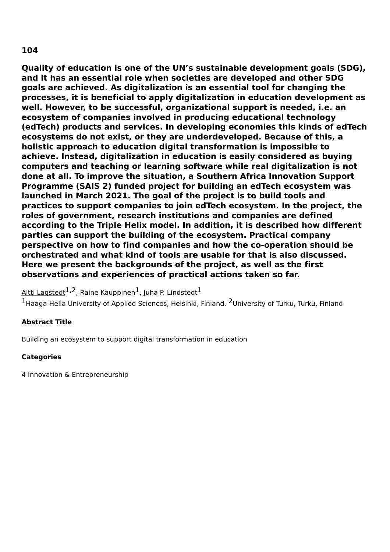**Quality of education is one of the UN's sustainable development goals (SDG), and it has an essential role when societies are developed and other SDG goals are achieved. As digitalization is an essential tool for changing the processes, it is beneficial to apply digitalization in education development as well. However, to be successful, organizational support is needed, i.e. an ecosystem of companies involved in producing educational technology (edTech) products and services. In developing economies this kinds of edTech ecosystems do not exist, or they are underdeveloped. Because of this, a holistic approach to education digital transformation is impossible to achieve. Instead, digitalization in education is easily considered as buying computers and teaching or learning software while real digitalization is not done at all. To improve the situation, a Southern Africa Innovation Support Programme (SAIS 2) funded project for building an edTech ecosystem was launched in March 2021. The goal of the project is to build tools and practices to support companies to join edTech ecosystem. In the project, the roles of government, research institutions and companies are defined according to the Triple Helix model. In addition, it is described how different parties can support the building of the ecosystem. Practical company perspective on how to find companies and how the co-operation should be orchestrated and what kind of tools are usable for that is also discussed. Here we present the backgrounds of the project, as well as the first observations and experiences of practical actions taken so far.**

Altti Lagstedt $^{1,2}$ , Raine Kauppinen $^1$ , Juha P. Lindstedt $^1$ 

<sup>1</sup>Haaga-Helia University of Applied Sciences, Helsinki, Finland. <sup>2</sup>University of Turku, Turku, Finland

### **Abstract Title**

Building an ecosystem to support digital transformation in education

### **Categories**

4 Innovation & Entrepreneurship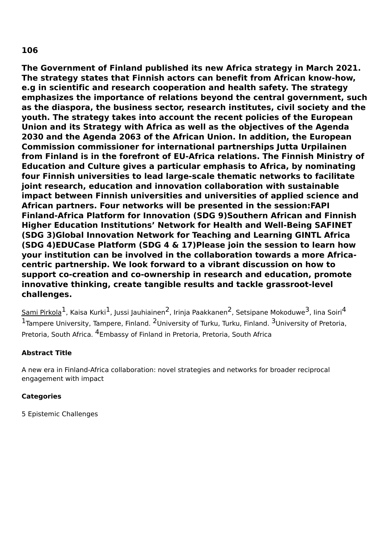**The Government of Finland published its new Africa strategy in March 2021. The strategy states that Finnish actors can benefit from African know-how, e.g in scientific and research cooperation and health safety. The strategy emphasizes the importance of relations beyond the central government, such as the diaspora, the business sector, research institutes, civil society and the youth. The strategy takes into account the recent policies of the European Union and its Strategy with Africa as well as the objectives of the Agenda 2030 and the Agenda 2063 of the African Union. In addition, the European Commission commissioner for international partnerships Jutta Urpilainen from Finland is in the forefront of EU-Africa relations. The Finnish Ministry of Education and Culture gives a particular emphasis to Africa, by nominating four Finnish universities to lead large-scale thematic networks to facilitate joint research, education and innovation collaboration with sustainable impact between Finnish universities and universities of applied science and African partners. Four networks will be presented in the session:FAPI Finland-Africa Platform for Innovation (SDG 9)Southern African and Finnish Higher Education Institutions' Network for Health and Well-Being SAFINET (SDG 3)Global Innovation Network for Teaching and Learning GINTL Africa (SDG 4)EDUCase Platform (SDG 4 & 17)Please join the session to learn how your institution can be involved in the collaboration towards a more Africacentric partnership. We look forward to a vibrant discussion on how to support co-creation and co-ownership in research and education, promote innovative thinking, create tangible results and tackle grassroot-level challenges.**

 $\rm {Sami~Pirkola}^1$ , Kaisa Kurki $^1$ , Jussi Jauhiainen $^2$ , Irinja Paakkanen $^2$ , Setsipane Mokoduwe $^3$ , Iina Soiri $^4$ <sup>1</sup>Tampere University, Tampere, Finland. <sup>2</sup>University of Turku, Turku, Finland. <sup>3</sup>University of Pretoria, Pretoria, South Africa. <sup>4</sup>Embassy of Finland in Pretoria, Pretoria, South Africa

## **Abstract Title**

A new era in Finland-Africa collaboration: novel strategies and networks for broader reciprocal engagement with impact

### **Categories**

5 Epistemic Challenges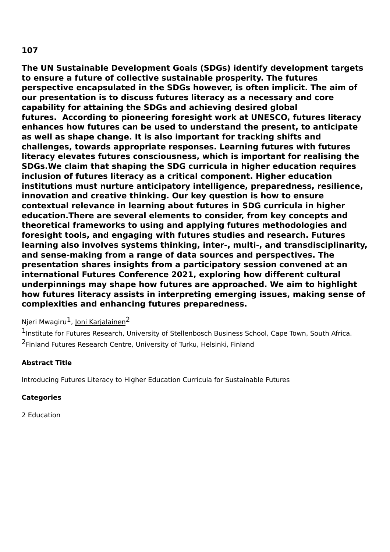**The UN Sustainable Development Goals (SDGs) identify development targets to ensure a future of collective sustainable prosperity. The futures perspective encapsulated in the SDGs however, is often implicit. The aim of our presentation is to discuss futures literacy as a necessary and core capability for attaining the SDGs and achieving desired global futures. According to pioneering foresight work at UNESCO, futures literacy enhances how futures can be used to understand the present, to anticipate as well as shape change. It is also important for tracking shifts and challenges, towards appropriate responses. Learning futures with futures literacy elevates futures consciousness, which is important for realising the SDGs.We claim that shaping the SDG curricula in higher education requires inclusion of futures literacy as a critical component. Higher education institutions must nurture anticipatory intelligence, preparedness, resilience, innovation and creative thinking. Our key question is how to ensure contextual relevance in learning about futures in SDG curricula in higher education.There are several elements to consider, from key concepts and theoretical frameworks to using and applying futures methodologies and foresight tools, and engaging with futures studies and research. Futures learning also involves systems thinking, inter-, multi-, and transdisciplinarity, and sense-making from a range of data sources and perspectives. The presentation shares insights from a participatory session convened at an international Futures Conference 2021, exploring how different cultural underpinnings may shape how futures are approached. We aim to highlight how futures literacy assists in interpreting emerging issues, making sense of complexities and enhancing futures preparedness.**

## Njeri Mwagiru<sup>1</sup>, <u>Joni Karjalainen</u><sup>2</sup>

1Institute for Futures Research, University of Stellenbosch Business School, Cape Town, South Africa. <sup>2</sup>Finland Futures Research Centre, University of Turku, Helsinki, Finland

## **Abstract Title**

Introducing Futures Literacy to Higher Education Curricula for Sustainable Futures

## **Categories**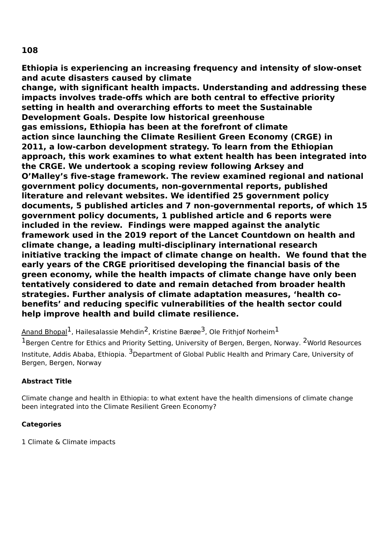**Ethiopia is experiencing an increasing frequency and intensity of slow-onset and acute disasters caused by climate**

**change, with significant health impacts. Understanding and addressing these impacts involves trade-offs which are both central to effective priority setting in health and overarching efforts to meet the Sustainable Development Goals. Despite low historical greenhouse gas emissions, Ethiopia has been at the forefront of climate action since launching the Climate Resilient Green Economy (CRGE) in 2011, a low-carbon development strategy. To learn from the Ethiopian approach, this work examines to what extent health has been integrated into the CRGE. We undertook a scoping review following Arksey and O'Malley's five-stage framework. The review examined regional and national government policy documents, non-governmental reports, published literature and relevant websites. We identified 25 government policy documents, 5 published articles and 7 non-governmental reports, of which 15 government policy documents, 1 published article and 6 reports were included in the review. Findings were mapped against the analytic framework used in the 2019 report of the Lancet Countdown on health and climate change, a leading multi-disciplinary international research initiative tracking the impact of climate change on health. We found that the early years of the CRGE prioritised developing the financial basis of the green economy, while the health impacts of climate change have only been tentatively considered to date and remain detached from broader health strategies. Further analysis of climate adaptation measures, 'health cobenefits' and reducing specific vulnerabilities of the health sector could help improve health and build climate resilience.**

<u>Anand Bhopal</u> , Hailesalassie Mehdin <sup>2</sup>, Kristine Bærøe 3, Ole Frithjof Norheim  $^1$ 

 $^{1}$ Bergen Centre for Ethics and Priority Setting, University of Bergen, Bergen, Norway.  $^{2}$ World Resources Institute, Addis Ababa, Ethiopia. <sup>3</sup>Department of Global Public Health and Primary Care, University of Bergen, Bergen, Norway

## **Abstract Title**

Climate change and health in Ethiopia: to what extent have the health dimensions of climate change been integrated into the Climate Resilient Green Economy?

## **Categories**

1 Climate & Climate impacts

## **108**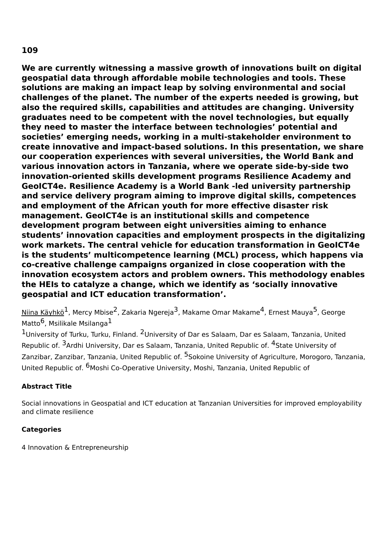**We are currently witnessing a massive growth of innovations built on digital geospatial data through affordable mobile technologies and tools. These solutions are making an impact leap by solving environmental and social challenges of the planet. The number of the experts needed is growing, but also the required skills, capabilities and attitudes are changing. University graduates need to be competent with the novel technologies, but equally they need to master the interface between technologies' potential and societies' emerging needs, working in a multi-stakeholder environment to create innovative and impact-based solutions. In this presentation, we share our cooperation experiences with several universities, the World Bank and various innovation actors in Tanzania, where we operate side-by-side two innovation-oriented skills development programs Resilience Academy and GeoICT4e. Resilience Academy is a World Bank -led university partnership and service delivery program aiming to improve digital skills, competences and employment of the African youth for more effective disaster risk management. GeoICT4e is an institutional skills and competence development program between eight universities aiming to enhance students' innovation capacities and employment prospects in the digitalizing work markets. The central vehicle for education transformation in GeoICT4e is the students' multicompetence learning (MCL) process, which happens via co-creative challenge campaigns organized in close cooperation with the innovation ecosystem actors and problem owners. This methodology enables the HEIs to catalyze a change, which we identify as 'socially innovative geospatial and ICT education transformation'.**

<u>Niina Käyhkö</u><sup>1</sup>, Mercy Mbise<sup>2</sup>, Zakaria Ngereja<sup>3</sup>, Makame Omar Makame<sup>4</sup>, Ernest Mauya<sup>5</sup>, George Matto $^6$ , Msilikale Msilanga $^1$ 

 $1$ University of Turku, Turku, Finland.  $2$ University of Dar es Salaam, Dar es Salaam, Tanzania, United Republic of. <sup>3</sup>Ardhi University, Dar es Salaam, Tanzania, United Republic of. <sup>4</sup>State University of Zanzibar, Zanzibar, Tanzania, United Republic of. <sup>5</sup>Sokoine University of Agriculture, Morogoro, Tanzania, United Republic of. <sup>6</sup>Moshi Co-Operative University, Moshi, Tanzania, United Republic of

## **Abstract Title**

Social innovations in Geospatial and ICT education at Tanzanian Universities for improved employability and climate resilience

## **Categories**

4 Innovation & Entrepreneurship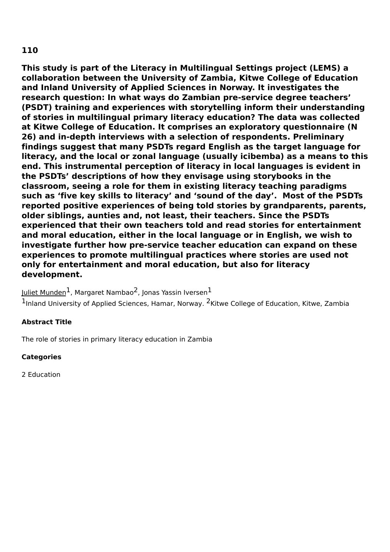**This study is part of the Literacy in Multilingual Settings project (LEMS) a collaboration between the University of Zambia, Kitwe College of Education and Inland University of Applied Sciences in Norway. It investigates the research question: In what ways do Zambian pre-service degree teachers' (PSDT) training and experiences with storytelling inform their understanding of stories in multilingual primary literacy education? The data was collected at Kitwe College of Education. It comprises an exploratory questionnaire (N 26) and in-depth interviews with a selection of respondents. Preliminary findings suggest that many PSDTs regard English as the target language for literacy, and the local or zonal language (usually icibemba) as a means to this end. This instrumental perception of literacy in local languages is evident in the PSDTs' descriptions of how they envisage using storybooks in the classroom, seeing a role for them in existing literacy teaching paradigms such as 'five key skills to literacy' and 'sound of the day'. Most of the PSDTs reported positive experiences of being told stories by grandparents, parents, older siblings, aunties and, not least, their teachers. Since the PSDTs experienced that their own teachers told and read stories for entertainment and moral education, either in the local language or in English, we wish to investigate further how pre-service teacher education can expand on these experiences to promote multilingual practices where stories are used not only for entertainment and moral education, but also for literacy development.**

<u>Juliet Munden</u><sup>1</sup>, Margaret Nambao<sup>2</sup>, Jonas Yassin Iversen $^{\text{1}}$ 

<sup>1</sup>Inland University of Applied Sciences, Hamar, Norway. <sup>2</sup>Kitwe College of Education, Kitwe, Zambia

### **Abstract Title**

The role of stories in primary literacy education in Zambia

### **Categories**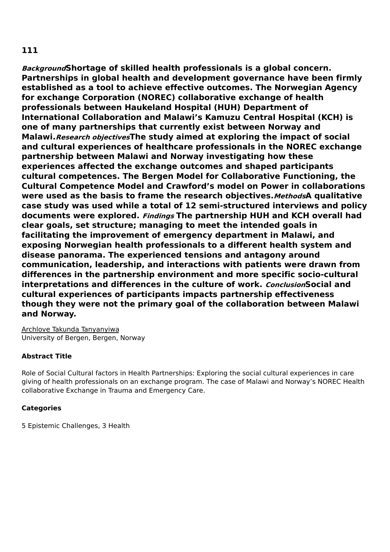**BackgroundShortage of skilled health professionals is a global concern. Partnerships in global health and development governance have been firmly established as a tool to achieve effective outcomes. The Norwegian Agency for exchange Corporation (NOREC) collaborative exchange of health professionals between Haukeland Hospital (HUH) Department of International Collaboration and Malawi's Kamuzu Central Hospital (KCH) is one of many partnerships that currently exist between Norway and Malawi.Research objectivesThe study aimed at exploring the impact of social and cultural experiences of healthcare professionals in the NOREC exchange partnership between Malawi and Norway investigating how these experiences affected the exchange outcomes and shaped participants cultural competences. The Bergen Model for Collaborative Functioning, the Cultural Competence Model and Crawford's model on Power in collaborations were used as the basis to frame the research objectives.MethodsA qualitative case study was used while a total of 12 semi-structured interviews and policy documents were explored. Findings The partnership HUH and KCH overall had clear goals, set structure; managing to meet the intended goals in facilitating the improvement of emergency department in Malawi, and exposing Norwegian health professionals to a different health system and disease panorama. The experienced tensions and antagony around communication, leadership, and interactions with patients were drawn from differences in the partnership environment and more specific socio-cultural interpretations and differences in the culture of work. ConclusionSocial and cultural experiences of participants impacts partnership effectiveness though they were not the primary goal of the collaboration between Malawi and Norway.**

Archlove Takunda Tanyanyiwa University of Bergen, Bergen, Norway

### **Abstract Title**

Role of Social Cultural factors in Health Partnerships: Exploring the social cultural experiences in care giving of health professionals on an exchange program. The case of Malawi and Norway's NOREC Health collaborative Exchange in Trauma and Emergency Care.

### **Categories**

5 Epistemic Challenges, 3 Health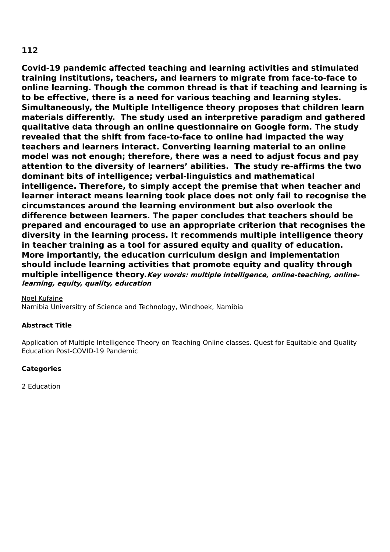**Covid-19 pandemic affected teaching and learning activities and stimulated training institutions, teachers, and learners to migrate from face-to-face to online learning. Though the common thread is that if teaching and learning is to be effective, there is a need for various teaching and learning styles. Simultaneously, the Multiple Intelligence theory proposes that children learn materials differently. The study used an interpretive paradigm and gathered qualitative data through an online questionnaire on Google form. The study revealed that the shift from face-to-face to online had impacted the way teachers and learners interact. Converting learning material to an online model was not enough; therefore, there was a need to adjust focus and pay attention to the diversity of learners' abilities. The study re-affirms the two dominant bits of intelligence; verbal-linguistics and mathematical intelligence. Therefore, to simply accept the premise that when teacher and learner interact means learning took place does not only fail to recognise the circumstances around the learning environment but also overlook the difference between learners. The paper concludes that teachers should be prepared and encouraged to use an appropriate criterion that recognises the diversity in the learning process. It recommends multiple intelligence theory in teacher training as a tool for assured equity and quality of education. More importantly, the education curriculum design and implementation should include learning activities that promote equity and quality through multiple intelligence theory.Key words: multiple intelligence, online-teaching, onlinelearning, equity, quality, education**

#### Noel Kufaine

Namibia Universitry of Science and Technology, Windhoek, Namibia

### **Abstract Title**

Application of Multiple Intelligence Theory on Teaching Online classes. Quest for Equitable and Quality Education Post-COVID-19 Pandemic

### **Categories**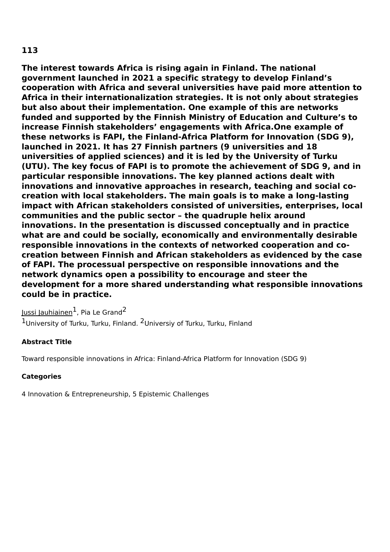**The interest towards Africa is rising again in Finland. The national government launched in 2021 a specific strategy to develop Finland's cooperation with Africa and several universities have paid more attention to Africa in their internationalization strategies. It is not only about strategies but also about their implementation. One example of this are networks funded and supported by the Finnish Ministry of Education and Culture's to increase Finnish stakeholders' engagements with Africa.One example of these networks is FAPI, the Finland-Africa Platform for Innovation (SDG 9), launched in 2021. It has 27 Finnish partners (9 universities and 18 universities of applied sciences) and it is led by the University of Turku (UTU). The key focus of FAPI is to promote the achievement of SDG 9, and in particular responsible innovations. The key planned actions dealt with innovations and innovative approaches in research, teaching and social cocreation with local stakeholders. The main goals is to make a long-lasting impact with African stakeholders consisted of universities, enterprises, local communities and the public sector – the quadruple helix around innovations. In the presentation is discussed conceptually and in practice what are and could be socially, economically and environmentally desirable responsible innovations in the contexts of networked cooperation and cocreation between Finnish and African stakeholders as evidenced by the case of FAPI. The processual perspective on responsible innovations and the network dynamics open a possibility to encourage and steer the development for a more shared understanding what responsible innovations could be in practice.**

Jussi Jauhiainen<sup>1</sup>, Pia Le Grand<sup>2</sup>  $1$ University of Turku, Turku, Finland.  $2$ Universiy of Turku, Turku, Finland

## **Abstract Title**

Toward responsible innovations in Africa: Finland-Africa Platform for Innovation (SDG 9)

## **Categories**

4 Innovation & Entrepreneurship, 5 Epistemic Challenges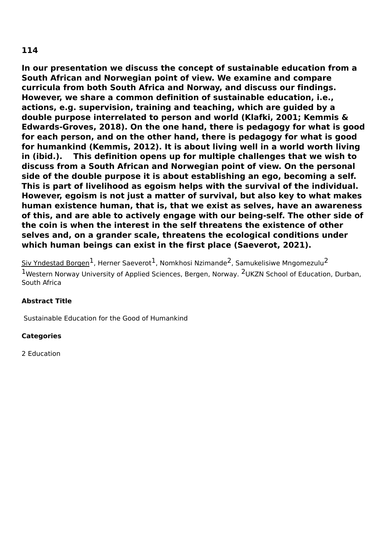**In our presentation we discuss the concept of sustainable education from a South African and Norwegian point of view. We examine and compare curricula from both South Africa and Norway, and discuss our findings. However, we share a common definition of sustainable education, i.e., actions, e.g. supervision, training and teaching, which are guided by a double purpose interrelated to person and world (Klafki, 2001; Kemmis & Edwards-Groves, 2018). On the one hand, there is pedagogy for what is good for each person, and on the other hand, there is pedagogy for what is good for humankind (Kemmis, 2012). It is about living well in a world worth living in (ibid.). This definition opens up for multiple challenges that we wish to discuss from a South African and Norwegian point of view. On the personal side of the double purpose it is about establishing an ego, becoming a self. This is part of livelihood as egoism helps with the survival of the individual. However, egoism is not just a matter of survival, but also key to what makes human existence human, that is, that we exist as selves, have an awareness of this, and are able to actively engage with our being-self. The other side of the coin is when the interest in the self threatens the existence of other selves and, on a grander scale, threatens the ecological conditions under which human beings can exist in the first place (Saeverot, 2021).**

Siv Yndestad Borgen $^1$ , Herner Saeverot $^1$ , Nomkhosi Nzimande $^2$ , Samukelisiwe Mngomezulu $^2$ 1Western Norway University of Applied Sciences, Bergen, Norway. <sup>2</sup>UKZN School of Education, Durban, South Africa

## **Abstract Title**

Sustainable Education for the Good of Humankind

## **Categories**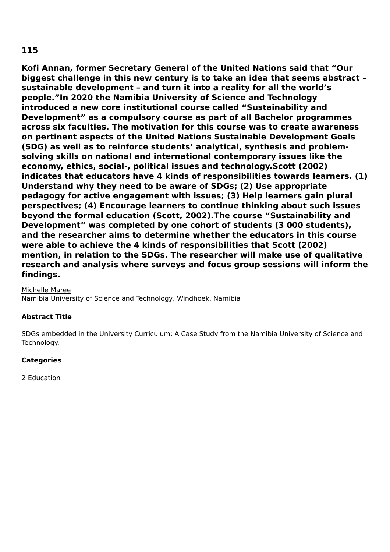**Kofi Annan, former Secretary General of the United Nations said that "Our biggest challenge in this new century is to take an idea that seems abstract – sustainable development – and turn it into a reality for all the world's people."In 2020 the Namibia University of Science and Technology introduced a new core institutional course called "Sustainability and Development" as a compulsory course as part of all Bachelor programmes across six faculties. The motivation for this course was to create awareness on pertinent aspects of the United Nations Sustainable Development Goals (SDG) as well as to reinforce students' analytical, synthesis and problemsolving skills on national and international contemporary issues like the economy, ethics, social-, political issues and technology.Scott (2002) indicates that educators have 4 kinds of responsibilities towards learners. (1) Understand why they need to be aware of SDGs; (2) Use appropriate pedagogy for active engagement with issues; (3) Help learners gain plural perspectives; (4) Encourage learners to continue thinking about such issues beyond the formal education (Scott, 2002).The course "Sustainability and Development" was completed by one cohort of students (3 000 students), and the researcher aims to determine whether the educators in this course were able to achieve the 4 kinds of responsibilities that Scott (2002) mention, in relation to the SDGs. The researcher will make use of qualitative research and analysis where surveys and focus group sessions will inform the findings.**

Michelle Maree

Namibia University of Science and Technology, Windhoek, Namibia

### **Abstract Title**

SDGs embedded in the University Curriculum: A Case Study from the Namibia University of Science and Technology.

### **Categories**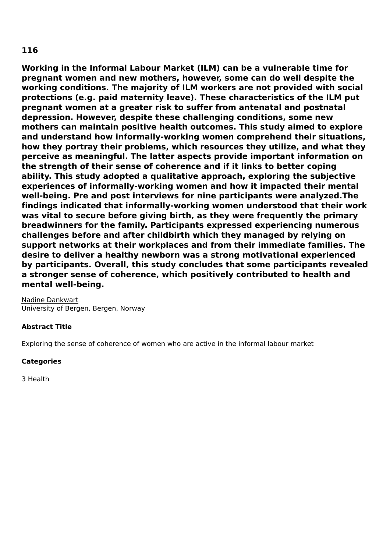**Working in the Informal Labour Market (ILM) can be a vulnerable time for pregnant women and new mothers, however, some can do well despite the working conditions. The majority of ILM workers are not provided with social protections (e.g. paid maternity leave). These characteristics of the ILM put pregnant women at a greater risk to suffer from antenatal and postnatal depression. However, despite these challenging conditions, some new mothers can maintain positive health outcomes. This study aimed to explore and understand how informally-working women comprehend their situations, how they portray their problems, which resources they utilize, and what they perceive as meaningful. The latter aspects provide important information on the strength of their sense of coherence and if it links to better coping ability. This study adopted a qualitative approach, exploring the subjective experiences of informally-working women and how it impacted their mental well-being. Pre and post interviews for nine participants were analyzed.The findings indicated that informally-working women understood that their work was vital to secure before giving birth, as they were frequently the primary breadwinners for the family. Participants expressed experiencing numerous challenges before and after childbirth which they managed by relying on support networks at their workplaces and from their immediate families. The desire to deliver a healthy newborn was a strong motivational experienced by participants. Overall, this study concludes that some participants revealed a stronger sense of coherence, which positively contributed to health and mental well-being.**

Nadine Dankwart University of Bergen, Bergen, Norway

### **Abstract Title**

Exploring the sense of coherence of women who are active in the informal labour market

### **Categories**

3 Health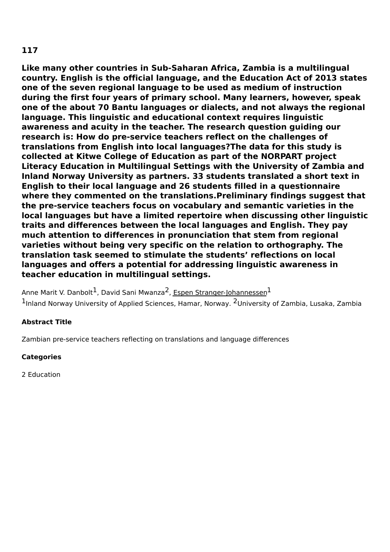**Like many other countries in Sub-Saharan Africa, Zambia is a multilingual country. English is the official language, and the Education Act of 2013 states one of the seven regional language to be used as medium of instruction during the first four years of primary school. Many learners, however, speak one of the about 70 Bantu languages or dialects, and not always the regional language. This linguistic and educational context requires linguistic awareness and acuity in the teacher. The research question guiding our research is: How do pre-service teachers reflect on the challenges of translations from English into local languages?The data for this study is collected at Kitwe College of Education as part of the NORPART project Literacy Education in Multilingual Settings with the University of Zambia and Inland Norway University as partners. 33 students translated a short text in English to their local language and 26 students filled in a questionnaire where they commented on the translations.Preliminary findings suggest that the pre-service teachers focus on vocabulary and semantic varieties in the local languages but have a limited repertoire when discussing other linguistic traits and differences between the local languages and English. They pay much attention to differences in pronunciation that stem from regional varieties without being very specific on the relation to orthography. The translation task seemed to stimulate the students' reflections on local languages and offers a potential for addressing linguistic awareness in teacher education in multilingual settings.**

Anne Marit V. Danbolt<sup>1</sup>, David Sani Mwanza<sup>2</sup>, <u>Espen Stranger-Johannessen</u><sup>1</sup> <sup>1</sup>Inland Norway University of Applied Sciences, Hamar, Norway. <sup>2</sup>University of Zambia, Lusaka, Zambia

### **Abstract Title**

Zambian pre-service teachers reflecting on translations and language differences

### **Categories**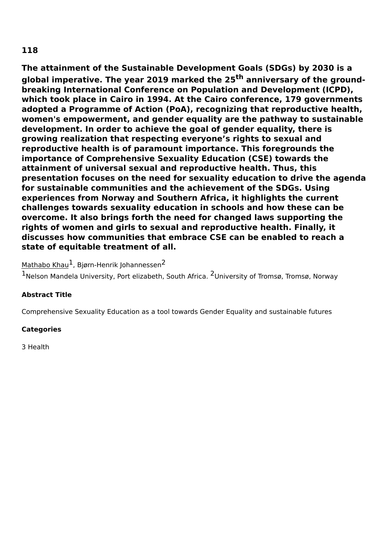**The attainment of the Sustainable Development Goals (SDGs) by 2030 is a global imperative. The year 2019 marked the 25 th anniversary of the groundbreaking International Conference on Population and Development (ICPD), which took place in Cairo in 1994. At the Cairo conference, 179 governments adopted a Programme of Action (PoA), recognizing that reproductive health, women's empowerment, and gender equality are the pathway to sustainable development. In order to achieve the goal of gender equality, there is growing realization that respecting everyone's rights to sexual and reproductive health is of paramount importance. This foregrounds the importance of Comprehensive Sexuality Education (CSE) towards the attainment of universal sexual and reproductive health. Thus, this presentation focuses on the need for sexuality education to drive the agenda for sustainable communities and the achievement of the SDGs. Using experiences from Norway and Southern Africa, it highlights the current challenges towards sexuality education in schools and how these can be overcome. It also brings forth the need for changed laws supporting the rights of women and girls to sexual and reproductive health. Finally, it discusses how communities that embrace CSE can be enabled to reach a state of equitable treatment of all.**

## Mathabo Khau<sup>1</sup>, Bjørn-Henrik Johannessen<sup>2</sup>

1Nelson Mandela University, Port elizabeth, South Africa. <sup>2</sup>University of Tromsø, Tromsø, Norway

### **Abstract Title**

Comprehensive Sexuality Education as a tool towards Gender Equality and sustainable futures

### **Categories**

3 Health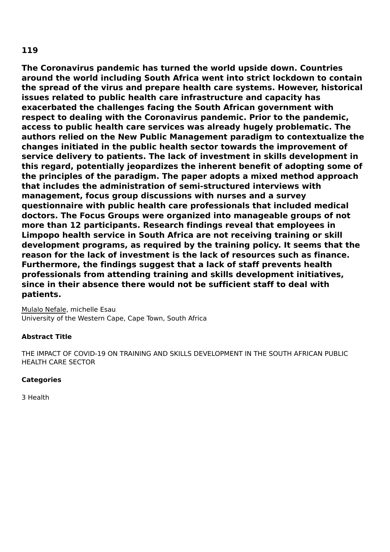**The Coronavirus pandemic has turned the world upside down. Countries around the world including South Africa went into strict lockdown to contain the spread of the virus and prepare health care systems. However, historical issues related to public health care infrastructure and capacity has exacerbated the challenges facing the South African government with respect to dealing with the Coronavirus pandemic. Prior to the pandemic, access to public health care services was already hugely problematic. The authors relied on the New Public Management paradigm to contextualize the changes initiated in the public health sector towards the improvement of service delivery to patients. The lack of investment in skills development in this regard, potentially jeopardizes the inherent benefit of adopting some of the principles of the paradigm. The paper adopts a mixed method approach that includes the administration of semi-structured interviews with management, focus group discussions with nurses and a survey questionnaire with public health care professionals that included medical doctors. The Focus Groups were organized into manageable groups of not more than 12 participants. Research findings reveal that employees in Limpopo health service in South Africa are not receiving training or skill development programs, as required by the training policy. It seems that the reason for the lack of investment is the lack of resources such as finance. Furthermore, the findings suggest that a lack of staff prevents health professionals from attending training and skills development initiatives, since in their absence there would not be sufficient staff to deal with patients.**

Mulalo Nefale, michelle Esau University of the Western Cape, Cape Town, South Africa

## **Abstract Title**

THE IMPACT OF COVID-19 ON TRAINING AND SKILLS DEVELOPMENT IN THE SOUTH AFRICAN PUBLIC HEALTH CARE SECTOR

### **Categories**

3 Health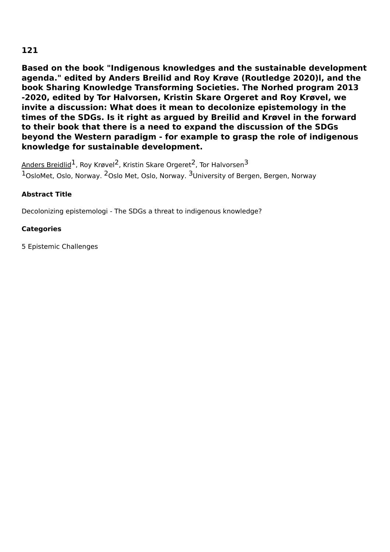**Based on the book "Indigenous knowledges and the sustainable development agenda." edited by Anders Breilid and Roy Krøve (Routledge 2020)l, and the book Sharing Knowledge Transforming Societies. The Norhed program 2013 -2020, edited by Tor Halvorsen, Kristin Skare Orgeret and Roy Krøvel, we invite a discussion: What does it mean to decolonize epistemology in the times of the SDGs. Is it right as argued by Breilid and Krøvel in the forward to their book that there is a need to expand the discussion of the SDGs beyond the Western paradigm - for example to grasp the role of indigenous knowledge for sustainable development.**

 $\lambda$ nders Breidlid $^1$ , Roy Krøvel $^2$ , Kristin Skare Orgeret $^2$ , Tor Halvorsen $^3$  $1$ OsloMet, Oslo, Norway.  $2$ Oslo Met, Oslo, Norway.  $3$ University of Bergen, Bergen, Norway

## **Abstract Title**

Decolonizing epistemologi - The SDGs a threat to indigenous knowledge?

## **Categories**

5 Epistemic Challenges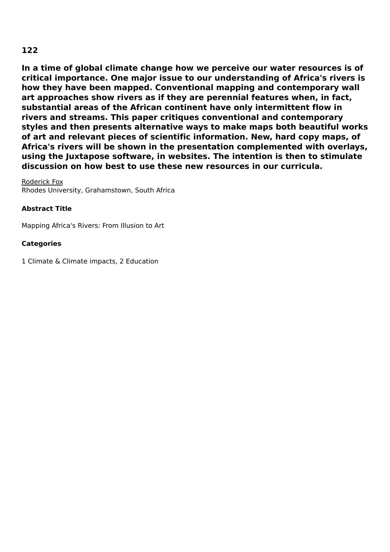**In a time of global climate change how we perceive our water resources is of critical importance. One major issue to our understanding of Africa's rivers is how they have been mapped. Conventional mapping and contemporary wall art approaches show rivers as if they are perennial features when, in fact, substantial areas of the African continent have only intermittent flow in rivers and streams. This paper critiques conventional and contemporary styles and then presents alternative ways to make maps both beautiful works of art and relevant pieces of scientific information. New, hard copy maps, of Africa's rivers will be shown in the presentation complemented with overlays, using the Juxtapose software, in websites. The intention is then to stimulate discussion on how best to use these new resources in our curricula.**

Roderick Fox Rhodes University, Grahamstown, South Africa

## **Abstract Title**

Mapping Africa's Rivers: From Illusion to Art

### **Categories**

1 Climate & Climate impacts, 2 Education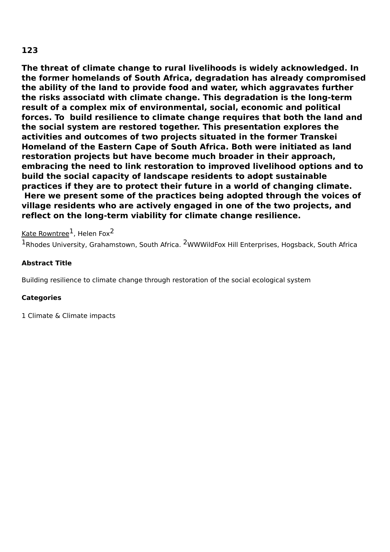**The threat of climate change to rural livelihoods is widely acknowledged. In the former homelands of South Africa, degradation has already compromised the ability of the land to provide food and water, which aggravates further the risks associatd with climate change. This degradation is the long-term result of a complex mix of environmental, social, economic and political forces. To build resilience to climate change requires that both the land and the social system are restored together. This presentation explores the activities and outcomes of two projects situated in the former Transkei Homeland of the Eastern Cape of South Africa. Both were initiated as land restoration projects but have become much broader in their approach, embracing the need to link restoration to improved livelihood options and to build the social capacity of landscape residents to adopt sustainable practices if they are to protect their future in a world of changing climate. Here we present some of the practices being adopted through the voices of village residents who are actively engaged in one of the two projects, and reflect on the long-term viability for climate change resilience.**

## <u>Kate Rowntree</u> $^1$ , Helen Fox $^2$

 $1$ Rhodes University, Grahamstown, South Africa.  $2$ WWWildFox Hill Enterprises, Hogsback, South Africa

## **Abstract Title**

Building resilience to climate change through restoration of the social ecological system

### **Categories**

1 Climate & Climate impacts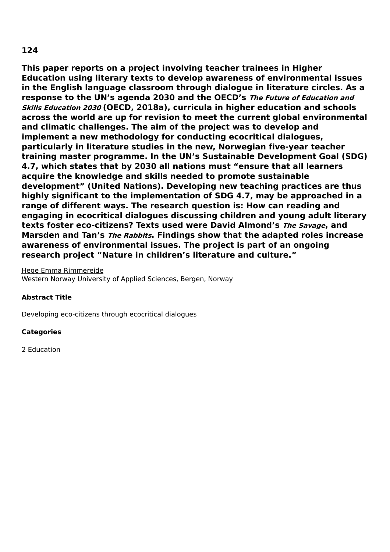**This paper reports on a project involving teacher trainees in Higher Education using literary texts to develop awareness of environmental issues in the English language classroom through dialogue in literature circles. As a response to the UN's agenda 2030 and the OECD's The Future of Education and Skills Education <sup>2030</sup> (OECD, 2018a), curricula in higher education and schools across the world are up for revision to meet the current global environmental and climatic challenges. The aim of the project was to develop and implement a new methodology for conducting ecocritical dialogues, particularly in literature studies in the new, Norwegian five-year teacher training master programme. In the UN's Sustainable Development Goal (SDG) 4.7, which states that by 2030 all nations must "ensure that all learners acquire the knowledge and skills needed to promote sustainable development" (United Nations). Developing new teaching practices are thus highly significant to the implementation of SDG 4.7, may be approached in a range of different ways. The research question is: How can reading and engaging in ecocritical dialogues discussing children and young adult literary texts foster eco-citizens? Texts used were David Almond's The Savage, and Marsden and Tan's The Rabbits. Findings show that the adapted roles increase awareness of environmental issues. The project is part of an ongoing research project "Nature in children's literature and culture."**

#### Hege Emma Rimmereide

Western Norway University of Applied Sciences, Bergen, Norway

### **Abstract Title**

Developing eco-citizens through ecocritical dialogues

### **Categories**

2 Education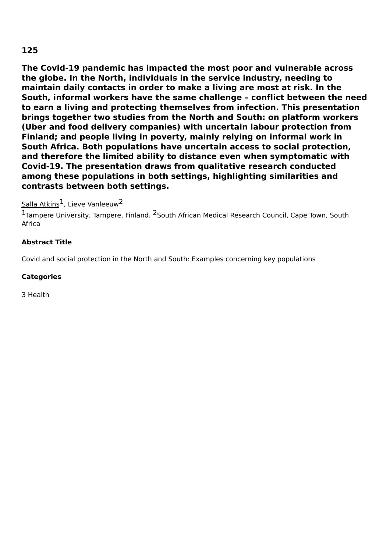**The Covid-19 pandemic has impacted the most poor and vulnerable across the globe. In the North, individuals in the service industry, needing to maintain daily contacts in order to make a living are most at risk. In the South, informal workers have the same challenge – conflict between the need to earn a living and protecting themselves from infection. This presentation brings together two studies from the North and South: on platform workers (Uber and food delivery companies) with uncertain labour protection from Finland; and people living in poverty, mainly relying on informal work in South Africa. Both populations have uncertain access to social protection, and therefore the limited ability to distance even when symptomatic with Covid-19. The presentation draws from qualitative research conducted among these populations in both settings, highlighting similarities and contrasts between both settings.**

## Salla Atkins<sup>1</sup>, Lieve Vanleeuw<sup>2</sup>

<sup>1</sup>Tampere University, Tampere, Finland. <sup>2</sup>South African Medical Research Council, Cape Town, South Africa

### **Abstract Title**

Covid and social protection in the North and South: Examples concerning key populations

### **Categories**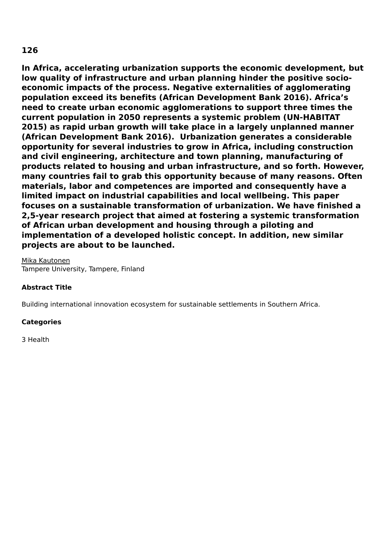**In Africa, accelerating urbanization supports the economic development, but low quality of infrastructure and urban planning hinder the positive socioeconomic impacts of the process. Negative externalities of agglomerating population exceed its benefits (African Development Bank 2016). Africa's need to create urban economic agglomerations to support three times the current population in 2050 represents a systemic problem (UN-HABITAT 2015) as rapid urban growth will take place in a largely unplanned manner (African Development Bank 2016). Urbanization generates a considerable opportunity for several industries to grow in Africa, including construction and civil engineering, architecture and town planning, manufacturing of products related to housing and urban infrastructure, and so forth. However, many countries fail to grab this opportunity because of many reasons. Often materials, labor and competences are imported and consequently have a limited impact on industrial capabilities and local wellbeing. This paper focuses on a sustainable transformation of urbanization. We have finished a 2,5-year research project that aimed at fostering a systemic transformation of African urban development and housing through a piloting and implementation of a developed holistic concept. In addition, new similar projects are about to be launched.**

Mika Kautonen Tampere University, Tampere, Finland

### **Abstract Title**

Building international innovation ecosystem for sustainable settlements in Southern Africa.

### **Categories**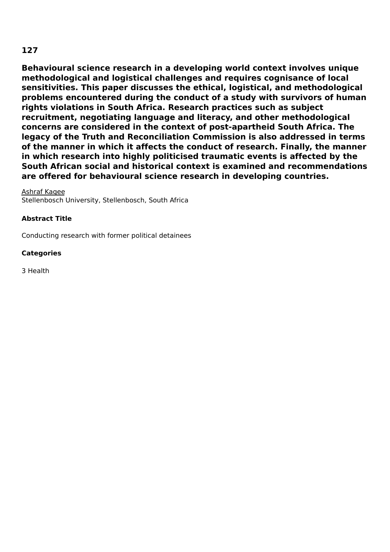**Behavioural science research in a developing world context involves unique methodological and logistical challenges and requires cognisance of local sensitivities. This paper discusses the ethical, logistical, and methodological problems encountered during the conduct of a study with survivors of human rights violations in South Africa. Research practices such as subject recruitment, negotiating language and literacy, and other methodological concerns are considered in the context of post-apartheid South Africa. The legacy of the Truth and Reconciliation Commission is also addressed in terms of the manner in which it affects the conduct of research. Finally, the manner in which research into highly politicised traumatic events is affected by the South African social and historical context is examined and recommendations are offered for behavioural science research in developing countries.**

Ashraf Kagee

Stellenbosch University, Stellenbosch, South Africa

### **Abstract Title**

Conducting research with former political detainees

### **Categories**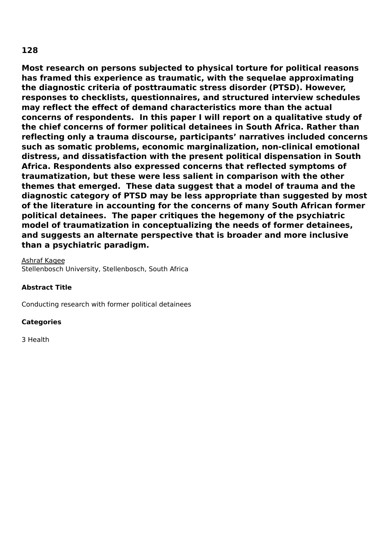**Most research on persons subjected to physical torture for political reasons has framed this experience as traumatic, with the sequelae approximating the diagnostic criteria of posttraumatic stress disorder (PTSD). However, responses to checklists, questionnaires, and structured interview schedules may reflect the effect of demand characteristics more than the actual concerns of respondents. In this paper I will report on a qualitative study of the chief concerns of former political detainees in South Africa. Rather than reflecting only a trauma discourse, participants' narratives included concerns such as somatic problems, economic marginalization, non-clinical emotional distress, and dissatisfaction with the present political dispensation in South Africa. Respondents also expressed concerns that reflected symptoms of traumatization, but these were less salient in comparison with the other themes that emerged. These data suggest that a model of trauma and the diagnostic category of PTSD may be less appropriate than suggested by most of the literature in accounting for the concerns of many South African former political detainees. The paper critiques the hegemony of the psychiatric model of traumatization in conceptualizing the needs of former detainees, and suggests an alternate perspective that is broader and more inclusive than a psychiatric paradigm.**

Ashraf Kagee Stellenbosch University, Stellenbosch, South Africa

### **Abstract Title**

Conducting research with former political detainees

### **Categories**